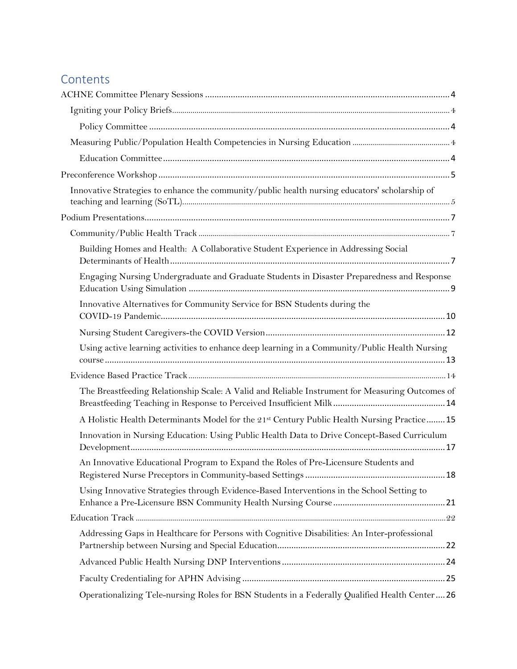## **Contents**

| Innovative Strategies to enhance the community/public health nursing educators' scholarship of  |  |
|-------------------------------------------------------------------------------------------------|--|
|                                                                                                 |  |
|                                                                                                 |  |
| Building Homes and Health: A Collaborative Student Experience in Addressing Social              |  |
| Engaging Nursing Undergraduate and Graduate Students in Disaster Preparedness and Response      |  |
| Innovative Alternatives for Community Service for BSN Students during the                       |  |
|                                                                                                 |  |
| Using active learning activities to enhance deep learning in a Community/Public Health Nursing  |  |
|                                                                                                 |  |
| The Breastfeeding Relationship Scale: A Valid and Reliable Instrument for Measuring Outcomes of |  |
| A Holistic Health Determinants Model for the 21st Century Public Health Nursing Practice 15     |  |
| Innovation in Nursing Education: Using Public Health Data to Drive Concept-Based Curriculum     |  |
| An Innovative Educational Program to Expand the Roles of Pre-Licensure Students and             |  |
| Using Innovative Strategies through Evidence-Based Interventions in the School Setting to       |  |
|                                                                                                 |  |
| Addressing Gaps in Healthcare for Persons with Cognitive Disabilities: An Inter-professional    |  |
|                                                                                                 |  |
|                                                                                                 |  |
| Operationalizing Tele-nursing Roles for BSN Students in a Federally Qualified Health Center26   |  |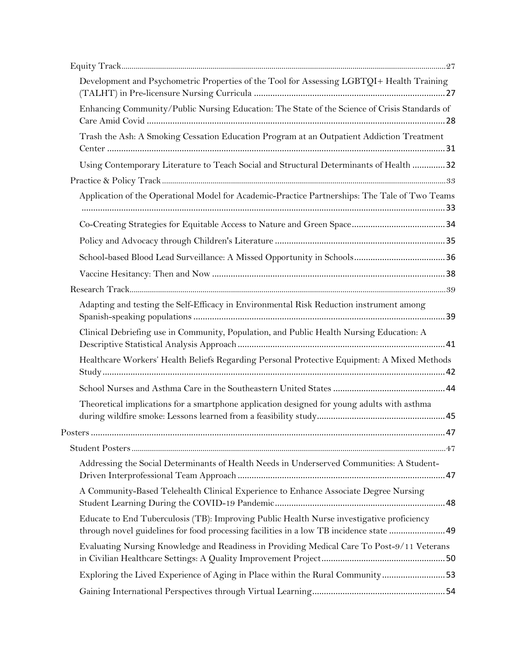| Development and Psychometric Properties of the Tool for Assessing LGBTQI+ Health Training                                                                                           |  |
|-------------------------------------------------------------------------------------------------------------------------------------------------------------------------------------|--|
| Enhancing Community/Public Nursing Education: The State of the Science of Crisis Standards of                                                                                       |  |
| Trash the Ash: A Smoking Cessation Education Program at an Outpatient Addiction Treatment                                                                                           |  |
| Using Contemporary Literature to Teach Social and Structural Determinants of Health  32                                                                                             |  |
|                                                                                                                                                                                     |  |
| Application of the Operational Model for Academic-Practice Partnerships: The Tale of Two Teams                                                                                      |  |
|                                                                                                                                                                                     |  |
|                                                                                                                                                                                     |  |
|                                                                                                                                                                                     |  |
|                                                                                                                                                                                     |  |
|                                                                                                                                                                                     |  |
| Adapting and testing the Self-Efficacy in Environmental Risk Reduction instrument among                                                                                             |  |
| Clinical Debriefing use in Community, Population, and Public Health Nursing Education: A                                                                                            |  |
| Healthcare Workers' Health Beliefs Regarding Personal Protective Equipment: A Mixed Methods                                                                                         |  |
|                                                                                                                                                                                     |  |
| Theoretical implications for a smartphone application designed for young adults with asthma                                                                                         |  |
|                                                                                                                                                                                     |  |
|                                                                                                                                                                                     |  |
| Addressing the Social Determinants of Health Needs in Underserved Communities: A Student-                                                                                           |  |
| A Community-Based Telehealth Clinical Experience to Enhance Associate Degree Nursing                                                                                                |  |
| Educate to End Tuberculosis (TB): Improving Public Health Nurse investigative proficiency<br>through novel guidelines for food processing facilities in a low TB incidence state 49 |  |
| Evaluating Nursing Knowledge and Readiness in Providing Medical Care To Post-9/11 Veterans                                                                                          |  |
| Exploring the Lived Experience of Aging in Place within the Rural Community53                                                                                                       |  |
|                                                                                                                                                                                     |  |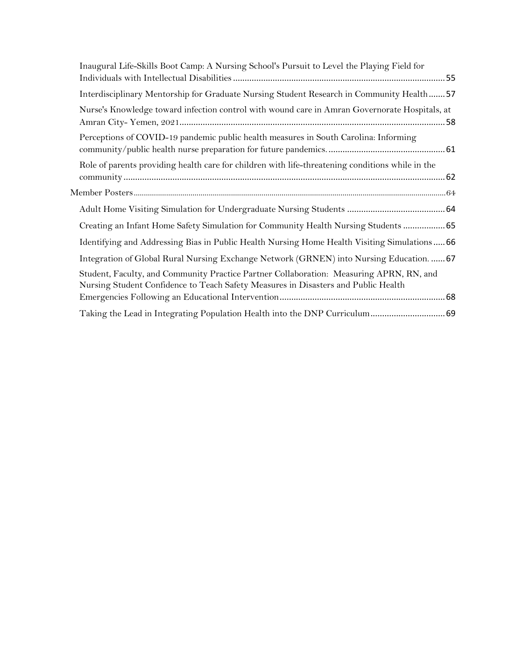| Inaugural Life-Skills Boot Camp: A Nursing School's Pursuit to Level the Playing Field for                                                                                    |
|-------------------------------------------------------------------------------------------------------------------------------------------------------------------------------|
| Interdisciplinary Mentorship for Graduate Nursing Student Research in Community Health57                                                                                      |
| Nurse's Knowledge toward infection control with wound care in Amran Governorate Hospitals, at                                                                                 |
| Perceptions of COVID-19 pandemic public health measures in South Carolina: Informing                                                                                          |
| Role of parents providing health care for children with life-threatening conditions while in the                                                                              |
|                                                                                                                                                                               |
|                                                                                                                                                                               |
| Creating an Infant Home Safety Simulation for Community Health Nursing Students  65                                                                                           |
| Identifying and Addressing Bias in Public Health Nursing Home Health Visiting Simulations66                                                                                   |
| Integration of Global Rural Nursing Exchange Network (GRNEN) into Nursing Education.  67                                                                                      |
| Student, Faculty, and Community Practice Partner Collaboration: Measuring APRN, RN, and<br>Nursing Student Confidence to Teach Safety Measures in Disasters and Public Health |
|                                                                                                                                                                               |
|                                                                                                                                                                               |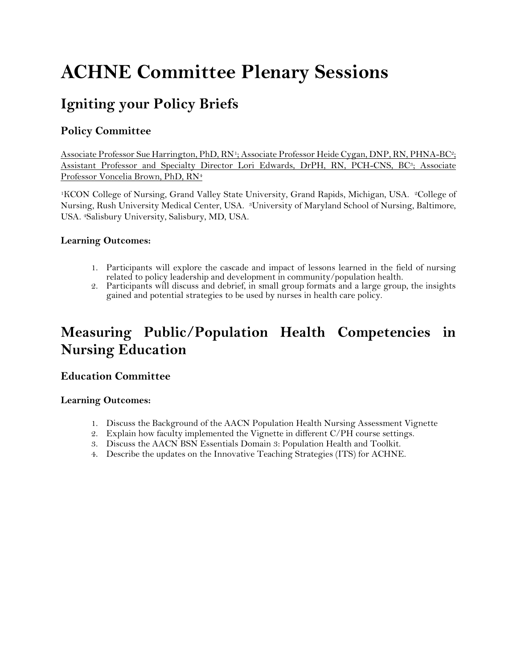# <span id="page-3-0"></span>**ACHNE Committee Plenary Sessions**

## <span id="page-3-1"></span>**Igniting your Policy Briefs**

## <span id="page-3-2"></span>**Policy Committee**

Associate Professor Sue Harrington, PhD, RN1; Associate Professor Heide Cygan, DNP, RN, PHNA-BC2; Assistant Professor and Specialty Director Lori Edwards, DrPH, RN, PCH-CNS, BC3; Associate Professor Voncelia Brown, PhD, RN<sup>4</sup>

<sup>1</sup>KCON College of Nursing, Grand Valley State University, Grand Rapids, Michigan, USA. <sup>2</sup>College of Nursing, Rush University Medical Center, USA. 3University of Maryland School of Nursing, Baltimore, USA. 4Salisbury University, Salisbury, MD, USA.

#### **Learning Outcomes:**

- 1. Participants will explore the cascade and impact of lessons learned in the field of nursing related to policy leadership and development in community/population health.
- 2. Participants will discuss and debrief, in small group formats and a large group, the insights gained and potential strategies to be used by nurses in health care policy.

## <span id="page-3-3"></span>**Measuring Public/Population Health Competencies in Nursing Education**

### <span id="page-3-4"></span>**Education Committee**

#### **Learning Outcomes:**

- 1. Discuss the Background of the AACN Population Health Nursing Assessment Vignette
- 2. Explain how faculty implemented the Vignette in different C/PH course settings.
- 3. Discuss the AACN BSN Essentials Domain 3: Population Health and Toolkit.
- 4. Describe the updates on the Innovative Teaching Strategies (ITS) for ACHNE.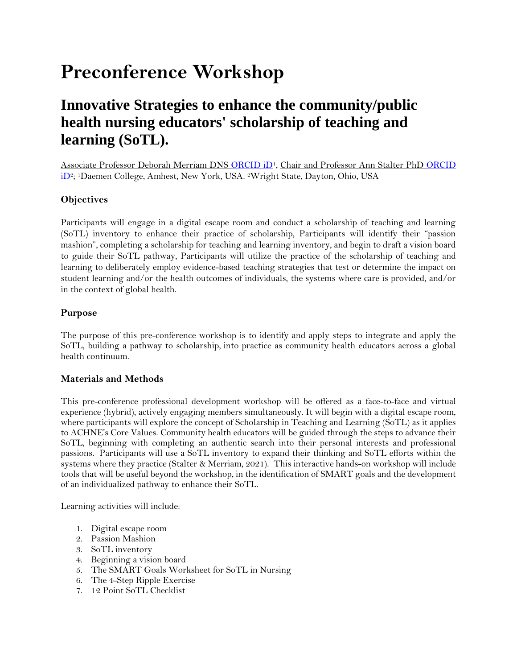# <span id="page-4-0"></span>**Preconference Workshop**

## <span id="page-4-1"></span>**Innovative Strategies to enhance the community/public health nursing educators' scholarship of teaching and learning (SoTL).**

Associate Professor Deborah Merriam DNS [ORCID iD](https://orcid.org/0000-0002-8928-8009)1, Chair and Professor Ann Stalter PhD [ORCID](https://orcid.org/0000-0001-8975-2695)  [iD](https://orcid.org/0000-0001-8975-2695)2; 1Daemen College, Amhest, New York, USA. 2Wright State, Dayton, Ohio, USA

#### **Objectives**

Participants will engage in a digital escape room and conduct a scholarship of teaching and learning (SoTL) inventory to enhance their practice of scholarship, Participants will identify their "passion mashion", completing a scholarship for teaching and learning inventory, and begin to draft a vision board to guide their SoTL pathway, Participants will utilize the practice of the scholarship of teaching and learning to deliberately employ evidence-based teaching strategies that test or determine the impact on student learning and/or the health outcomes of individuals, the systems where care is provided, and/or in the context of global health.

#### **Purpose**

The purpose of this pre-conference workshop is to identify and apply steps to integrate and apply the SoTL, building a pathway to scholarship, into practice as community health educators across a global health continuum.

#### **Materials and Methods**

This pre-conference professional development workshop will be offered as a face-to-face and virtual experience (hybrid), actively engaging members simultaneously. It will begin with a digital escape room, where participants will explore the concept of Scholarship in Teaching and Learning (SoTL) as it applies to ACHNE's Core Values. Community health educators will be guided through the steps to advance their SoTL, beginning with completing an authentic search into their personal interests and professional passions. Participants will use a SoTL inventory to expand their thinking and SoTL efforts within the systems where they practice (Stalter & Merriam, 2021). This interactive hands-on workshop will include tools that will be useful beyond the workshop, in the identification of SMART goals and the development of an individualized pathway to enhance their SoTL.

Learning activities will include:

- 1. Digital escape room
- 2. Passion Mashion
- 3. SoTL inventory
- 4. Beginning a vision board
- 5. The SMART Goals Worksheet for SoTL in Nursing
- 6. The 4-Step Ripple Exercise
- 7. 12 Point SoTL Checklist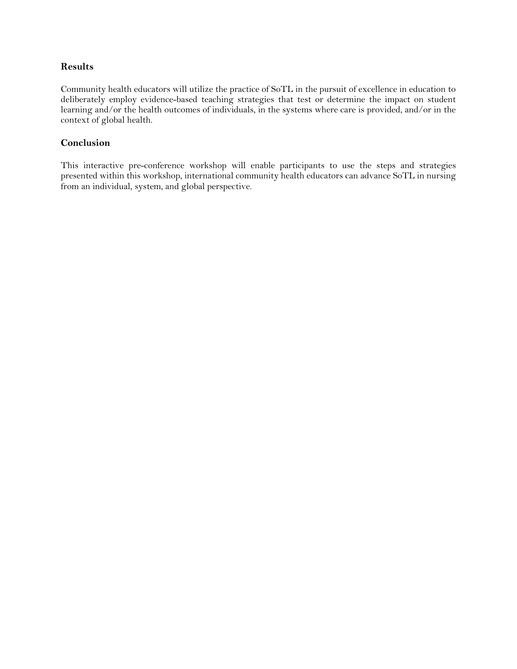#### **Results**

Community health educators will utilize the practice of SoTL in the pursuit of excellence in education to deliberately employ evidence-based teaching strategies that test or determine the impact on student learning and/or the health outcomes of individuals, in the systems where care is provided, and/or in the context of global health.

#### **Conclusion**

This interactive pre-conference workshop will enable participants to use the steps and strategies presented within this workshop, international community health educators can advance SoTL in nursing from an individual, system, and global perspective.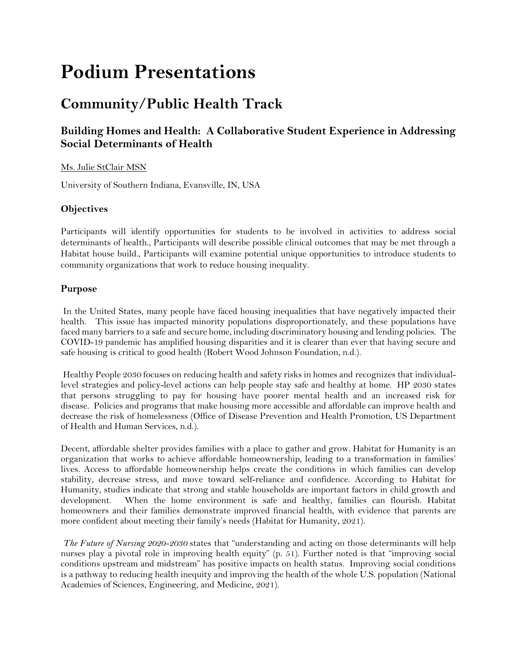# <span id="page-6-0"></span>**Podium Presentations**

## <span id="page-6-1"></span>**Community/Public Health Track**

## <span id="page-6-2"></span>**Building Homes and Health: A Collaborative Student Experience in Addressing Social Determinants of Health**

#### Ms. Julie StClair MSN

University of Southern Indiana, Evansville, IN, USA

#### **Objectives**

Participants will identify opportunities for students to be involved in activities to address social determinants of health., Participants will describe possible clinical outcomes that may be met through a Habitat house build., Participants will examine potential unique opportunities to introduce students to community organizations that work to reduce housing inequality.

#### **Purpose**

In the United States, many people have faced housing inequalities that have negatively impacted their health. This issue has impacted minority populations disproportionately, and these populations have faced many barriers to a safe and secure home, including discriminatory housing and lending policies. The COVID-19 pandemic has amplified housing disparities and it is clearer than ever that having secure and safe housing is critical to good health (Robert Wood Johnson Foundation, n.d.).

Healthy People 2030 focuses on reducing health and safety risks in homes and recognizes that individuallevel strategies and policy-level actions can help people stay safe and healthy at home. HP 2030 states that persons struggling to pay for housing have poorer mental health and an increased risk for disease. Policies and programs that make housing more accessible and affordable can improve health and decrease the risk of homelessness (Office of Disease Prevention and Health Promotion, US Department of Health and Human Services, n.d.).

Decent, affordable shelter provides families with a place to gather and grow. Habitat for Humanity is an organization that works to achieve affordable homeownership, leading to a transformation in families' lives. Access to affordable homeownership helps create the conditions in which families can develop stability, decrease stress, and move toward self-reliance and confidence. According to Habitat for Humanity, studies indicate that strong and stable households are important factors in child growth and development. When the home environment is safe and healthy, families can flourish. Habitat homeowners and their families demonstrate improved financial health, with evidence that parents are more confident about meeting their family's needs (Habitat for Humanity, 2021).

*The Future of Nursing 2020-2030* states that "understanding and acting on those determinants will help nurses play a pivotal role in improving health equity" (p. 51). Further noted is that "improving social conditions upstream and midstream" has positive impacts on health status. Improving social conditions is a pathway to reducing health inequity and improving the health of the whole U.S. population (National Academies of Sciences, Engineering, and Medicine, 2021).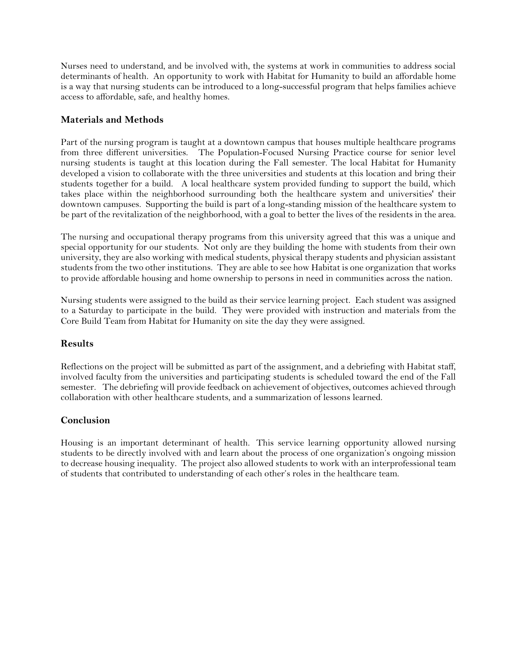Nurses need to understand, and be involved with, the systems at work in communities to address social determinants of health. An opportunity to work with Habitat for Humanity to build an affordable home is a way that nursing students can be introduced to a long-successful program that helps families achieve access to affordable, safe, and healthy homes.

#### **Materials and Methods**

Part of the nursing program is taught at a downtown campus that houses multiple healthcare programs from three different universities. The Population-Focused Nursing Practice course for senior level nursing students is taught at this location during the Fall semester. The local Habitat for Humanity developed a vision to collaborate with the three universities and students at this location and bring their students together for a build. A local healthcare system provided funding to support the build, which takes place within the neighborhood surrounding both the healthcare system and universities' their downtown campuses. Supporting the build is part of a long-standing mission of the healthcare system to be part of the revitalization of the neighborhood, with a goal to better the lives of the residents in the area.

The nursing and occupational therapy programs from this university agreed that this was a unique and special opportunity for our students. Not only are they building the home with students from their own university, they are also working with medical students, physical therapy students and physician assistant students from the two other institutions. They are able to see how Habitat is one organization that works to provide affordable housing and home ownership to persons in need in communities across the nation.

Nursing students were assigned to the build as their service learning project. Each student was assigned to a Saturday to participate in the build. They were provided with instruction and materials from the Core Build Team from Habitat for Humanity on site the day they were assigned.

#### **Results**

Reflections on the project will be submitted as part of the assignment, and a debriefing with Habitat staff, involved faculty from the universities and participating students is scheduled toward the end of the Fall semester. The debriefing will provide feedback on achievement of objectives, outcomes achieved through collaboration with other healthcare students, and a summarization of lessons learned.

#### **Conclusion**

<span id="page-7-0"></span>Housing is an important determinant of health. This service learning opportunity allowed nursing students to be directly involved with and learn about the process of one organization's ongoing mission to decrease housing inequality. The project also allowed students to work with an interprofessional team of students that contributed to understanding of each other's roles in the healthcare team.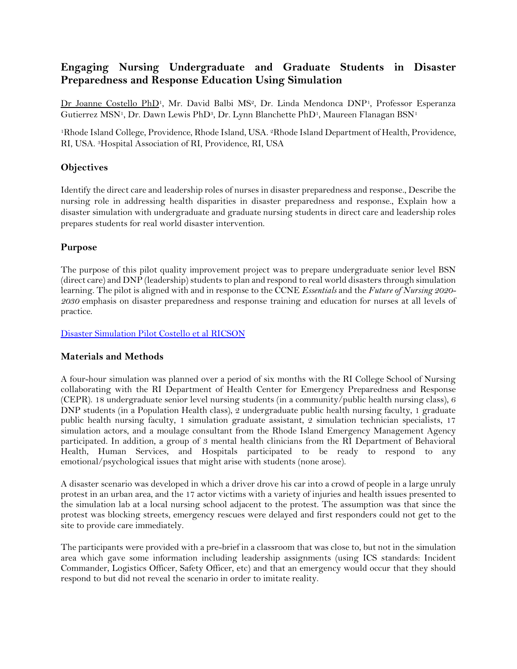## **Engaging Nursing Undergraduate and Graduate Students in Disaster Preparedness and Response Education Using Simulation**

Dr Joanne Costello PhD<sup>1</sup>, Mr. David Balbi MS<sup>2</sup>, Dr. Linda Mendonca DNP<sup>1</sup>, Professor Esperanza Gutierrez MSN<sup>1</sup>, Dr. Dawn Lewis PhD<sup>3</sup>, Dr. Lynn Blanchette PhD<sup>1</sup>, Maureen Flanagan BSN<sup>1</sup>

<sup>1</sup>Rhode Island College, Providence, Rhode Island, USA. 2Rhode Island Department of Health, Providence, RI, USA. 3Hospital Association of RI, Providence, RI, USA

#### **Objectives**

Identify the direct care and leadership roles of nurses in disaster preparedness and response., Describe the nursing role in addressing health disparities in disaster preparedness and response., Explain how a disaster simulation with undergraduate and graduate nursing students in direct care and leadership roles prepares students for real world disaster intervention.

#### **Purpose**

The purpose of this pilot quality improvement project was to prepare undergraduate senior level BSN (direct care) and DNP (leadership) students to plan and respond to real world disasters through simulation learning. The pilot is aligned with and in response to the CCNE *Essentials* and the *Future of Nursing 2020- 2030* emphasis on disaster preparedness and response training and education for nurses at all levels of practice.

[Disaster Simulation Pilot Costello et al RICSON](https://www.ric.edu/news-events/news/school-nursing-takes-simulated-disaster)

#### **Materials and Methods**

A four-hour simulation was planned over a period of six months with the RI College School of Nursing collaborating with the RI Department of Health Center for Emergency Preparedness and Response (CEPR). 18 undergraduate senior level nursing students (in a community/public health nursing class), 6 DNP students (in a Population Health class), 2 undergraduate public health nursing faculty, 1 graduate public health nursing faculty, 1 simulation graduate assistant, 2 simulation technician specialists, 17 simulation actors, and a moulage consultant from the Rhode Island Emergency Management Agency participated. In addition, a group of 3 mental health clinicians from the RI Department of Behavioral Health, Human Services, and Hospitals participated to be ready to respond to any emotional/psychological issues that might arise with students (none arose).

A disaster scenario was developed in which a driver drove his car into a crowd of people in a large unruly protest in an urban area, and the 17 actor victims with a variety of injuries and health issues presented to the simulation lab at a local nursing school adjacent to the protest. The assumption was that since the protest was blocking streets, emergency rescues were delayed and first responders could not get to the site to provide care immediately.

The participants were provided with a pre-brief in a classroom that was close to, but not in the simulation area which gave some information including leadership assignments (using ICS standards: Incident Commander, Logistics Officer, Safety Officer, etc) and that an emergency would occur that they should respond to but did not reveal the scenario in order to imitate reality.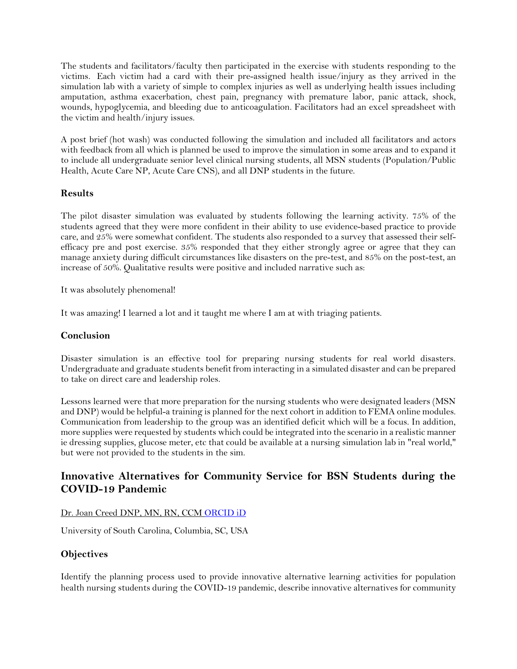The students and facilitators/faculty then participated in the exercise with students responding to the victims. Each victim had a card with their pre-assigned health issue/injury as they arrived in the simulation lab with a variety of simple to complex injuries as well as underlying health issues including amputation, asthma exacerbation, chest pain, pregnancy with premature labor, panic attack, shock, wounds, hypoglycemia, and bleeding due to anticoagulation. Facilitators had an excel spreadsheet with the victim and health/injury issues.

A post brief (hot wash) was conducted following the simulation and included all facilitators and actors with feedback from all which is planned be used to improve the simulation in some areas and to expand it to include all undergraduate senior level clinical nursing students, all MSN students (Population/Public Health, Acute Care NP, Acute Care CNS), and all DNP students in the future.

#### **Results**

The pilot disaster simulation was evaluated by students following the learning activity. 75% of the students agreed that they were more confident in their ability to use evidence-based practice to provide care, and 25% were somewhat confident. The students also responded to a survey that assessed their selfefficacy pre and post exercise. 35% responded that they either strongly agree or agree that they can manage anxiety during difficult circumstances like disasters on the pre-test, and 85% on the post-test, an increase of 50%. Qualitative results were positive and included narrative such as:

It was absolutely phenomenal!

It was amazing! I learned a lot and it taught me where I am at with triaging patients.

#### **Conclusion**

Disaster simulation is an effective tool for preparing nursing students for real world disasters. Undergraduate and graduate students benefit from interacting in a simulated disaster and can be prepared to take on direct care and leadership roles.

Lessons learned were that more preparation for the nursing students who were designated leaders (MSN and DNP) would be helpful-a training is planned for the next cohort in addition to FEMA online modules. Communication from leadership to the group was an identified deficit which will be a focus. In addition, more supplies were requested by students which could be integrated into the scenario in a realistic manner ie dressing supplies, glucose meter, etc that could be available at a nursing simulation lab in "real world," but were not provided to the students in the sim.

## <span id="page-9-0"></span>**Innovative Alternatives for Community Service for BSN Students during the COVID-19 Pandemic**

#### Dr. Joan Creed DNP, MN, RN, CCM [ORCID iD](https://orcid.org/0000-0003-1251-2938)

University of South Carolina, Columbia, SC, USA

#### **Objectives**

Identify the planning process used to provide innovative alternative learning activities for population health nursing students during the COVID-19 pandemic, describe innovative alternatives for community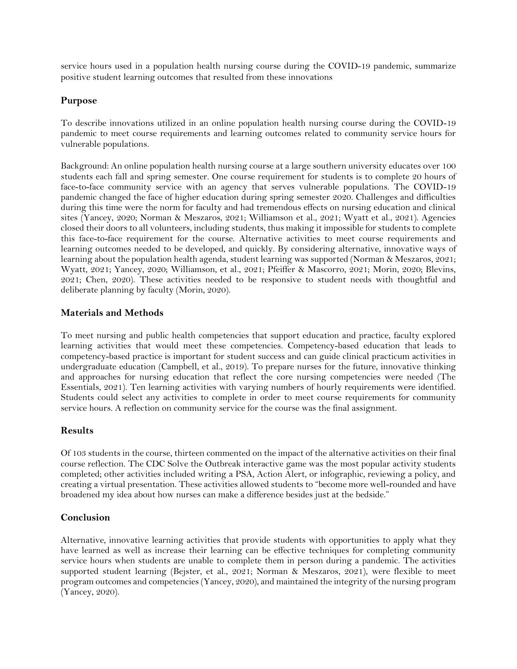service hours used in a population health nursing course during the COVID-19 pandemic, summarize positive student learning outcomes that resulted from these innovations

#### **Purpose**

To describe innovations utilized in an online population health nursing course during the COVID-19 pandemic to meet course requirements and learning outcomes related to community service hours for vulnerable populations.

Background: An online population health nursing course at a large southern university educates over 100 students each fall and spring semester. One course requirement for students is to complete 20 hours of face-to-face community service with an agency that serves vulnerable populations. The COVID-19 pandemic changed the face of higher education during spring semester 2020. Challenges and difficulties during this time were the norm for faculty and had tremendous effects on nursing education and clinical sites (Yancey, 2020; Norman & Meszaros, 2021; Williamson et al., 2021; Wyatt et al., 2021). Agencies closed their doors to all volunteers, including students, thus making it impossible for students to complete this face-to-face requirement for the course. Alternative activities to meet course requirements and learning outcomes needed to be developed, and quickly. By considering alternative, innovative ways of learning about the population health agenda, student learning was supported (Norman & Meszaros, 2021; Wyatt, 2021; Yancey, 2020; Williamson, et al., 2021; Pfeiffer & Mascorro, 2021; Morin, 2020; Blevins, 2021; Chen, 2020). These activities needed to be responsive to student needs with thoughtful and deliberate planning by faculty (Morin, 2020).

#### **Materials and Methods**

To meet nursing and public health competencies that support education and practice, faculty explored learning activities that would meet these competencies. Competency-based education that leads to competency-based practice is important for student success and can guide clinical practicum activities in undergraduate education (Campbell, et al., 2019). To prepare nurses for the future, innovative thinking and approaches for nursing education that reflect the core nursing competencies were needed (The Essentials, 2021). Ten learning activities with varying numbers of hourly requirements were identified. Students could select any activities to complete in order to meet course requirements for community service hours. A reflection on community service for the course was the final assignment.

#### **Results**

Of 103 students in the course, thirteen commented on the impact of the alternative activities on their final course reflection. The CDC Solve the Outbreak interactive game was the most popular activity students completed; other activities included writing a PSA, Action Alert, or infographic, reviewing a policy, and creating a virtual presentation. These activities allowed students to "become more well-rounded and have broadened my idea about how nurses can make a difference besides just at the bedside."

#### **Conclusion**

Alternative, innovative learning activities that provide students with opportunities to apply what they have learned as well as increase their learning can be effective techniques for completing community service hours when students are unable to complete them in person during a pandemic. The activities supported student learning (Bejster, et al., 2021; Norman & Meszaros, 2021), were flexible to meet program outcomes and competencies (Yancey, 2020), and maintained the integrity of the nursing program (Yancey, 2020).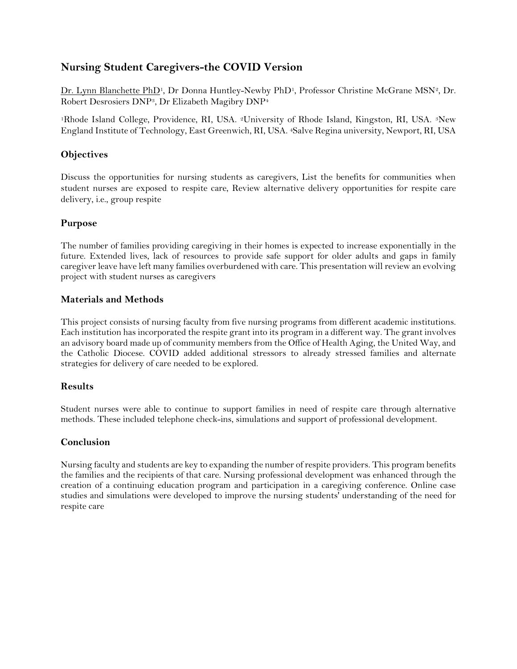## <span id="page-11-0"></span>**Nursing Student Caregivers-the COVID Version**

Dr. Lynn Blanchette PhD<sup>1</sup>, Dr Donna Huntley-Newby PhD<sup>1</sup>, Professor Christine McGrane MSN<sup>2</sup>, Dr. Robert Desrosiers DNP3, Dr Elizabeth Magibry DNP<sup>4</sup>

<sup>1</sup>Rhode Island College, Providence, RI, USA. 2University of Rhode Island, Kingston, RI, USA. 3New England Institute of Technology, East Greenwich, RI, USA. 4Salve Regina university, Newport, RI, USA

#### **Objectives**

Discuss the opportunities for nursing students as caregivers, List the benefits for communities when student nurses are exposed to respite care, Review alternative delivery opportunities for respite care delivery, i.e., group respite

#### **Purpose**

The number of families providing caregiving in their homes is expected to increase exponentially in the future. Extended lives, lack of resources to provide safe support for older adults and gaps in family caregiver leave have left many families overburdened with care. This presentation will review an evolving project with student nurses as caregivers

#### **Materials and Methods**

This project consists of nursing faculty from five nursing programs from different academic institutions. Each institution has incorporated the respite grant into its program in a different way. The grant involves an advisory board made up of community members from the Office of Health Aging, the United Way, and the Catholic Diocese. COVID added additional stressors to already stressed families and alternate strategies for delivery of care needed to be explored.

#### **Results**

Student nurses were able to continue to support families in need of respite care through alternative methods. These included telephone check-ins, simulations and support of professional development.

#### **Conclusion**

<span id="page-11-1"></span>Nursing faculty and students are key to expanding the number of respite providers. This program benefits the families and the recipients of that care. Nursing professional development was enhanced through the creation of a continuing education program and participation in a caregiving conference. Online case studies and simulations were developed to improve the nursing students' understanding of the need for respite care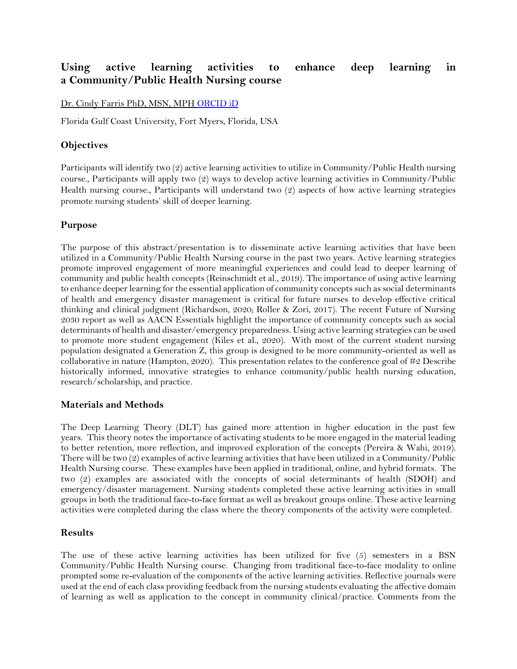### **Using active learning activities to enhance deep learning in a Community/Public Health Nursing course**

Dr. Cindy Farris PhD, MSN, MPH [ORCID iD](https://orcid.org/0000-0001-9422-2998)

Florida Gulf Coast University, Fort Myers, Florida, USA

#### **Objectives**

Participants will identify two (2) active learning activities to utilize in Community/Public Health nursing course., Participants will apply two (2) ways to develop active learning activities in Community/Public Health nursing course., Participants will understand two (2) aspects of how active learning strategies promote nursing students' skill of deeper learning.

#### **Purpose**

The purpose of this abstract/presentation is to disseminate active learning activities that have been utilized in a Community/Public Health Nursing course in the past two years. Active learning strategies promote improved engagement of more meaningful experiences and could lead to deeper learning of community and public health concepts (Reinschmidt et al., 2019). The importance of using active learning to enhance deeper learning for the essential application of community concepts such as social determinants of health and emergency disaster management is critical for future nurses to develop effective critical thinking and clinical judgment (Richardson, 2020; Roller & Zori, 2017). The recent Future of Nursing 2030 report as well as AACN Essentials highlight the importance of community concepts such as social determinants of health and disaster/emergency preparedness. Using active learning strategies can be used to promote more student engagement (Kiles et al., 2020). With most of the current student nursing population designated a Generation Z, this group is designed to be more community-oriented as well as collaborative in nature (Hampton, 2020). This presentation relates to the conference goal of  $\#2$  Describe historically informed, innovative strategies to enhance community/public health nursing education, research/scholarship, and practice.

#### **Materials and Methods**

The Deep Learning Theory (DLT) has gained more attention in higher education in the past few years. This theory notes the importance of activating students to be more engaged in the material leading to better retention, more reflection, and improved exploration of the concepts (Pereira & Wahi, 2019). There will be two (2) examples of active learning activities that have been utilized in a Community/Public Health Nursing course. These examples have been applied in traditional, online, and hybrid formats. The two (2) examples are associated with the concepts of social determinants of health (SDOH) and emergency/disaster management. Nursing students completed these active learning activities in small groups in both the traditional face-to-face format as well as breakout groups online. These active learning activities were completed during the class where the theory components of the activity were completed.

#### **Results**

The use of these active learning activities has been utilized for five (5) semesters in a BSN Community/Public Health Nursing course. Changing from traditional face-to-face modality to online prompted some re-evaluation of the components of the active learning activities. Reflective journals were used at the end of each class providing feedback from the nursing students evaluating the affective domain of learning as well as application to the concept in community clinical/practice. Comments from the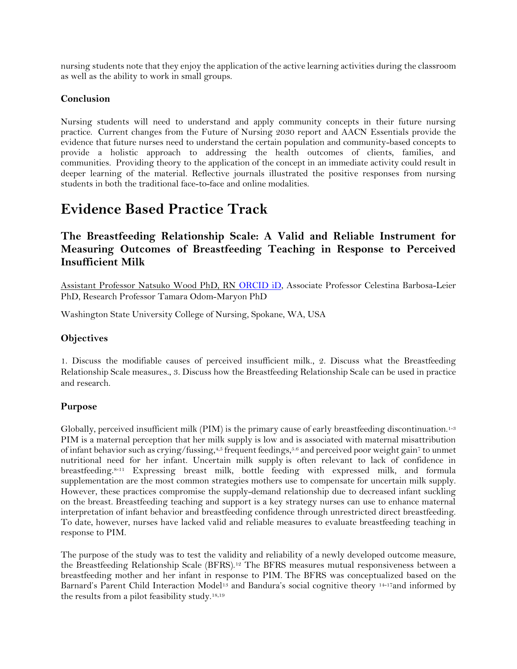nursing students note that they enjoy the application of the active learning activities during the classroom as well as the ability to work in small groups.

#### **Conclusion**

Nursing students will need to understand and apply community concepts in their future nursing practice. Current changes from the Future of Nursing 2030 report and AACN Essentials provide the evidence that future nurses need to understand the certain population and community-based concepts to provide a holistic approach to addressing the health outcomes of clients, families, and communities. Providing theory to the application of the concept in an immediate activity could result in deeper learning of the material. Reflective journals illustrated the positive responses from nursing students in both the traditional face-to-face and online modalities.

## <span id="page-13-0"></span>**Evidence Based Practice Track**

## <span id="page-13-1"></span>**The Breastfeeding Relationship Scale: A Valid and Reliable Instrument for Measuring Outcomes of Breastfeeding Teaching in Response to Perceived Insufficient Milk**

Assistant Professor Natsuko Wood PhD, RN [ORCID iD,](https://orcid.org/0000-0001-7689-4774) Associate Professor Celestina Barbosa-Leier PhD, Research Professor Tamara Odom-Maryon PhD

Washington State University College of Nursing, Spokane, WA, USA

#### **Objectives**

1. Discuss the modifiable causes of perceived insufficient milk., 2. Discuss what the Breastfeeding Relationship Scale measures., 3. Discuss how the Breastfeeding Relationship Scale can be used in practice and research.

#### **Purpose**

Globally, perceived insufficient milk (PIM) is the primary cause of early breastfeeding discontinuation.<sup>1-3</sup> PIM is a maternal perception that her milk supply is low and is associated with maternal misattribution of infant behavior such as crying/fussing,<sup>4,5</sup> frequent feedings,<sup>5.6</sup> and perceived poor weight gain<sup>7</sup> to unmet nutritional need for her infant. Uncertain milk supply is often relevant to lack of confidence in breastfeeding.8-11 Expressing breast milk, bottle feeding with expressed milk, and formula supplementation are the most common strategies mothers use to compensate for uncertain milk supply. However, these practices compromise the supply-demand relationship due to decreased infant suckling on the breast. Breastfeeding teaching and support is a key strategy nurses can use to enhance maternal interpretation of infant behavior and breastfeeding confidence through unrestricted direct breastfeeding. To date, however, nurses have lacked valid and reliable measures to evaluate breastfeeding teaching in response to PIM.

The purpose of the study was to test the validity and reliability of a newly developed outcome measure, the Breastfeeding Relationship Scale (BFRS).<sup>12</sup> The BFRS measures mutual responsiveness between a breastfeeding mother and her infant in response to PIM. The BFRS was conceptualized based on the Barnard's Parent Child Interaction Model<sup>13</sup> and Bandura's social cognitive theory <sup>14-17</sup>and informed by the results from a pilot feasibility study.18,19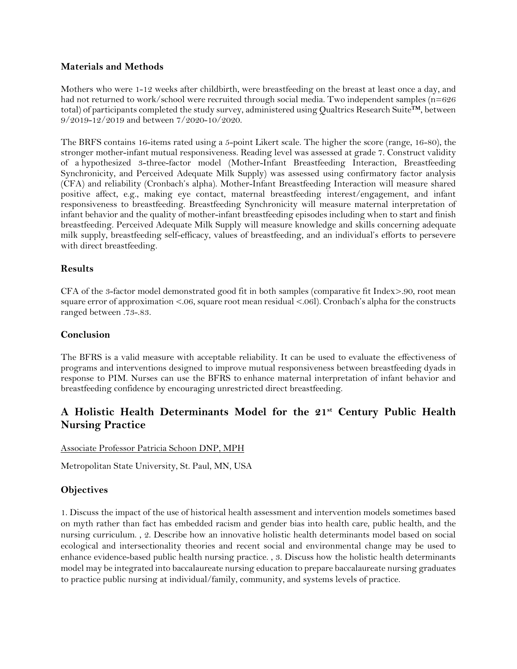#### **Materials and Methods**

Mothers who were 1-12 weeks after childbirth, were breastfeeding on the breast at least once a day, and had not returned to work/school were recruited through social media. Two independent samples (n=626 total) of participants completed the study survey, administered using Qualtrics Research Suite™, between 9/2019-12/2019 and between 7/2020-10/2020.

The BRFS contains 16-items rated using a 5-point Likert scale. The higher the score (range, 16-80), the stronger mother-infant mutual responsiveness. Reading level was assessed at grade 7. Construct validity of a hypothesized 3-three-factor model (Mother-Infant Breastfeeding Interaction, Breastfeeding Synchronicity, and Perceived Adequate Milk Supply) was assessed using confirmatory factor analysis (CFA) and reliability (Cronbach's alpha). Mother-Infant Breastfeeding Interaction will measure shared positive affect, e.g., making eye contact, maternal breastfeeding interest/engagement, and infant responsiveness to breastfeeding. Breastfeeding Synchronicity will measure maternal interpretation of infant behavior and the quality of mother-infant breastfeeding episodes including when to start and finish breastfeeding. Perceived Adequate Milk Supply will measure knowledge and skills concerning adequate milk supply, breastfeeding self-efficacy, values of breastfeeding, and an individual's efforts to persevere with direct breastfeeding.

#### **Results**

CFA of the 3-factor model demonstrated good fit in both samples (comparative fit Index>.90, root mean square error of approximation <.06, square root mean residual <.06l). Cronbach's alpha for the constructs ranged between .73-.83.

#### **Conclusion**

The BFRS is a valid measure with acceptable reliability. It can be used to evaluate the effectiveness of programs and interventions designed to improve mutual responsiveness between breastfeeding dyads in response to PIM. Nurses can use the BFRS to enhance maternal interpretation of infant behavior and breastfeeding confidence by encouraging unrestricted direct breastfeeding.

## <span id="page-14-0"></span>**A Holistic Health Determinants Model for the 21st Century Public Health Nursing Practice**

Associate Professor Patricia Schoon DNP, MPH

Metropolitan State University, St. Paul, MN, USA

#### **Objectives**

1. Discuss the impact of the use of historical health assessment and intervention models sometimes based on myth rather than fact has embedded racism and gender bias into health care, public health, and the nursing curriculum. , 2. Describe how an innovative holistic health determinants model based on social ecological and intersectionality theories and recent social and environmental change may be used to enhance evidence-based public health nursing practice. , 3. Discuss how the holistic health determinants model may be integrated into baccalaureate nursing education to prepare baccalaureate nursing graduates to practice public nursing at individual/family, community, and systems levels of practice.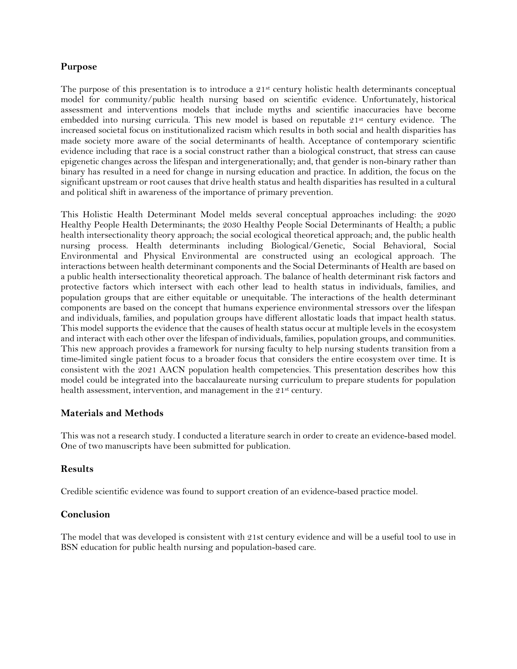#### **Purpose**

The purpose of this presentation is to introduce a  $21<sup>st</sup>$  century holistic health determinants conceptual model for community/public health nursing based on scientific evidence. Unfortunately, historical assessment and interventions models that include myths and scientific inaccuracies have become embedded into nursing curricula. This new model is based on reputable 21<sup>st</sup> century evidence. The increased societal focus on institutionalized racism which results in both social and health disparities has made society more aware of the social determinants of health. Acceptance of contemporary scientific evidence including that race is a social construct rather than a biological construct, that stress can cause epigenetic changes across the lifespan and intergenerationally; and, that gender is non-binary rather than binary has resulted in a need for change in nursing education and practice. In addition, the focus on the significant upstream or root causes that drive health status and health disparities has resulted in a cultural and political shift in awareness of the importance of primary prevention.

This Holistic Health Determinant Model melds several conceptual approaches including: the 2020 Healthy People Health Determinants; the 2030 Healthy People Social Determinants of Health; a public health intersectionality theory approach; the social ecological theoretical approach; and, the public health nursing process. Health determinants including Biological/Genetic, Social Behavioral, Social Environmental and Physical Environmental are constructed using an ecological approach. The interactions between health determinant components and the Social Determinants of Health are based on a public health intersectionality theoretical approach. The balance of health determinant risk factors and protective factors which intersect with each other lead to health status in individuals, families, and population groups that are either equitable or unequitable. The interactions of the health determinant components are based on the concept that humans experience environmental stressors over the lifespan and individuals, families, and population groups have different allostatic loads that impact health status. This model supports the evidence that the causes of health status occur at multiple levels in the ecosystem and interact with each other over the lifespan of individuals, families, population groups, and communities. This new approach provides a framework for nursing faculty to help nursing students transition from a time-limited single patient focus to a broader focus that considers the entire ecosystem over time. It is consistent with the 2021 AACN population health competencies. This presentation describes how this model could be integrated into the baccalaureate nursing curriculum to prepare students for population health assessment, intervention, and management in the 21<sup>st</sup> century.

#### **Materials and Methods**

This was not a research study. I conducted a literature search in order to create an evidence-based model. One of two manuscripts have been submitted for publication.

#### **Results**

Credible scientific evidence was found to support creation of an evidence-based practice model.

#### **Conclusion**

<span id="page-15-0"></span>The model that was developed is consistent with 21st century evidence and will be a useful tool to use in BSN education for public health nursing and population-based care.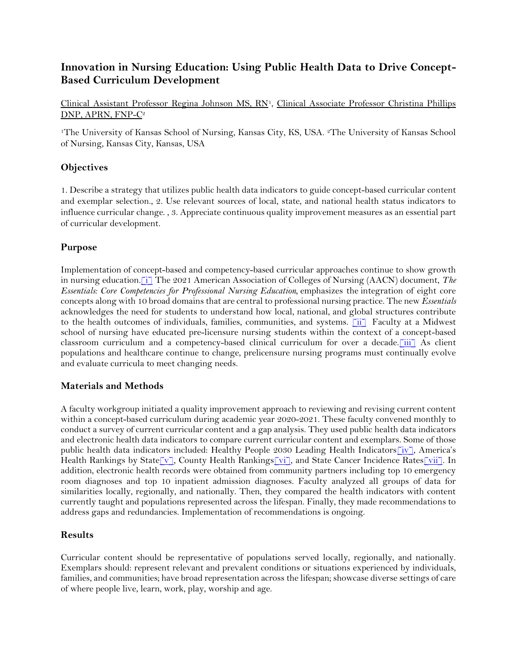## **Innovation in Nursing Education: Using Public Health Data to Drive Concept-Based Curriculum Development**

Clinical Assistant Professor Regina Johnson MS, RN<sup>1</sup>, Clinical Associate Professor Christina Phillips DNP, APRN, FNP-C<sup>2</sup>

<sup>1</sup>The University of Kansas School of Nursing, Kansas City, KS, USA. 2The University of Kansas School of Nursing, Kansas City, Kansas, USA

#### **Objectives**

1. Describe a strategy that utilizes public health data indicators to guide concept-based curricular content and exemplar selection., 2. Use relevant sources of local, state, and national health status indicators to influence curricular change. , 3. Appreciate continuous quality improvement measures as an essential part of curricular development.

#### **Purpose**

Implementation of concept-based and competency-based curricular approaches continue to show growth in nursing education.[i] The 2021 American Association of Colleges of Nursing (AACN) document, *The Essentials: Core Competencies for Professional Nursing Education,* emphasizes the integration of eight core concepts along with 10 broad domains that are central to professional nursing practice. The new *Essentials* acknowledges the need for students to understand how local, national, and global structures contribute to the health outcomes of individuals, families, communities, and systems.  $\boxed{\text{ii}}$  Faculty at a Midwest school of nursing have educated pre-licensure nursing students within the context of a concept-based classroom curriculum and a competency-based clinical curriculum for over a decade.[iii] As client populations and healthcare continue to change, prelicensure nursing programs must continually evolve and evaluate curricula to meet changing needs.

#### **Materials and Methods**

A faculty workgroup initiated a quality improvement approach to reviewing and revising current content within a concept-based curriculum during academic year 2020-2021. These faculty convened monthly to conduct a survey of current curricular content and a gap analysis. They used public health data indicators and electronic health data indicators to compare current curricular content and exemplars. Some of those public health data indicators included: Healthy People 2030 Leading Health Indicators[iv], America's Health Rankings by State[v], County Health Rankings[vi], and State Cancer Incidence Rates[vii]. In addition, electronic health records were obtained from community partners including top 10 emergency room diagnoses and top 10 inpatient admission diagnoses. Faculty analyzed all groups of data for similarities locally, regionally, and nationally. Then, they compared the health indicators with content currently taught and populations represented across the lifespan. Finally, they made recommendations to address gaps and redundancies. Implementation of recommendations is ongoing.

#### **Results**

Curricular content should be representative of populations served locally, regionally, and nationally. Exemplars should: represent relevant and prevalent conditions or situations experienced by individuals, families, and communities; have broad representation across the lifespan; showcase diverse settings of care of where people live, learn, work, play, worship and age.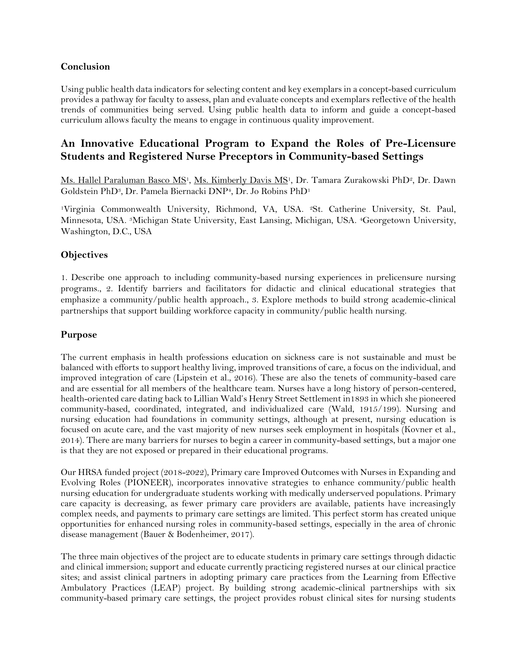#### **Conclusion**

Using public health data indicators for selecting content and key exemplars in a concept-based curriculum provides a pathway for faculty to assess, plan and evaluate concepts and exemplars reflective of the health trends of communities being served. Using public health data to inform and guide a concept-based curriculum allows faculty the means to engage in continuous quality improvement.

## <span id="page-17-0"></span>**An Innovative Educational Program to Expand the Roles of Pre-Licensure Students and Registered Nurse Preceptors in Community-based Settings**

Ms. Hallel Paraluman Basco MS<sup>1</sup>, Ms. Kimberly Davis MS<sup>1</sup>, Dr. Tamara Zurakowski PhD<sup>2</sup>, Dr. Dawn Goldstein PhD3, Dr. Pamela Biernacki DNP4, Dr. Jo Robins PhD<sup>1</sup>

<sup>1</sup>Virginia Commonwealth University, Richmond, VA, USA. 2St. Catherine University, St. Paul, Minnesota, USA. 3Michigan State University, East Lansing, Michigan, USA. 4Georgetown University, Washington, D.C., USA

#### **Objectives**

1. Describe one approach to including community-based nursing experiences in prelicensure nursing programs., 2. Identify barriers and facilitators for didactic and clinical educational strategies that emphasize a community/public health approach., 3. Explore methods to build strong academic-clinical partnerships that support building workforce capacity in community/public health nursing.

#### **Purpose**

The current emphasis in health professions education on sickness care is not sustainable and must be balanced with efforts to support healthy living, improved transitions of care, a focus on the individual, and improved integration of care (Lipstein et al., 2016). These are also the tenets of community-based care and are essential for all members of the healthcare team. Nurses have a long history of person-centered, health-oriented care dating back to Lillian Wald's Henry Street Settlement in1893 in which she pioneered community-based, coordinated, integrated, and individualized care (Wald, 1915/199). Nursing and nursing education had foundations in community settings, although at present, nursing education is focused on acute care, and the vast majority of new nurses seek employment in hospitals (Kovner et al., 2014). There are many barriers for nurses to begin a career in community-based settings, but a major one is that they are not exposed or prepared in their educational programs.

Our HRSA funded project (2018-2022), Primary care Improved Outcomes with Nurses in Expanding and Evolving Roles (PIONEER), incorporates innovative strategies to enhance community/public health nursing education for undergraduate students working with medically underserved populations. Primary care capacity is decreasing, as fewer primary care providers are available, patients have increasingly complex needs, and payments to primary care settings are limited. This perfect storm has created unique opportunities for enhanced nursing roles in community-based settings, especially in the area of chronic disease management (Bauer & Bodenheimer, 2017).

The three main objectives of the project are to educate students in primary care settings through didactic and clinical immersion; support and educate currently practicing registered nurses at our clinical practice sites; and assist clinical partners in adopting primary care practices from the Learning from Effective Ambulatory Practices (LEAP) project. By building strong academic-clinical partnerships with six community-based primary care settings, the project provides robust clinical sites for nursing students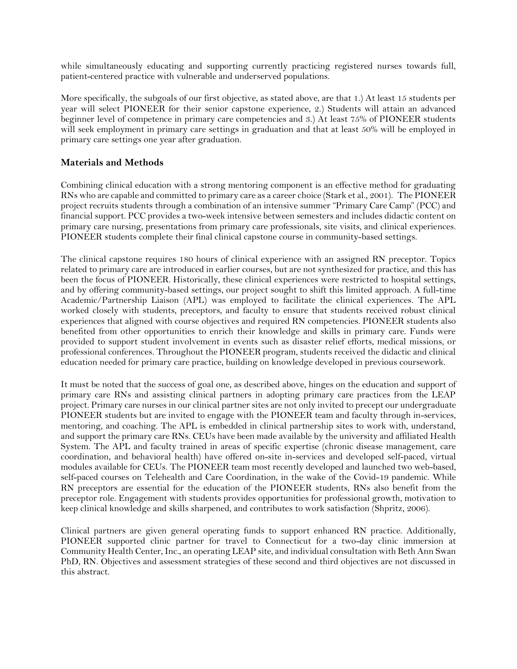while simultaneously educating and supporting currently practicing registered nurses towards full, patient-centered practice with vulnerable and underserved populations.

More specifically, the subgoals of our first objective, as stated above, are that 1.) At least 15 students per year will select PIONEER for their senior capstone experience, 2.) Students will attain an advanced beginner level of competence in primary care competencies and 3.) At least 75% of PIONEER students will seek employment in primary care settings in graduation and that at least 50% will be employed in primary care settings one year after graduation.

#### **Materials and Methods**

Combining clinical education with a strong mentoring component is an effective method for graduating RNs who are capable and committed to primary care as a career choice (Stark et al., 2001). The PIONEER project recruits students through a combination of an intensive summer "Primary Care Camp" (PCC) and financial support. PCC provides a two-week intensive between semesters and includes didactic content on primary care nursing, presentations from primary care professionals, site visits, and clinical experiences. PIONEER students complete their final clinical capstone course in community-based settings.

The clinical capstone requires 180 hours of clinical experience with an assigned RN preceptor. Topics related to primary care are introduced in earlier courses, but are not synthesized for practice, and this has been the focus of PIONEER. Historically, these clinical experiences were restricted to hospital settings, and by offering community-based settings, our project sought to shift this limited approach. A full-time Academic/Partnership Liaison (APL) was employed to facilitate the clinical experiences. The APL worked closely with students, preceptors, and faculty to ensure that students received robust clinical experiences that aligned with course objectives and required RN competencies. PIONEER students also benefited from other opportunities to enrich their knowledge and skills in primary care. Funds were provided to support student involvement in events such as disaster relief efforts, medical missions, or professional conferences. Throughout the PIONEER program, students received the didactic and clinical education needed for primary care practice, building on knowledge developed in previous coursework.

It must be noted that the success of goal one, as described above, hinges on the education and support of primary care RNs and assisting clinical partners in adopting primary care practices from the LEAP project. Primary care nurses in our clinical partner sites are not only invited to precept our undergraduate PIONEER students but are invited to engage with the PIONEER team and faculty through in-services, mentoring, and coaching. The APL is embedded in clinical partnership sites to work with, understand, and support the primary care RNs. CEUs have been made available by the university and affiliated Health System. The APL and faculty trained in areas of specific expertise (chronic disease management, care coordination, and behavioral health) have offered on-site in-services and developed self-paced, virtual modules available for CEUs. The PIONEER team most recently developed and launched two web-based, self-paced courses on Telehealth and Care Coordination, in the wake of the Covid-19 pandemic. While RN preceptors are essential for the education of the PIONEER students, RNs also benefit from the preceptor role. Engagement with students provides opportunities for professional growth, motivation to keep clinical knowledge and skills sharpened, and contributes to work satisfaction (Shpritz, 2006).

Clinical partners are given general operating funds to support enhanced RN practice. Additionally, PIONEER supported clinic partner for travel to Connecticut for a two-day clinic immersion at Community Health Center, Inc., an operating LEAP site, and individual consultation with Beth Ann Swan PhD, RN. Objectives and assessment strategies of these second and third objectives are not discussed in this abstract.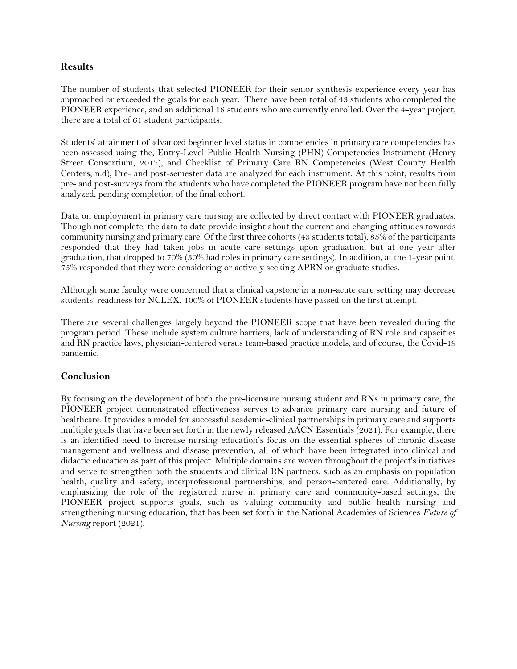#### **Results**

The number of students that selected PIONEER for their senior synthesis experience every year has approached or exceeded the goals for each year. There have been total of 43 students who completed the PIONEER experience, and an additional 18 students who are currently enrolled. Over the 4-year project, there are a total of 61 student participants.

Students' attainment of advanced beginner level status in competencies in primary care competencies has been assessed using the, Entry-Level Public Health Nursing (PHN) Competencies Instrument (Henry Street Consortium, 2017), and Checklist of Primary Care RN Competencies (West County Health Centers, n.d), Pre- and post-semester data are analyzed for each instrument. At this point, results from pre- and post-surveys from the students who have completed the PIONEER program have not been fully analyzed, pending completion of the final cohort.

Data on employment in primary care nursing are collected by direct contact with PIONEER graduates. Though not complete, the data to date provide insight about the current and changing attitudes towards community nursing and primary care. Of the first three cohorts (43 students total), 85% of the participants responded that they had taken jobs in acute care settings upon graduation, but at one year after graduation, that dropped to 70% (30% had roles in primary care settings). In addition, at the 1-year point, 75% responded that they were considering or actively seeking APRN or graduate studies.

Although some faculty were concerned that a clinical capstone in a non-acute care setting may decrease students' readiness for NCLEX, 100% of PIONEER students have passed on the first attempt.

There are several challenges largely beyond the PIONEER scope that have been revealed during the program period. These include system culture barriers, lack of understanding of RN role and capacities and RN practice laws, physician-centered versus team-based practice models, and of course, the Covid-19 pandemic.

#### **Conclusion**

<span id="page-19-0"></span>By focusing on the development of both the pre-licensure nursing student and RNs in primary care, the PIONEER project demonstrated effectiveness serves to advance primary care nursing and future of healthcare. It provides a model for successful academic-clinical partnerships in primary care and supports multiple goals that have been set forth in the newly released AACN Essentials (2021). For example, there is an identified need to increase nursing education's focus on the essential spheres of chronic disease management and wellness and disease prevention, all of which have been integrated into clinical and didactic education as part of this project. Multiple domains are woven throughout the project's initiatives and serve to strengthen both the students and clinical RN partners, such as an emphasis on population health, quality and safety, interprofessional partnerships, and person-centered care. Additionally, by emphasizing the role of the registered nurse in primary care and community-based settings, the PIONEER project supports goals, such as valuing community and public health nursing and strengthening nursing education, that has been set forth in the National Academies of Sciences *Future of Nursing* report (2021).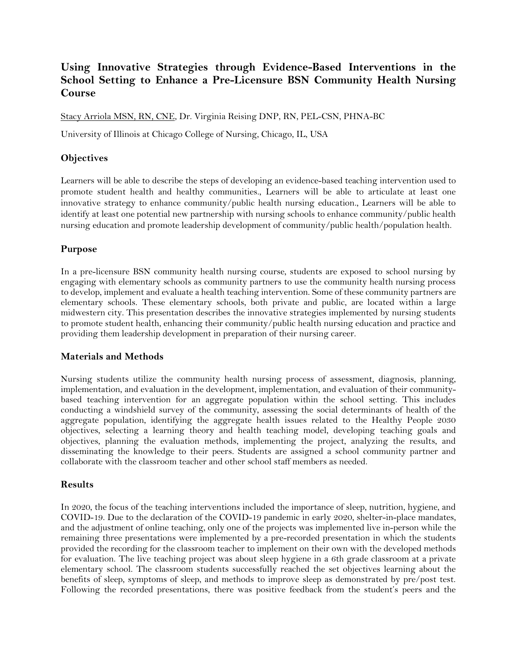## **Using Innovative Strategies through Evidence-Based Interventions in the School Setting to Enhance a Pre-Licensure BSN Community Health Nursing Course**

Stacy Arriola MSN, RN, CNE, Dr. Virginia Reising DNP, RN, PEL-CSN, PHNA-BC

University of Illinois at Chicago College of Nursing, Chicago, IL, USA

#### **Objectives**

Learners will be able to describe the steps of developing an evidence-based teaching intervention used to promote student health and healthy communities., Learners will be able to articulate at least one innovative strategy to enhance community/public health nursing education., Learners will be able to identify at least one potential new partnership with nursing schools to enhance community/public health nursing education and promote leadership development of community/public health/population health.

#### **Purpose**

In a pre-licensure BSN community health nursing course, students are exposed to school nursing by engaging with elementary schools as community partners to use the community health nursing process to develop, implement and evaluate a health teaching intervention. Some of these community partners are elementary schools. These elementary schools, both private and public, are located within a large midwestern city. This presentation describes the innovative strategies implemented by nursing students to promote student health, enhancing their community/public health nursing education and practice and providing them leadership development in preparation of their nursing career.

#### **Materials and Methods**

Nursing students utilize the community health nursing process of assessment, diagnosis, planning, implementation, and evaluation in the development, implementation, and evaluation of their communitybased teaching intervention for an aggregate population within the school setting. This includes conducting a windshield survey of the community, assessing the social determinants of health of the aggregate population, identifying the aggregate health issues related to the Healthy People 2030 objectives, selecting a learning theory and health teaching model, developing teaching goals and objectives, planning the evaluation methods, implementing the project, analyzing the results, and disseminating the knowledge to their peers. Students are assigned a school community partner and collaborate with the classroom teacher and other school staff members as needed.

#### **Results**

In 2020, the focus of the teaching interventions included the importance of sleep, nutrition, hygiene, and COVID-19. Due to the declaration of the COVID-19 pandemic in early 2020, shelter-in-place mandates, and the adjustment of online teaching, only one of the projects was implemented live in-person while the remaining three presentations were implemented by a pre-recorded presentation in which the students provided the recording for the classroom teacher to implement on their own with the developed methods for evaluation. The live teaching project was about sleep hygiene in a 6th grade classroom at a private elementary school. The classroom students successfully reached the set objectives learning about the benefits of sleep, symptoms of sleep, and methods to improve sleep as demonstrated by pre/post test. Following the recorded presentations, there was positive feedback from the student's peers and the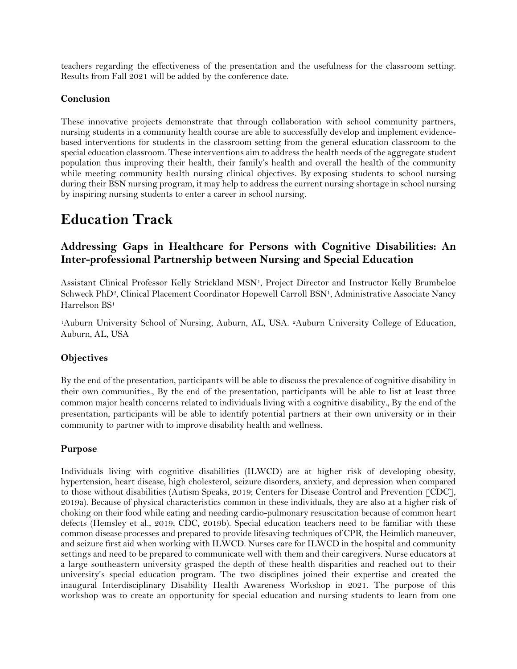teachers regarding the effectiveness of the presentation and the usefulness for the classroom setting. Results from Fall 2021 will be added by the conference date.

#### **Conclusion**

These innovative projects demonstrate that through collaboration with school community partners, nursing students in a community health course are able to successfully develop and implement evidencebased interventions for students in the classroom setting from the general education classroom to the special education classroom. These interventions aim to address the health needs of the aggregate student population thus improving their health, their family's health and overall the health of the community while meeting community health nursing clinical objectives. By exposing students to school nursing during their BSN nursing program, it may help to address the current nursing shortage in school nursing by inspiring nursing students to enter a career in school nursing.

## <span id="page-21-0"></span>**Education Track**

## <span id="page-21-1"></span>**Addressing Gaps in Healthcare for Persons with Cognitive Disabilities: An Inter-professional Partnership between Nursing and Special Education**

Assistant Clinical Professor Kelly Strickland MSN<sup>1</sup>, Project Director and Instructor Kelly Brumbeloe Schweck PhD<sup>2</sup>, Clinical Placement Coordinator Hopewell Carroll BSN<sup>1</sup>, Administrative Associate Nancy Harrelson BS<sup>1</sup>

<sup>1</sup>Auburn University School of Nursing, Auburn, AL, USA. 2Auburn University College of Education, Auburn, AL, USA

### **Objectives**

By the end of the presentation, participants will be able to discuss the prevalence of cognitive disability in their own communities., By the end of the presentation, participants will be able to list at least three common major health concerns related to individuals living with a cognitive disability., By the end of the presentation, participants will be able to identify potential partners at their own university or in their community to partner with to improve disability health and wellness.

#### **Purpose**

Individuals living with cognitive disabilities (ILWCD) are at higher risk of developing obesity, hypertension, heart disease, high cholesterol, seizure disorders, anxiety, and depression when compared to those without disabilities (Autism Speaks, 2019; Centers for Disease Control and Prevention [CDC], 2019a). Because of physical characteristics common in these individuals, they are also at a higher risk of choking on their food while eating and needing cardio-pulmonary resuscitation because of common heart defects (Hemsley et al., 2019; CDC, 2019b). Special education teachers need to be familiar with these common disease processes and prepared to provide lifesaving techniques of CPR, the Heimlich maneuver, and seizure first aid when working with ILWCD. Nurses care for ILWCD in the hospital and community settings and need to be prepared to communicate well with them and their caregivers. Nurse educators at a large southeastern university grasped the depth of these health disparities and reached out to their university's special education program. The two disciplines joined their expertise and created the inaugural Interdisciplinary Disability Health Awareness Workshop in 2021. The purpose of this workshop was to create an opportunity for special education and nursing students to learn from one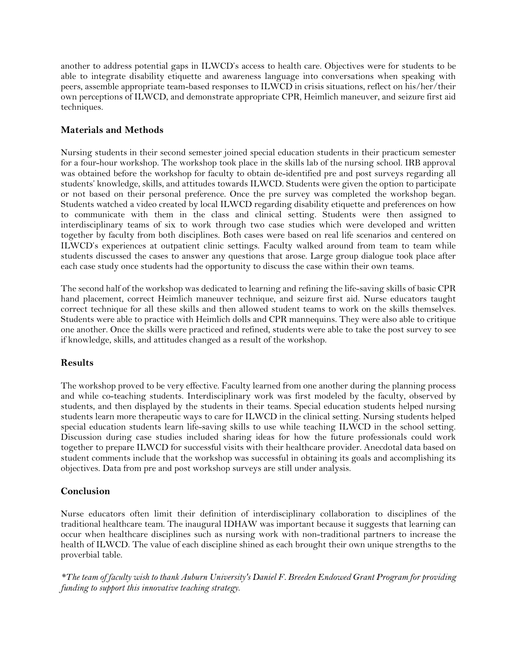another to address potential gaps in ILWCD's access to health care. Objectives were for students to be able to integrate disability etiquette and awareness language into conversations when speaking with peers, assemble appropriate team-based responses to ILWCD in crisis situations, reflect on his/her/their own perceptions of ILWCD, and demonstrate appropriate CPR, Heimlich maneuver, and seizure first aid techniques.

#### **Materials and Methods**

Nursing students in their second semester joined special education students in their practicum semester for a four-hour workshop. The workshop took place in the skills lab of the nursing school. IRB approval was obtained before the workshop for faculty to obtain de-identified pre and post surveys regarding all students' knowledge, skills, and attitudes towards ILWCD. Students were given the option to participate or not based on their personal preference. Once the pre survey was completed the workshop began. Students watched a video created by local ILWCD regarding disability etiquette and preferences on how to communicate with them in the class and clinical setting. Students were then assigned to interdisciplinary teams of six to work through two case studies which were developed and written together by faculty from both disciplines. Both cases were based on real life scenarios and centered on ILWCD's experiences at outpatient clinic settings. Faculty walked around from team to team while students discussed the cases to answer any questions that arose. Large group dialogue took place after each case study once students had the opportunity to discuss the case within their own teams.

The second half of the workshop was dedicated to learning and refining the life-saving skills of basic CPR hand placement, correct Heimlich maneuver technique, and seizure first aid. Nurse educators taught correct technique for all these skills and then allowed student teams to work on the skills themselves. Students were able to practice with Heimlich dolls and CPR mannequins. They were also able to critique one another. Once the skills were practiced and refined, students were able to take the post survey to see if knowledge, skills, and attitudes changed as a result of the workshop.

#### **Results**

The workshop proved to be very effective. Faculty learned from one another during the planning process and while co-teaching students. Interdisciplinary work was first modeled by the faculty, observed by students, and then displayed by the students in their teams. Special education students helped nursing students learn more therapeutic ways to care for ILWCD in the clinical setting. Nursing students helped special education students learn life-saving skills to use while teaching ILWCD in the school setting. Discussion during case studies included sharing ideas for how the future professionals could work together to prepare ILWCD for successful visits with their healthcare provider. Anecdotal data based on student comments include that the workshop was successful in obtaining its goals and accomplishing its objectives. Data from pre and post workshop surveys are still under analysis.

#### **Conclusion**

Nurse educators often limit their definition of interdisciplinary collaboration to disciplines of the traditional healthcare team. The inaugural IDHAW was important because it suggests that learning can occur when healthcare disciplines such as nursing work with non-traditional partners to increase the health of ILWCD. The value of each discipline shined as each brought their own unique strengths to the proverbial table.

*\*The team of faculty wish to thank Auburn University's Daniel F. Breeden Endowed Grant Program for providing funding to support this innovative teaching strategy.*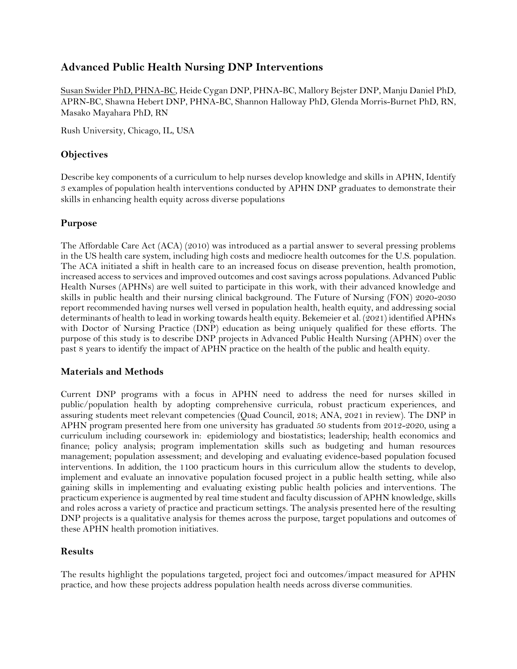## <span id="page-23-0"></span>**Advanced Public Health Nursing DNP Interventions**

Susan Swider PhD, PHNA-BC, Heide Cygan DNP, PHNA-BC, Mallory Bejster DNP, Manju Daniel PhD, APRN-BC, Shawna Hebert DNP, PHNA-BC, Shannon Halloway PhD, Glenda Morris-Burnet PhD, RN, Masako Mayahara PhD, RN

Rush University, Chicago, IL, USA

#### **Objectives**

Describe key components of a curriculum to help nurses develop knowledge and skills in APHN, Identify 3 examples of population health interventions conducted by APHN DNP graduates to demonstrate their skills in enhancing health equity across diverse populations

#### **Purpose**

The Affordable Care Act (ACA) (2010) was introduced as a partial answer to several pressing problems in the US health care system, including high costs and mediocre health outcomes for the U.S. population. The ACA initiated a shift in health care to an increased focus on disease prevention, health promotion, increased access to services and improved outcomes and cost savings across populations. Advanced Public Health Nurses (APHNs) are well suited to participate in this work, with their advanced knowledge and skills in public health and their nursing clinical background. The Future of Nursing (FON) 2020-2030 report recommended having nurses well versed in population health, health equity, and addressing social determinants of health to lead in working towards health equity. Bekemeier et al. (2021) identified APHNs with Doctor of Nursing Practice (DNP) education as being uniquely qualified for these efforts. The purpose of this study is to describe DNP projects in Advanced Public Health Nursing (APHN) over the past 8 years to identify the impact of APHN practice on the health of the public and health equity.

#### **Materials and Methods**

Current DNP programs with a focus in APHN need to address the need for nurses skilled in public/population health by adopting comprehensive curricula, robust practicum experiences, and assuring students meet relevant competencies (Quad Council, 2018; ANA, 2021 in review). The DNP in APHN program presented here from one university has graduated 50 students from 2012-2020, using a curriculum including coursework in: epidemiology and biostatistics; leadership; health economics and finance; policy analysis; program implementation skills such as budgeting and human resources management; population assessment; and developing and evaluating evidence-based population focused interventions. In addition, the 1100 practicum hours in this curriculum allow the students to develop, implement and evaluate an innovative population focused project in a public health setting, while also gaining skills in implementing and evaluating existing public health policies and interventions. The practicum experience is augmented by real time student and faculty discussion of APHN knowledge, skills and roles across a variety of practice and practicum settings. The analysis presented here of the resulting DNP projects is a qualitative analysis for themes across the purpose, target populations and outcomes of these APHN health promotion initiatives.

#### **Results**

The results highlight the populations targeted, project foci and outcomes/impact measured for APHN practice, and how these projects address population health needs across diverse communities.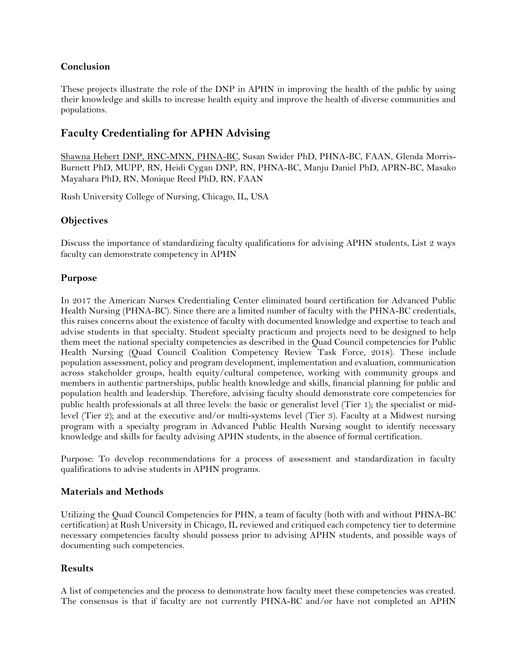#### **Conclusion**

These projects illustrate the role of the DNP in APHN in improving the health of the public by using their knowledge and skills to increase health equity and improve the health of diverse communities and populations.

## <span id="page-24-0"></span>**Faculty Credentialing for APHN Advising**

Shawna Hebert DNP, RNC-MNN, PHNA-BC, Susan Swider PhD, PHNA-BC, FAAN, Glenda Morris-Burnett PhD, MUPP, RN, Heidi Cygan DNP, RN, PHNA-BC, Manju Daniel PhD, APRN-BC, Masako Mayahara PhD, RN, Monique Reed PhD, RN, FAAN

Rush University College of Nursing, Chicago, IL, USA

#### **Objectives**

Discuss the importance of standardizing faculty qualifications for advising APHN students, List 2 ways faculty can demonstrate competency in APHN

#### **Purpose**

In 2017 the American Nurses Credentialing Center eliminated board certification for Advanced Public Health Nursing (PHNA-BC). Since there are a limited number of faculty with the PHNA-BC credentials, this raises concerns about the existence of faculty with documented knowledge and expertise to teach and advise students in that specialty. Student specialty practicum and projects need to be designed to help them meet the national specialty competencies as described in the Quad Council competencies for Public Health Nursing (Quad Council Coalition Competency Review Task Force, 2018). These include population assessment, policy and program development, implementation and evaluation, communication across stakeholder groups, health equity/cultural competence, working with community groups and members in authentic partnerships, public health knowledge and skills, financial planning for public and population health and leadership. Therefore, advising faculty should demonstrate core competencies for public health professionals at all three levels: the basic or generalist level (Tier 1); the specialist or midlevel (Tier 2); and at the executive and/or multi‐systems level (Tier 3). Faculty at a Midwest nursing program with a specialty program in Advanced Public Health Nursing sought to identify necessary knowledge and skills for faculty advising APHN students, in the absence of formal certification.

Purpose: To develop recommendations for a process of assessment and standardization in faculty qualifications to advise students in APHN programs.

#### **Materials and Methods**

Utilizing the Quad Council Competencies for PHN, a team of faculty (both with and without PHNA-BC certification) at Rush University in Chicago, IL reviewed and critiqued each competency tier to determine necessary competencies faculty should possess prior to advising APHN students, and possible ways of documenting such competencies.

#### **Results**

A list of competencies and the process to demonstrate how faculty meet these competencies was created. The consensus is that if faculty are not currently PHNA-BC and/or have not completed an APHN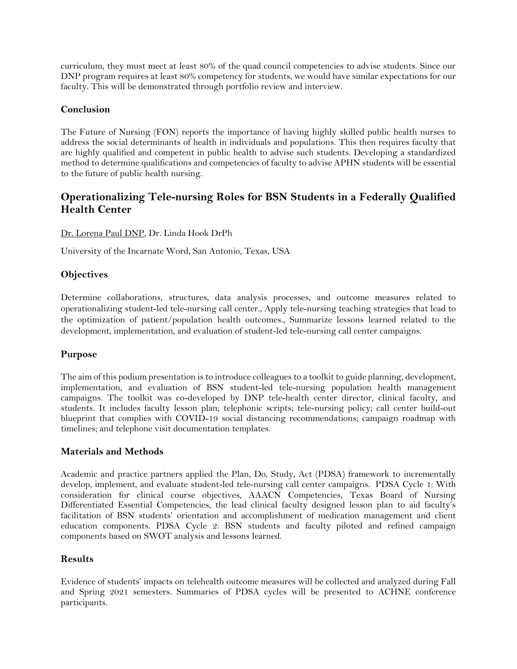curriculum, they must meet at least 80% of the quad council competencies to advise students. Since our DNP program requires at least 80% competency for students, we would have similar expectations for our faculty. This will be demonstrated through portfolio review and interview.

#### **Conclusion**

The Future of Nursing (FON) reports the importance of having highly skilled public health nurses to address the social determinants of health in individuals and populations. This then requires faculty that are highly qualified and competent in public health to advise such students. Developing a standardized method to determine qualifications and competencies of faculty to advise APHN students will be essential to the future of public health nursing.

## <span id="page-25-0"></span>**Operationalizing Tele-nursing Roles for BSN Students in a Federally Qualified Health Center**

Dr. Lorena Paul DNP, Dr. Linda Hook DrPh

University of the Incarnate Word, San Antonio, Texas, USA

#### **Objectives**

Determine collaborations, structures, data analysis processes, and outcome measures related to operationalizing student-led tele-nursing call center., Apply tele-nursing teaching strategies that lead to the optimization of patient/population health outcomes., Summarize lessons learned related to the development, implementation, and evaluation of student-led tele-nursing call center campaigns.

#### **Purpose**

The aim of this podium presentation is to introduce colleagues to a toolkit to guide planning, development, implementation, and evaluation of BSN student-led tele-nursing population health management campaigns. The toolkit was co-developed by DNP tele-health center director, clinical faculty, and students. It includes faculty lesson plan; telephonic scripts; tele-nursing policy; call center build-out blueprint that complies with COVID-19 social distancing recommendations; campaign roadmap with timelines; and telephone visit documentation templates.

#### **Materials and Methods**

Academic and practice partners applied the Plan, Do, Study, Act (PDSA) framework to incrementally develop, implement, and evaluate student-led tele-nursing call center campaigns. PDSA Cycle 1: With consideration for clinical course objectives, AAACN Competencies, Texas Board of Nursing Differentiated Essential Competencies, the lead clinical faculty designed lesson plan to aid faculty's facilitation of BSN students' orientation and accomplishment of medication management and client education components. PDSA Cycle 2: BSN students and faculty piloted and refined campaign components based on SWOT analysis and lessons learned.

#### **Results**

Evidence of students' impacts on telehealth outcome measures will be collected and analyzed during Fall and Spring 2021 semesters. Summaries of PDSA cycles will be presented to ACHNE conference participants.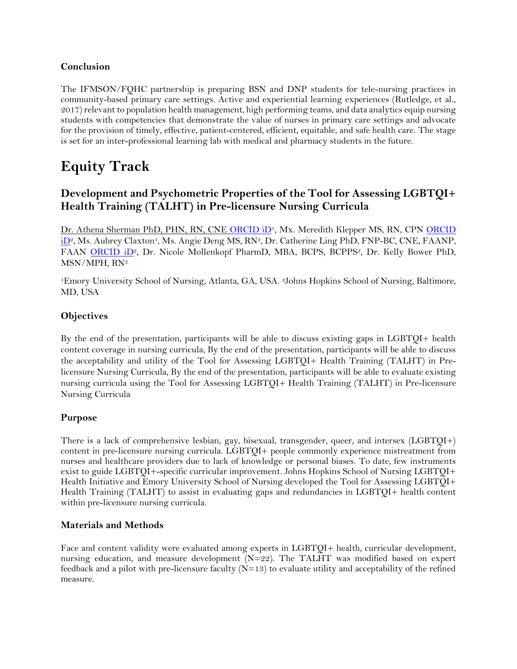#### **Conclusion**

The IFMSON/FQHC partnership is preparing BSN and DNP students for tele-nursing practices in community-based primary care settings. Active and experiential learning experiences (Rutledge, et al., 2017) relevant to population health management, high performing teams, and data analytics equip nursing students with competencies that demonstrate the value of nurses in primary care settings and advocate for the provision of timely, effective, patient-centered, efficient, equitable, and safe health care. The stage is set for an inter-professional learning lab with medical and pharmacy students in the future.

## <span id="page-26-0"></span>**Equity Track**

## <span id="page-26-1"></span>**Development and Psychometric Properties of the Tool for Assessing LGBTQI+ Health Training (TALHT) in Pre-licensure Nursing Curricula**

Dr. Athena Sherman PhD, PHN, RN, CNE [ORCID iD](https://orcid.org/0000-0002-3652-1196)<sup>1</sup>, Mx. Meredith Klepper MS, RN, CPN ORCID [iD](https://orcid.org/0000-0002-2177-3710)<sup>2</sup>, Ms. Aubrey Claxton<sup>1</sup>, Ms. Angie Deng MS, RN<sup>2</sup>, Dr. Catherine Ling PhD, FNP-BC, CNE, FAANP, FAAN [ORCID iD](https://orcid.org/0000-0002-4187-8683)2, Dr. Nicole Mollenkopf PharmD, MBA, BCPS, BCPPS2, Dr. Kelly Bower PhD, MSN/MPH, RN<sup>2</sup>

<sup>1</sup>Emory University School of Nursing, Atlanta, GA, USA. 2Johns Hopkins School of Nursing, Baltimore, MD, USA

#### **Objectives**

By the end of the presentation, participants will be able to discuss existing gaps in LGBTQI+ health content coverage in nursing curricula, By the end of the presentation, participants will be able to discuss the acceptability and utility of the Tool for Assessing LGBTQI+ Health Training (TALHT) in Prelicensure Nursing Curricula, By the end of the presentation, participants will be able to evaluate existing nursing curricula using the Tool for Assessing LGBTQI+ Health Training (TALHT) in Pre-licensure Nursing Curricula

#### **Purpose**

There is a lack of comprehensive lesbian, gay, bisexual, transgender, queer, and intersex (LGBTQI+) content in pre-licensure nursing curricula. LGBTQI+ people commonly experience mistreatment from nurses and healthcare providers due to lack of knowledge or personal biases. To date, few instruments exist to guide LGBTQI+-specific curricular improvement. Johns Hopkins School of Nursing LGBTQI+ Health Initiative and Emory University School of Nursing developed the Tool for Assessing LGBTQI+ Health Training (TALHT) to assist in evaluating gaps and redundancies in LGBTQI+ health content within pre-licensure nursing curricula.

#### **Materials and Methods**

Face and content validity were evaluated among experts in LGBTQI+ health, curricular development, nursing education, and measure development (N=22). The TALHT was modified based on expert feedback and a pilot with pre-licensure faculty  $(N=13)$  to evaluate utility and acceptability of the refined measure.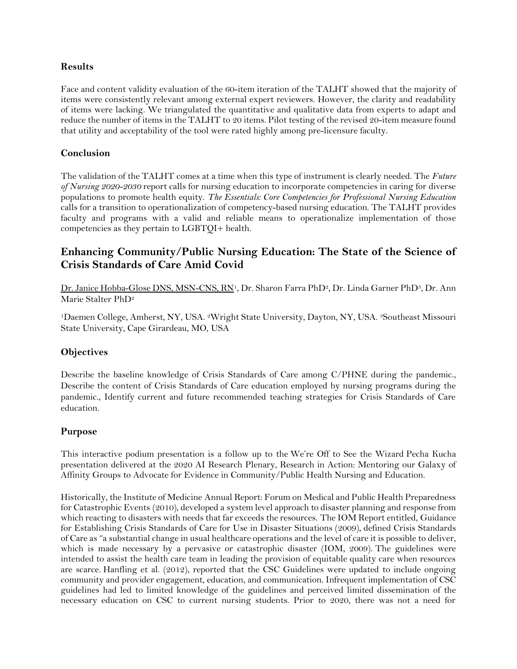#### **Results**

Face and content validity evaluation of the 60-item iteration of the TALHT showed that the majority of items were consistently relevant among external expert reviewers. However, the clarity and readability of items were lacking. We triangulated the quantitative and qualitative data from experts to adapt and reduce the number of items in the TALHT to 20 items. Pilot testing of the revised 20-item measure found that utility and acceptability of the tool were rated highly among pre-licensure faculty.

#### **Conclusion**

The validation of the TALHT comes at a time when this type of instrument is clearly needed. The *Future of Nursing 2020-2030* report calls for nursing education to incorporate competencies in caring for diverse populations to promote health equity. *The Essentials: Core Competencies for Professional Nursing Education* calls for a transition to operationalization of competency-based nursing education. The TALHT provides faculty and programs with a valid and reliable means to operationalize implementation of those competencies as they pertain to LGBTQI+ health.

## <span id="page-27-0"></span>**Enhancing Community/Public Nursing Education: The State of the Science of Crisis Standards of Care Amid Covid**

Dr. Janice Hobba-Glose DNS, MSN-CNS, RN<sup>1</sup>, Dr. Sharon Farra PhD<sup>2</sup>, Dr. Linda Garner PhD<sup>3</sup>, Dr. Ann Marie Stalter PhD<sup>2</sup>

<sup>1</sup>Daemen College, Amherst, NY, USA. 2Wright State University, Dayton, NY, USA. 3Southeast Missouri State University, Cape Girardeau, MO, USA

#### **Objectives**

Describe the baseline knowledge of Crisis Standards of Care among C/PHNE during the pandemic., Describe the content of Crisis Standards of Care education employed by nursing programs during the pandemic., Identify current and future recommended teaching strategies for Crisis Standards of Care education.

#### **Purpose**

This interactive podium presentation is a follow up to the We're Off to See the Wizard Pecha Kucha presentation delivered at the 2020 AI Research Plenary, Research in Action: Mentoring our Galaxy of Affinity Groups to Advocate for Evidence in Community/Public Health Nursing and Education.

Historically, the Institute of Medicine Annual Report: Forum on Medical and Public Health Preparedness for Catastrophic Events (2010), developed a system level approach to disaster planning and response from which reacting to disasters with needs that far exceeds the resources. The IOM Report entitled, Guidance for Establishing Crisis Standards of Care for Use in Disaster Situations (2009), defined Crisis Standards of Care as "a substantial change in usual healthcare operations and the level of care it is possible to deliver, which is made necessary by a pervasive or catastrophic disaster (IOM, 2009). The guidelines were intended to assist the health care team in leading the provision of equitable quality care when resources are scarce. Hanfling et al. (2012), reported that the CSC Guidelines were updated to include ongoing community and provider engagement, education, and communication. Infrequent implementation of CSC guidelines had led to limited knowledge of the guidelines and perceived limited dissemination of the necessary education on CSC to current nursing students. Prior to 2020, there was not a need for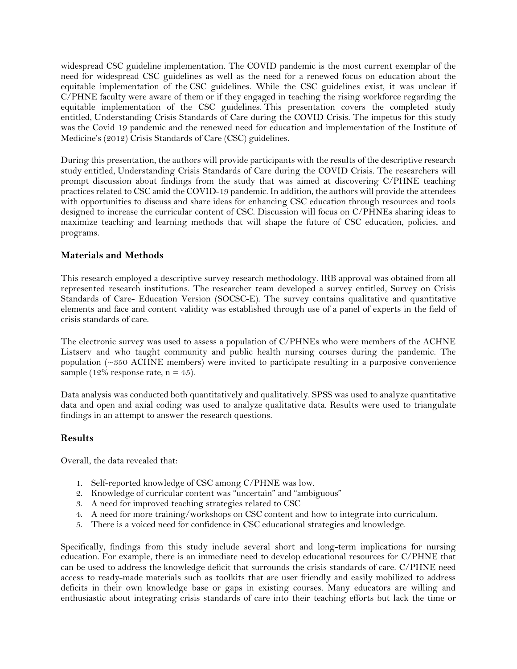widespread CSC guideline implementation. The COVID pandemic is the most current exemplar of the need for widespread CSC guidelines as well as the need for a renewed focus on education about the equitable implementation of the CSC guidelines. While the CSC guidelines exist, it was unclear if C/PHNE faculty were aware of them or if they engaged in teaching the rising workforce regarding the equitable implementation of the CSC guidelines. This presentation covers the completed study entitled, Understanding Crisis Standards of Care during the COVID Crisis. The impetus for this study was the Covid 19 pandemic and the renewed need for education and implementation of the Institute of Medicine's (2012) Crisis Standards of Care (CSC) guidelines.

During this presentation, the authors will provide participants with the results of the descriptive research study entitled, Understanding Crisis Standards of Care during the COVID Crisis. The researchers will prompt discussion about findings from the study that was aimed at discovering C/PHNE teaching practices related to CSC amid the COVID-19 pandemic. In addition, the authors will provide the attendees with opportunities to discuss and share ideas for enhancing CSC education through resources and tools designed to increase the curricular content of CSC. Discussion will focus on C/PHNEs sharing ideas to maximize teaching and learning methods that will shape the future of CSC education, policies, and programs.

#### **Materials and Methods**

This research employed a descriptive survey research methodology. IRB approval was obtained from all represented research institutions. The researcher team developed a survey entitled, Survey on Crisis Standards of Care- Education Version (SOCSC-E). The survey contains qualitative and quantitative elements and face and content validity was established through use of a panel of experts in the field of crisis standards of care.

The electronic survey was used to assess a population of C/PHNEs who were members of the ACHNE Listserv and who taught community and public health nursing courses during the pandemic. The population (~350 ACHNE members) were invited to participate resulting in a purposive convenience sample (12% response rate,  $n = 45$ ).

Data analysis was conducted both quantitatively and qualitatively. SPSS was used to analyze quantitative data and open and axial coding was used to analyze qualitative data. Results were used to triangulate findings in an attempt to answer the research questions.

#### **Results**

Overall, the data revealed that:

- 1. Self-reported knowledge of CSC among C/PHNE was low.
- 2. Knowledge of curricular content was "uncertain" and "ambiguous"
- 3. A need for improved teaching strategies related to CSC
- 4. A need for more training/workshops on CSC content and how to integrate into curriculum.
- 5. There is a voiced need for confidence in CSC educational strategies and knowledge.

Specifically, findings from this study include several short and long-term implications for nursing education. For example, there is an immediate need to develop educational resources for C/PHNE that can be used to address the knowledge deficit that surrounds the crisis standards of care. C/PHNE need access to ready-made materials such as toolkits that are user friendly and easily mobilized to address deficits in their own knowledge base or gaps in existing courses. Many educators are willing and enthusiastic about integrating crisis standards of care into their teaching efforts but lack the time or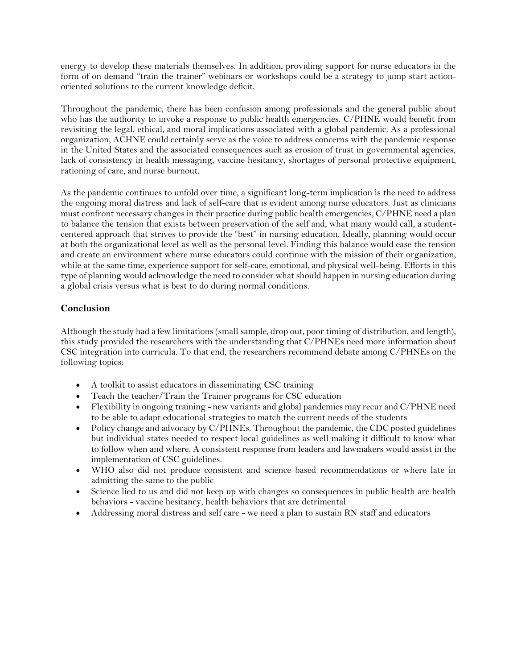energy to develop these materials themselves. In addition, providing support for nurse educators in the form of on demand "train the trainer" webinars or workshops could be a strategy to jump start actionoriented solutions to the current knowledge deficit.

Throughout the pandemic, there has been confusion among professionals and the general public about who has the authority to invoke a response to public health emergencies. C/PHNE would benefit from revisiting the legal, ethical, and moral implications associated with a global pandemic. As a professional organization, ACHNE could certainly serve as the voice to address concerns with the pandemic response in the United States and the associated consequences such as erosion of trust in governmental agencies, lack of consistency in health messaging, vaccine hesitancy, shortages of personal protective equipment, rationing of care, and nurse burnout.

As the pandemic continues to unfold over time, a significant long-term implication is the need to address the ongoing moral distress and lack of self-care that is evident among nurse educators. Just as clinicians must confront necessary changes in their practice during public health emergencies, C/PHNE need a plan to balance the tension that exists between preservation of the self and, what many would call, a studentcentered approach that strives to provide the "best" in nursing education. Ideally, planning would occur at both the organizational level as well as the personal level. Finding this balance would ease the tension and create an environment where nurse educators could continue with the mission of their organization, while at the same time, experience support for self-care, emotional, and physical well-being. Efforts in this type of planning would acknowledge the need to consider what should happen in nursing education during a global crisis versus what is best to do during normal conditions.

### **Conclusion**

Although the study had a few limitations (small sample, drop out, poor timing of distribution, and length), this study provided the researchers with the understanding that C/PHNEs need more information about CSC integration into curricula. To that end, the researchers recommend debate among C/PHNEs on the following topics:

- A toolkit to assist educators in disseminating CSC training
- Teach the teacher/Train the Trainer programs for CSC education
- Flexibility in ongoing training new variants and global pandemics may recur and C/PHNE need to be able to adapt educational strategies to match the current needs of the students
- Policy change and advocacy by C/PHNEs. Throughout the pandemic, the CDC posted guidelines but individual states needed to respect local guidelines as well making it difficult to know what to follow when and where. A consistent response from leaders and lawmakers would assist in the implementation of CSC guidelines.
- WHO also did not produce consistent and science based recommendations or where late in admitting the same to the public
- Science lied to us and did not keep up with changes so consequences in public health are health behaviors - vaccine hesitancy, health behaviors that are detrimental
- <span id="page-29-0"></span>• Addressing moral distress and self care - we need a plan to sustain RN staff and educators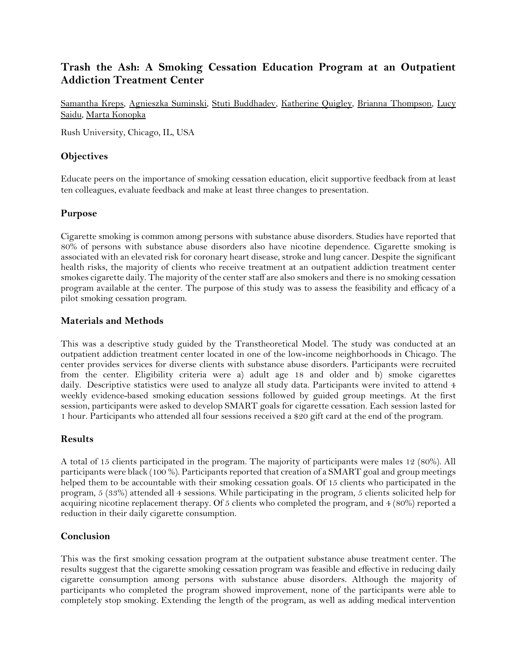## **Trash the Ash: A Smoking Cessation Education Program at an Outpatient Addiction Treatment Center**

Samantha Kreps, Agnieszka Suminski, Stuti Buddhadev, Katherine Quigley, Brianna Thompson, Lucy Saidu, Marta Konopka

Rush University, Chicago, IL, USA

#### **Objectives**

Educate peers on the importance of smoking cessation education, elicit supportive feedback from at least ten colleagues, evaluate feedback and make at least three changes to presentation.

#### **Purpose**

Cigarette smoking is common among persons with substance abuse disorders. Studies have reported that 80% of persons with substance abuse disorders also have nicotine dependence. Cigarette smoking is associated with an elevated risk for coronary heart disease, stroke and lung cancer. Despite the significant health risks, the majority of clients who receive treatment at an outpatient addiction treatment center smokes cigarette daily. The majority of the center staff are also smokers and there is no smoking cessation program available at the center. The purpose of this study was to assess the feasibility and efficacy of a pilot smoking cessation program.

#### **Materials and Methods**

This was a descriptive study guided by the Transtheoretical Model. The study was conducted at an outpatient addiction treatment center located in one of the low-income neighborhoods in Chicago. The center provides services for diverse clients with substance abuse disorders. Participants were recruited from the center. Eligibility criteria were a) adult age 18 and older and b) smoke cigarettes daily. Descriptive statistics were used to analyze all study data. Participants were invited to attend 4 weekly evidence-based smoking education sessions followed by guided group meetings. At the first session, participants were asked to develop SMART goals for cigarette cessation. Each session lasted for 1 hour. Participants who attended all four sessions received a \$20 gift card at the end of the program.

#### **Results**

A total of 15 clients participated in the program. The majority of participants were males 12 (80%). All participants were black (100 %). Participants reported that creation of a SMART goal and group meetings helped them to be accountable with their smoking cessation goals. Of 15 clients who participated in the program, 5 (33%) attended all 4 sessions. While participating in the program, 5 clients solicited help for acquiring nicotine replacement therapy. Of 5 clients who completed the program, and 4 (80%) reported a reduction in their daily cigarette consumption.

#### **Conclusion**

This was the first smoking cessation program at the outpatient substance abuse treatment center. The results suggest that the cigarette smoking cessation program was feasible and effective in reducing daily cigarette consumption among persons with substance abuse disorders. Although the majority of participants who completed the program showed improvement, none of the participants were able to completely stop smoking. Extending the length of the program, as well as adding medical intervention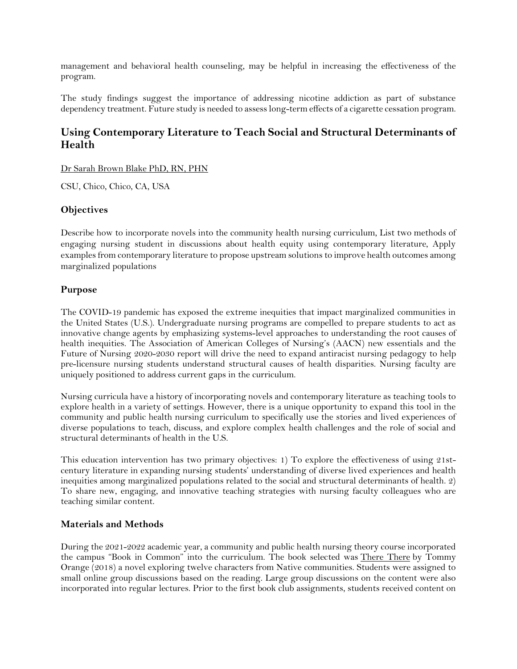management and behavioral health counseling, may be helpful in increasing the effectiveness of the program.

The study findings suggest the importance of addressing nicotine addiction as part of substance dependency treatment. Future study is needed to assess long-term effects of a cigarette cessation program.

## <span id="page-31-0"></span>**Using Contemporary Literature to Teach Social and Structural Determinants of Health**

Dr Sarah Brown Blake PhD, RN, PHN

CSU, Chico, Chico, CA, USA

#### **Objectives**

Describe how to incorporate novels into the community health nursing curriculum, List two methods of engaging nursing student in discussions about health equity using contemporary literature, Apply examples from contemporary literature to propose upstream solutions to improve health outcomes among marginalized populations

#### **Purpose**

The COVID-19 pandemic has exposed the extreme inequities that impact marginalized communities in the United States (U.S.). Undergraduate nursing programs are compelled to prepare students to act as innovative change agents by emphasizing systems-level approaches to understanding the root causes of health inequities. The Association of American Colleges of Nursing's (AACN) new essentials and the Future of Nursing 2020-2030 report will drive the need to expand antiracist nursing pedagogy to help pre-licensure nursing students understand structural causes of health disparities. Nursing faculty are uniquely positioned to address current gaps in the curriculum.

Nursing curricula have a history of incorporating novels and contemporary literature as teaching tools to explore health in a variety of settings. However, there is a unique opportunity to expand this tool in the community and public health nursing curriculum to specifically use the stories and lived experiences of diverse populations to teach, discuss, and explore complex health challenges and the role of social and structural determinants of health in the U.S.

This education intervention has two primary objectives: 1) To explore the effectiveness of using 21stcentury literature in expanding nursing students' understanding of diverse lived experiences and health inequities among marginalized populations related to the social and structural determinants of health. 2) To share new, engaging, and innovative teaching strategies with nursing faculty colleagues who are teaching similar content.

#### **Materials and Methods**

During the 2021-2022 academic year, a community and public health nursing theory course incorporated the campus "Book in Common" into the curriculum. The book selected was There There by Tommy Orange (2018) a novel exploring twelve characters from Native communities. Students were assigned to small online group discussions based on the reading. Large group discussions on the content were also incorporated into regular lectures. Prior to the first book club assignments, students received content on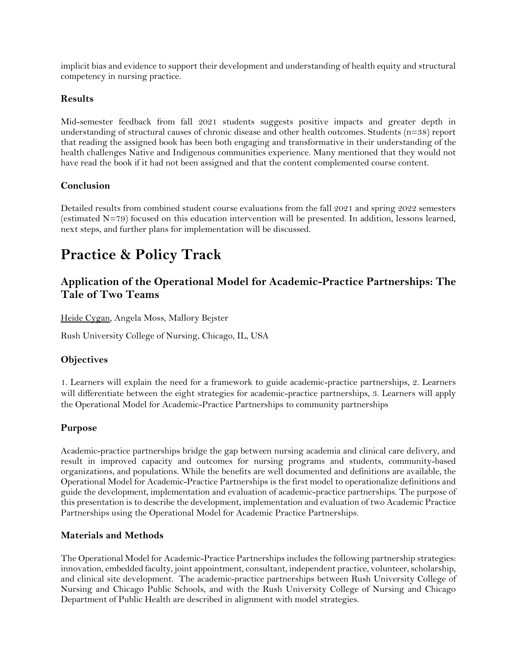implicit bias and evidence to support their development and understanding of health equity and structural competency in nursing practice.

#### **Results**

Mid-semester feedback from fall 2021 students suggests positive impacts and greater depth in understanding of structural causes of chronic disease and other health outcomes. Students (n=38) report that reading the assigned book has been both engaging and transformative in their understanding of the health challenges Native and Indigenous communities experience. Many mentioned that they would not have read the book if it had not been assigned and that the content complemented course content.

#### **Conclusion**

Detailed results from combined student course evaluations from the fall 2021 and spring 2022 semesters (estimated N=79) focused on this education intervention will be presented. In addition, lessons learned, next steps, and further plans for implementation will be discussed.

## <span id="page-32-0"></span>**Practice & Policy Track**

## <span id="page-32-1"></span>**Application of the Operational Model for Academic-Practice Partnerships: The Tale of Two Teams**

Heide Cygan, Angela Moss, Mallory Bejster

Rush University College of Nursing, Chicago, IL, USA

#### **Objectives**

1. Learners will explain the need for a framework to guide academic-practice partnerships, 2. Learners will differentiate between the eight strategies for academic-practice partnerships, 3. Learners will apply the Operational Model for Academic-Practice Partnerships to community partnerships

#### **Purpose**

Academic-practice partnerships bridge the gap between nursing academia and clinical care delivery, and result in improved capacity and outcomes for nursing programs and students, community-based organizations, and populations. While the benefits are well documented and definitions are available, the Operational Model for Academic-Practice Partnerships is the first model to operationalize definitions and guide the development, implementation and evaluation of academic-practice partnerships. The purpose of this presentation is to describe the development, implementation and evaluation of two Academic Practice Partnerships using the Operational Model for Academic Practice Partnerships.

#### **Materials and Methods**

The Operational Model for Academic-Practice Partnerships includes the following partnership strategies: innovation, embedded faculty, joint appointment, consultant, independent practice, volunteer, scholarship, and clinical site development. The academic-practice partnerships between Rush University College of Nursing and Chicago Public Schools, and with the Rush University College of Nursing and Chicago Department of Public Health are described in alignment with model strategies.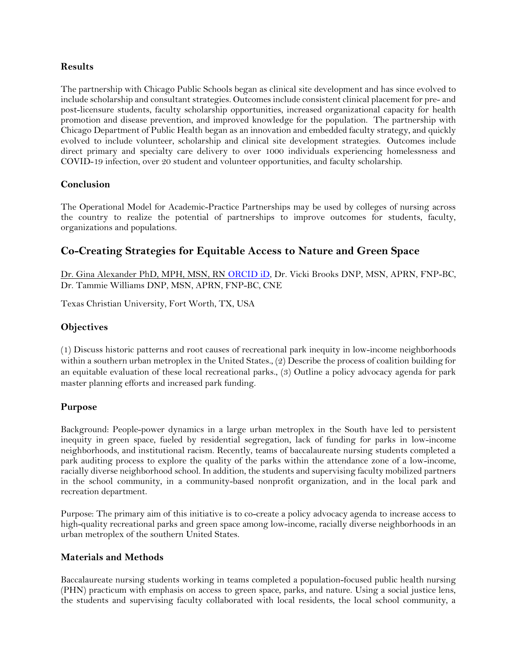#### **Results**

The partnership with Chicago Public Schools began as clinical site development and has since evolved to include scholarship and consultant strategies. Outcomes include consistent clinical placement for pre- and post-licensure students, faculty scholarship opportunities, increased organizational capacity for health promotion and disease prevention, and improved knowledge for the population. The partnership with Chicago Department of Public Health began as an innovation and embedded faculty strategy, and quickly evolved to include volunteer, scholarship and clinical site development strategies. Outcomes include direct primary and specialty care delivery to over 1000 individuals experiencing homelessness and COVID-19 infection, over 20 student and volunteer opportunities, and faculty scholarship.

#### **Conclusion**

The Operational Model for Academic-Practice Partnerships may be used by colleges of nursing across the country to realize the potential of partnerships to improve outcomes for students, faculty, organizations and populations.

## <span id="page-33-0"></span>**Co-Creating Strategies for Equitable Access to Nature and Green Space**

Dr. Gina Alexander PhD, MPH, MSN, RN [ORCID iD,](https://orcid.org/0000-0002-4036-8198) Dr. Vicki Brooks DNP, MSN, APRN, FNP-BC, Dr. Tammie Williams DNP, MSN, APRN, FNP-BC, CNE

Texas Christian University, Fort Worth, TX, USA

#### **Objectives**

(1) Discuss historic patterns and root causes of recreational park inequity in low-income neighborhoods within a southern urban metroplex in the United States., (2) Describe the process of coalition building for an equitable evaluation of these local recreational parks., (3) Outline a policy advocacy agenda for park master planning efforts and increased park funding.

#### **Purpose**

Background: People-power dynamics in a large urban metroplex in the South have led to persistent inequity in green space, fueled by residential segregation, lack of funding for parks in low-income neighborhoods, and institutional racism. Recently, teams of baccalaureate nursing students completed a park auditing process to explore the quality of the parks within the attendance zone of a low-income, racially diverse neighborhood school. In addition, the students and supervising faculty mobilized partners in the school community, in a community-based nonprofit organization, and in the local park and recreation department.

Purpose: The primary aim of this initiative is to co-create a policy advocacy agenda to increase access to high-quality recreational parks and green space among low-income, racially diverse neighborhoods in an urban metroplex of the southern United States.

#### **Materials and Methods**

Baccalaureate nursing students working in teams completed a population-focused public health nursing (PHN) practicum with emphasis on access to green space, parks, and nature. Using a social justice lens, the students and supervising faculty collaborated with local residents, the local school community, a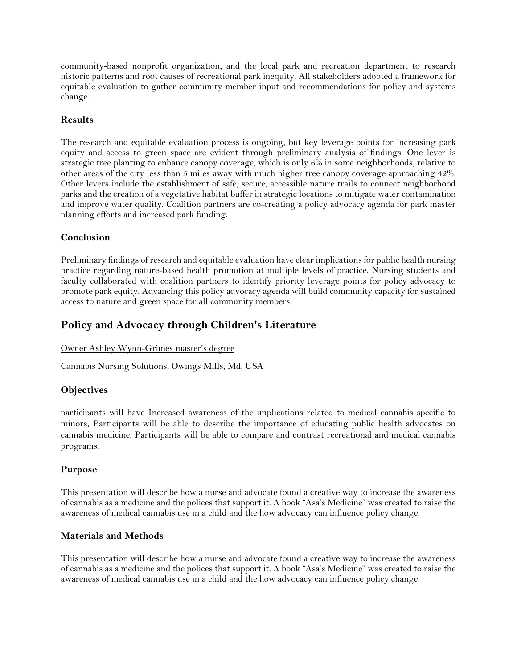community-based nonprofit organization, and the local park and recreation department to research historic patterns and root causes of recreational park inequity. All stakeholders adopted a framework for equitable evaluation to gather community member input and recommendations for policy and systems change.

#### **Results**

The research and equitable evaluation process is ongoing, but key leverage points for increasing park equity and access to green space are evident through preliminary analysis of findings. One lever is strategic tree planting to enhance canopy coverage, which is only 6% in some neighborhoods, relative to other areas of the city less than 5 miles away with much higher tree canopy coverage approaching 42%. Other levers include the establishment of safe, secure, accessible nature trails to connect neighborhood parks and the creation of a vegetative habitat buffer in strategic locations to mitigate water contamination and improve water quality. Coalition partners are co-creating a policy advocacy agenda for park master planning efforts and increased park funding.

#### **Conclusion**

Preliminary findings of research and equitable evaluation have clear implications for public health nursing practice regarding nature-based health promotion at multiple levels of practice. Nursing students and faculty collaborated with coalition partners to identify priority leverage points for policy advocacy to promote park equity. Advancing this policy advocacy agenda will build community capacity for sustained access to nature and green space for all community members.

## <span id="page-34-0"></span>**Policy and Advocacy through Children's Literature**

#### Owner Ashley Wynn-Grimes master's degree

Cannabis Nursing Solutions, Owings Mills, Md, USA

#### **Objectives**

participants will have Increased awareness of the implications related to medical cannabis specific to minors, Participants will be able to describe the importance of educating public health advocates on cannabis medicine, Participants will be able to compare and contrast recreational and medical cannabis programs.

#### **Purpose**

This presentation will describe how a nurse and advocate found a creative way to increase the awareness of cannabis as a medicine and the polices that support it. A book "Asa's Medicine" was created to raise the awareness of medical cannabis use in a child and the how advocacy can influence policy change.

#### **Materials and Methods**

This presentation will describe how a nurse and advocate found a creative way to increase the awareness of cannabis as a medicine and the polices that support it. A book "Asa's Medicine" was created to raise the awareness of medical cannabis use in a child and the how advocacy can influence policy change.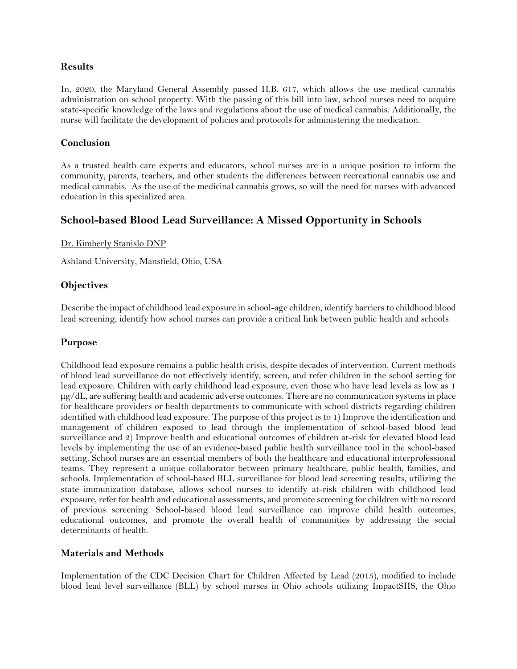#### **Results**

In, 2020, the Maryland General Assembly passed H.B. 617, which allows the use medical cannabis administration on school property. With the passing of this bill into law, school nurses need to acquire state-specific knowledge of the laws and regulations about the use of medical cannabis. Additionally, the nurse will facilitate the development of policies and protocols for administering the medication.

#### **Conclusion**

As a trusted health care experts and educators, school nurses are in a unique position to inform the community, parents, teachers, and other students the differences between recreational cannabis use and medical cannabis. As the use of the medicinal cannabis grows, so will the need for nurses with advanced education in this specialized area.

### <span id="page-35-0"></span>**School-based Blood Lead Surveillance: A Missed Opportunity in Schools**

Dr. Kimberly Stanislo DNP

Ashland University, Mansfield, Ohio, USA

#### **Objectives**

Describe the impact of childhood lead exposure in school-age children, identify barriers to childhood blood lead screening, identify how school nurses can provide a critical link between public health and schools

#### **Purpose**

Childhood lead exposure remains a public health crisis, despite decades of intervention. Current methods of blood lead surveillance do not effectively identify, screen, and refer children in the school setting for lead exposure. Children with early childhood lead exposure, even those who have lead levels as low as 1  $\mu$ g/dL, are suffering health and academic adverse outcomes. There are no communication systems in place for healthcare providers or health departments to communicate with school districts regarding children identified with childhood lead exposure. The purpose of this project is to 1) Improve the identification and management of children exposed to lead through the implementation of school-based blood lead surveillance and 2) Improve health and educational outcomes of children at-risk for elevated blood lead levels by implementing the use of an evidence-based public health surveillance tool in the school-based setting. School nurses are an essential members of both the healthcare and educational interprofessional teams. They represent a unique collaborator between primary healthcare, public health, families, and schools. Implementation of school-based BLL surveillance for blood lead screening results, utilizing the state immunization database, allows school nurses to identify at-risk children with childhood lead exposure, refer for health and educational assessments, and promote screening for children with no record of previous screening. School-based blood lead surveillance can improve child health outcomes, educational outcomes, and promote the overall health of communities by addressing the social determinants of health.

#### **Materials and Methods**

Implementation of the CDC Decision Chart for Children Affected by Lead (2015), modified to include blood lead level surveillance (BLL) by school nurses in Ohio schools utilizing ImpactSIIS, the Ohio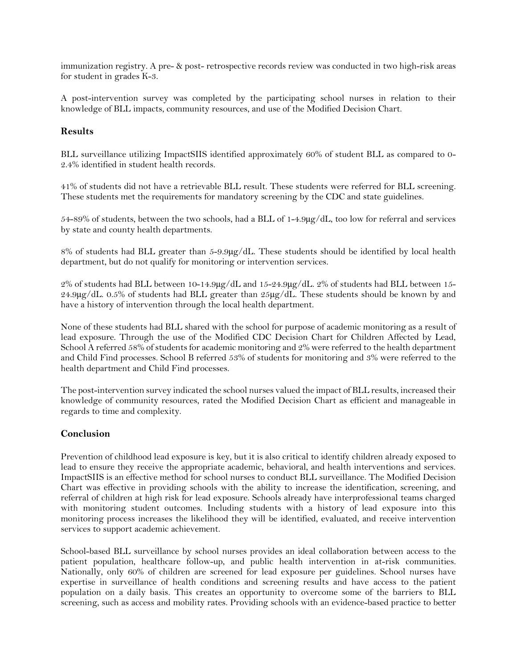immunization registry. A pre- & post- retrospective records review was conducted in two high-risk areas for student in grades K-3.

A post-intervention survey was completed by the participating school nurses in relation to their knowledge of BLL impacts, community resources, and use of the Modified Decision Chart.

#### **Results**

BLL surveillance utilizing ImpactSIIS identified approximately 60% of student BLL as compared to 0- 2.4% identified in student health records.

41% of students did not have a retrievable BLL result. These students were referred for BLL screening. These students met the requirements for mandatory screening by the CDC and state guidelines.

54-89% of students, between the two schools, had a BLL of 1-4.9µg/dL, too low for referral and services by state and county health departments.

8% of students had BLL greater than 5-9.9µg/dL. These students should be identified by local health department, but do not qualify for monitoring or intervention services.

2% of students had BLL between 10-14.9µg/dL and 15-24.9µg/dL. 2% of students had BLL between 15-  $24.9\mu$ g/dL. 0.5% of students had BLL greater than  $25\mu$ g/dL. These students should be known by and have a history of intervention through the local health department.

None of these students had BLL shared with the school for purpose of academic monitoring as a result of lead exposure. Through the use of the Modified CDC Decision Chart for Children Affected by Lead, School A referred 58% of students for academic monitoring and 2% were referred to the health department and Child Find processes. School B referred 53% of students for monitoring and 3% were referred to the health department and Child Find processes.

The post-intervention survey indicated the school nurses valued the impact of BLL results, increased their knowledge of community resources, rated the Modified Decision Chart as efficient and manageable in regards to time and complexity.

#### **Conclusion**

Prevention of childhood lead exposure is key, but it is also critical to identify children already exposed to lead to ensure they receive the appropriate academic, behavioral, and health interventions and services. ImpactSIIS is an effective method for school nurses to conduct BLL surveillance. The Modified Decision Chart was effective in providing schools with the ability to increase the identification, screening, and referral of children at high risk for lead exposure. Schools already have interprofessional teams charged with monitoring student outcomes. Including students with a history of lead exposure into this monitoring process increases the likelihood they will be identified, evaluated, and receive intervention services to support academic achievement.

School-based BLL surveillance by school nurses provides an ideal collaboration between access to the patient population, healthcare follow-up, and public health intervention in at-risk communities. Nationally, only 60% of children are screened for lead exposure per guidelines. School nurses have expertise in surveillance of health conditions and screening results and have access to the patient population on a daily basis. This creates an opportunity to overcome some of the barriers to BLL screening, such as access and mobility rates. Providing schools with an evidence-based practice to better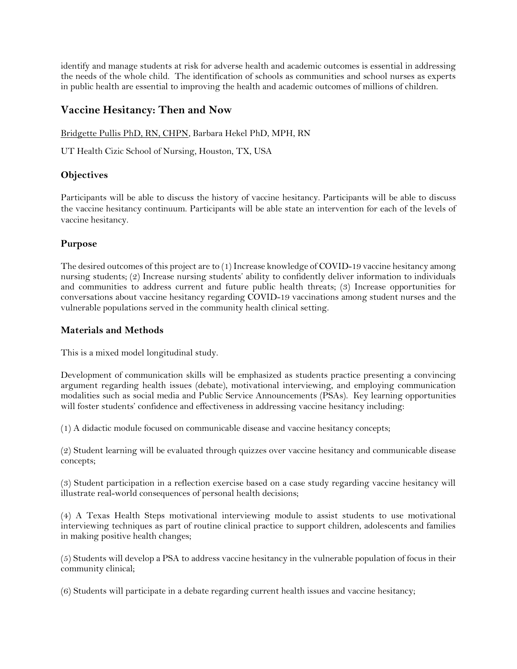identify and manage students at risk for adverse health and academic outcomes is essential in addressing the needs of the whole child. The identification of schools as communities and school nurses as experts in public health are essential to improving the health and academic outcomes of millions of children.

### <span id="page-37-0"></span>**Vaccine Hesitancy: Then and Now**

Bridgette Pullis PhD, RN, CHPN, Barbara Hekel PhD, MPH, RN

UT Health Cizic School of Nursing, Houston, TX, USA

#### **Objectives**

Participants will be able to discuss the history of vaccine hesitancy. Participants will be able to discuss the vaccine hesitancy continuum. Participants will be able state an intervention for each of the levels of vaccine hesitancy.

#### **Purpose**

The desired outcomes of this project are to (1) Increase knowledge of COVID-19 vaccine hesitancy among nursing students; (2) Increase nursing students' ability to confidently deliver information to individuals and communities to address current and future public health threats; (3) Increase opportunities for conversations about vaccine hesitancy regarding COVID-19 vaccinations among student nurses and the vulnerable populations served in the community health clinical setting.

#### **Materials and Methods**

This is a mixed model longitudinal study.

Development of communication skills will be emphasized as students practice presenting a convincing argument regarding health issues (debate), motivational interviewing, and employing communication modalities such as social media and Public Service Announcements (PSAs). Key learning opportunities will foster students' confidence and effectiveness in addressing vaccine hesitancy including:

(1) A didactic module focused on communicable disease and vaccine hesitancy concepts;

(2) Student learning will be evaluated through quizzes over vaccine hesitancy and communicable disease concepts;

(3) Student participation in a reflection exercise based on a case study regarding vaccine hesitancy will illustrate real-world consequences of personal health decisions;

(4) A Texas Health Steps motivational interviewing module to assist students to use motivational interviewing techniques as part of routine clinical practice to support children, adolescents and families in making positive health changes;

(5) Students will develop a PSA to address vaccine hesitancy in the vulnerable population of focus in their community clinical;

(6) Students will participate in a debate regarding current health issues and vaccine hesitancy;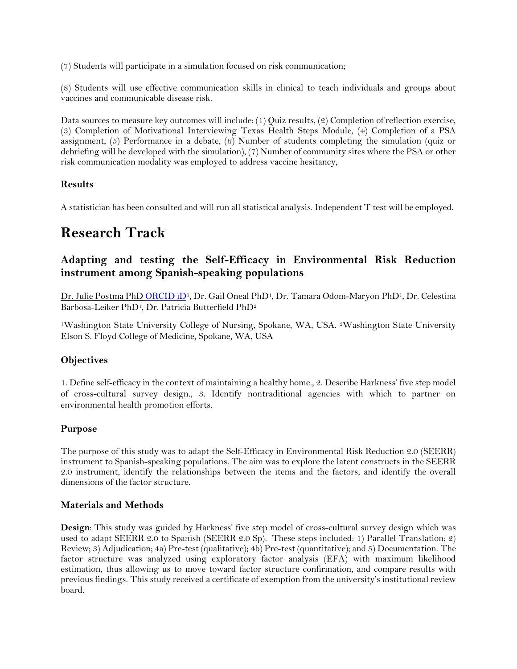(7) Students will participate in a simulation focused on risk communication;

(8) Students will use effective communication skills in clinical to teach individuals and groups about vaccines and communicable disease risk.

Data sources to measure key outcomes will include: (1) Quiz results, (2) Completion of reflection exercise, (3) Completion of Motivational Interviewing Texas Health Steps Module, (4) Completion of a PSA assignment, (5) Performance in a debate, (6) Number of students completing the simulation (quiz or debriefing will be developed with the simulation), (7) Number of community sites where the PSA or other risk communication modality was employed to address vaccine hesitancy,

#### **Results**

A statistician has been consulted and will run all statistical analysis. Independent T test will be employed.

## <span id="page-38-0"></span>**Research Track**

## <span id="page-38-1"></span>**Adapting and testing the Self-Efficacy in Environmental Risk Reduction instrument among Spanish-speaking populations**

Dr. Julie Postma PhD [ORCID iD](https://orcid.org/0000-0001-9743-5526)<sup>1</sup>, Dr. Gail Oneal PhD<sup>1</sup>, Dr. Tamara Odom-Maryon PhD<sup>1</sup>, Dr. Celestina Barbosa-Leiker PhD1, Dr. Patricia Butterfield PhD<sup>2</sup>

<sup>1</sup>Washington State University College of Nursing, Spokane, WA, USA. 2Washington State University Elson S. Floyd College of Medicine, Spokane, WA, USA

#### **Objectives**

1. Define self-efficacy in the context of maintaining a healthy home., 2. Describe Harkness' five step model of cross-cultural survey design., 3. Identify nontraditional agencies with which to partner on environmental health promotion efforts.

#### **Purpose**

The purpose of this study was to adapt the Self-Efficacy in Environmental Risk Reduction 2.0 (SEERR) instrument to Spanish-speaking populations. The aim was to explore the latent constructs in the SEERR 2.0 instrument, identify the relationships between the items and the factors, and identify the overall dimensions of the factor structure.

#### **Materials and Methods**

**Design**: This study was guided by Harkness' five step model of cross-cultural survey design which was used to adapt SEERR 2.0 to Spanish (SEERR 2.0 Sp). These steps included: 1) Parallel Translation; 2) Review; 3) Adjudication; 4a) Pre-test (qualitative); 4b) Pre-test (quantitative); and 5) Documentation. The factor structure was analyzed using exploratory factor analysis (EFA) with maximum likelihood estimation, thus allowing us to move toward factor structure confirmation, and compare results with previous findings. This study received a certificate of exemption from the university's institutional review board.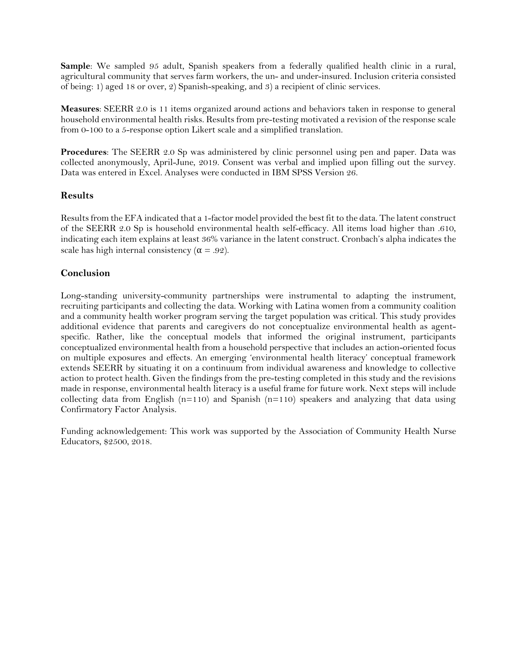**Sample**: We sampled 95 adult, Spanish speakers from a federally qualified health clinic in a rural, agricultural community that serves farm workers, the un- and under-insured. Inclusion criteria consisted of being: 1) aged 18 or over, 2) Spanish-speaking, and 3) a recipient of clinic services.

**Measures**: SEERR 2.0 is 11 items organized around actions and behaviors taken in response to general household environmental health risks. Results from pre-testing motivated a revision of the response scale from 0-100 to a 5-response option Likert scale and a simplified translation.

**Procedures**: The SEERR 2.0 Sp was administered by clinic personnel using pen and paper. Data was collected anonymously, April-June, 2019. Consent was verbal and implied upon filling out the survey. Data was entered in Excel. Analyses were conducted in IBM SPSS Version 26.

#### **Results**

Results from the EFA indicated that a 1-factor model provided the best fit to the data. The latent construct of the SEERR 2.0 Sp is household environmental health self-efficacy. All items load higher than .610, indicating each item explains at least 36% variance in the latent construct. Cronbach's alpha indicates the scale has high internal consistency ( $\alpha = .92$ ).

#### **Conclusion**

Long-standing university-community partnerships were instrumental to adapting the instrument, recruiting participants and collecting the data. Working with Latina women from a community coalition and a community health worker program serving the target population was critical. This study provides additional evidence that parents and caregivers do not conceptualize environmental health as agentspecific. Rather, like the conceptual models that informed the original instrument, participants conceptualized environmental health from a household perspective that includes an action-oriented focus on multiple exposures and effects. An emerging 'environmental health literacy' conceptual framework extends SEERR by situating it on a continuum from individual awareness and knowledge to collective action to protect health. Given the findings from the pre-testing completed in this study and the revisions made in response, environmental health literacy is a useful frame for future work. Next steps will include collecting data from English  $(n=110)$  and Spanish  $(n=110)$  speakers and analyzing that data using Confirmatory Factor Analysis.

<span id="page-39-0"></span>Funding acknowledgement: This work was supported by the Association of Community Health Nurse Educators, \$2500, 2018.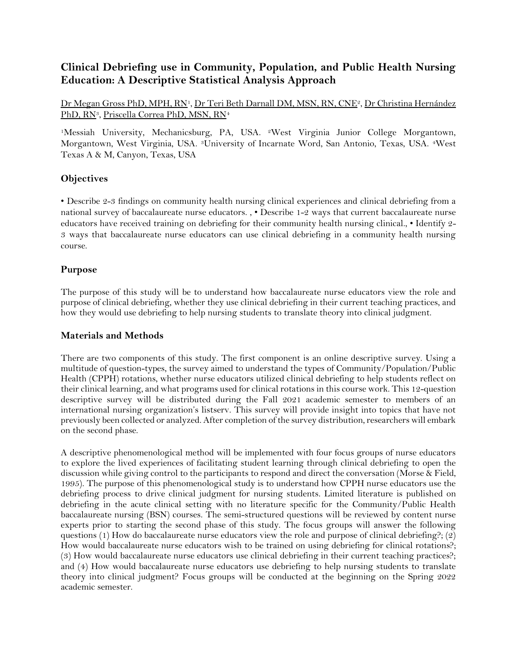## **Clinical Debriefing use in Community, Population, and Public Health Nursing Education: A Descriptive Statistical Analysis Approach**

Dr Megan Gross PhD, MPH, RN<sup>1</sup>, Dr Teri Beth Darnall DM, MSN, RN, CNE<sup>2</sup>, Dr Christina Hernández PhD, RN<sup>3</sup>, Priscella Correa PhD, MSN, RN<sup>4</sup>

<sup>1</sup>Messiah University, Mechanicsburg, PA, USA. 2West Virginia Junior College Morgantown, Morgantown, West Virginia, USA. 3University of Incarnate Word, San Antonio, Texas, USA. 4West Texas A & M, Canyon, Texas, USA

#### **Objectives**

• Describe 2-3 findings on community health nursing clinical experiences and clinical debriefing from a national survey of baccalaureate nurse educators. , • Describe 1-2 ways that current baccalaureate nurse educators have received training on debriefing for their community health nursing clinical., • Identify 2- 3 ways that baccalaureate nurse educators can use clinical debriefing in a community health nursing course.

#### **Purpose**

The purpose of this study will be to understand how baccalaureate nurse educators view the role and purpose of clinical debriefing, whether they use clinical debriefing in their current teaching practices, and how they would use debriefing to help nursing students to translate theory into clinical judgment.

#### **Materials and Methods**

There are two components of this study. The first component is an online descriptive survey. Using a multitude of question-types, the survey aimed to understand the types of Community/Population/Public Health (CPPH) rotations, whether nurse educators utilized clinical debriefing to help students reflect on their clinical learning, and what programs used for clinical rotations in this course work. This 12-question descriptive survey will be distributed during the Fall 2021 academic semester to members of an international nursing organization's listserv. This survey will provide insight into topics that have not previously been collected or analyzed. After completion of the survey distribution, researchers will embark on the second phase.

A descriptive phenomenological method will be implemented with four focus groups of nurse educators to explore the lived experiences of facilitating student learning through clinical debriefing to open the discussion while giving control to the participants to respond and direct the conversation (Morse & Field, 1995). The purpose of this phenomenological study is to understand how CPPH nurse educators use the debriefing process to drive clinical judgment for nursing students. Limited literature is published on debriefing in the acute clinical setting with no literature specific for the Community/Public Health baccalaureate nursing (BSN) courses. The semi-structured questions will be reviewed by content nurse experts prior to starting the second phase of this study. The focus groups will answer the following questions (1) How do baccalaureate nurse educators view the role and purpose of clinical debriefing?; (2) How would baccalaureate nurse educators wish to be trained on using debriefing for clinical rotations?; (3) How would baccalaureate nurse educators use clinical debriefing in their current teaching practices?; and (4) How would baccalaureate nurse educators use debriefing to help nursing students to translate theory into clinical judgment? Focus groups will be conducted at the beginning on the Spring 2022 academic semester.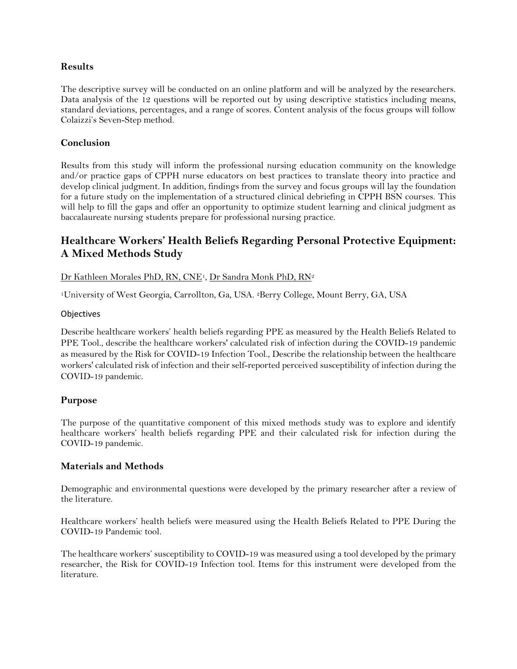#### **Results**

The descriptive survey will be conducted on an online platform and will be analyzed by the researchers. Data analysis of the 12 questions will be reported out by using descriptive statistics including means, standard deviations, percentages, and a range of scores. Content analysis of the focus groups will follow Colaizzi's Seven-Step method.

#### **Conclusion**

Results from this study will inform the professional nursing education community on the knowledge and/or practice gaps of CPPH nurse educators on best practices to translate theory into practice and develop clinical judgment. In addition, findings from the survey and focus groups will lay the foundation for a future study on the implementation of a structured clinical debriefing in CPPH BSN courses. This will help to fill the gaps and offer an opportunity to optimize student learning and clinical judgment as baccalaureate nursing students prepare for professional nursing practice.

## <span id="page-41-0"></span>**Healthcare Workers' Health Beliefs Regarding Personal Protective Equipment: A Mixed Methods Study**

Dr Kathleen Morales PhD, RN, CNE1, Dr Sandra Monk PhD, RN<sup>2</sup>

<sup>1</sup>University of West Georgia, Carrollton, Ga, USA. 2Berry College, Mount Berry, GA, USA

#### **Objectives**

Describe healthcare workers' health beliefs regarding PPE as measured by the Health Beliefs Related to PPE Tool., describe the healthcare workers' calculated risk of infection during the COVID-19 pandemic as measured by the Risk for COVID-19 Infection Tool., Describe the relationship between the healthcare workers' calculated risk of infection and their self-reported perceived susceptibility of infection during the COVID-19 pandemic.

#### **Purpose**

The purpose of the quantitative component of this mixed methods study was to explore and identify healthcare workers' health beliefs regarding PPE and their calculated risk for infection during the COVID-19 pandemic.

#### **Materials and Methods**

Demographic and environmental questions were developed by the primary researcher after a review of the literature.

Healthcare workers' health beliefs were measured using the Health Beliefs Related to PPE During the COVID-19 Pandemic tool.

The healthcare workers' susceptibility to COVID-19 was measured using a tool developed by the primary researcher, the Risk for COVID-19 Infection tool. Items for this instrument were developed from the literature.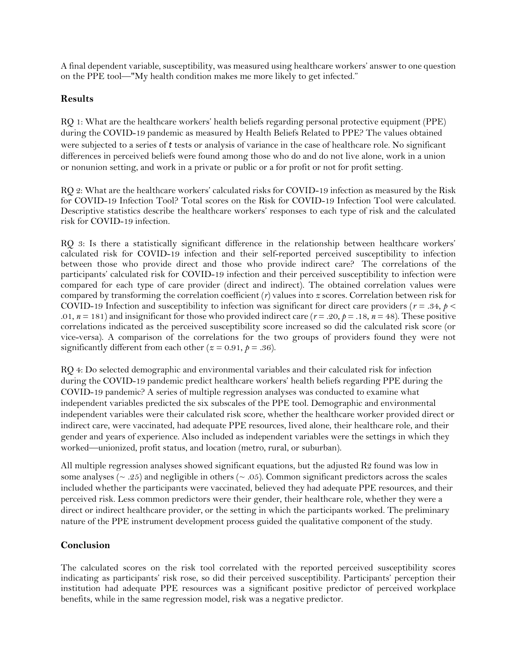A final dependent variable, susceptibility, was measured using healthcare workers' answer to one question on the PPE tool—"My health condition makes me more likely to get infected."

#### **Results**

RQ 1: What are the healthcare workers' health beliefs regarding personal protective equipment (PPE) during the COVID-19 pandemic as measured by Health Beliefs Related to PPE? The values obtained were subjected to a series of *t* tests or analysis of variance in the case of healthcare role. No significant differences in perceived beliefs were found among those who do and do not live alone, work in a union or nonunion setting, and work in a private or public or a for profit or not for profit setting.

RQ 2: What are the healthcare workers' calculated risks for COVID-19 infection as measured by the Risk for COVID-19 Infection Tool? Total scores on the Risk for COVID-19 Infection Tool were calculated. Descriptive statistics describe the healthcare workers' responses to each type of risk and the calculated risk for COVID-19 infection.

RQ 3: Is there a statistically significant difference in the relationship between healthcare workers' calculated risk for COVID-19 infection and their self-reported perceived susceptibility to infection between those who provide direct and those who provide indirect care? The correlations of the participants' calculated risk for COVID-19 infection and their perceived susceptibility to infection were compared for each type of care provider (direct and indirect). The obtained correlation values were compared by transforming the correlation coefficient (*r*) values into *z* scores. Correlation between risk for COVID-19 Infection and susceptibility to infection was significant for direct care providers ( $r = .34$ ,  $p <$ .01,  $n = 181$ ) and insignificant for those who provided indirect care ( $r = .20$ ,  $p = .18$ ,  $n = 48$ ). These positive correlations indicated as the perceived susceptibility score increased so did the calculated risk score (or vice-versa). A comparison of the correlations for the two groups of providers found they were not significantly different from each other ( $z = 0.91$ ,  $p = .36$ ).

RQ 4: Do selected demographic and environmental variables and their calculated risk for infection during the COVID-19 pandemic predict healthcare workers' health beliefs regarding PPE during the COVID-19 pandemic? A series of multiple regression analyses was conducted to examine what independent variables predicted the six subscales of the PPE tool. Demographic and environmental independent variables were their calculated risk score, whether the healthcare worker provided direct or indirect care, were vaccinated, had adequate PPE resources, lived alone, their healthcare role, and their gender and years of experience. Also included as independent variables were the settings in which they worked—unionized, profit status, and location (metro, rural, or suburban).

All multiple regression analyses showed significant equations, but the adjusted  $R2$  found was low in some analyses ( $\sim$  .25) and negligible in others ( $\sim$  .05). Common significant predictors across the scales included whether the participants were vaccinated, believed they had adequate PPE resources, and their perceived risk. Less common predictors were their gender, their healthcare role, whether they were a direct or indirect healthcare provider, or the setting in which the participants worked. The preliminary nature of the PPE instrument development process guided the qualitative component of the study.

#### **Conclusion**

The calculated scores on the risk tool correlated with the reported perceived susceptibility scores indicating as participants' risk rose, so did their perceived susceptibility. Participants' perception their institution had adequate PPE resources was a significant positive predictor of perceived workplace benefits, while in the same regression model, risk was a negative predictor.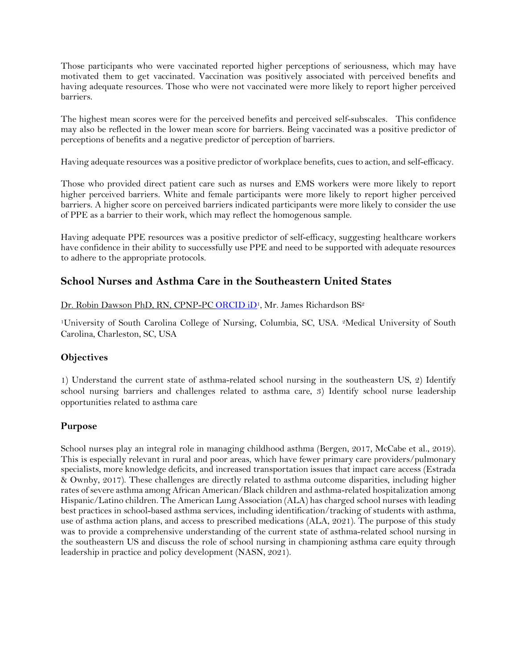Those participants who were vaccinated reported higher perceptions of seriousness, which may have motivated them to get vaccinated. Vaccination was positively associated with perceived benefits and having adequate resources. Those who were not vaccinated were more likely to report higher perceived barriers.

The highest mean scores were for the perceived benefits and perceived self-subscales. This confidence may also be reflected in the lower mean score for barriers. Being vaccinated was a positive predictor of perceptions of benefits and a negative predictor of perception of barriers.

Having adequate resources was a positive predictor of workplace benefits, cues to action, and self-efficacy.

Those who provided direct patient care such as nurses and EMS workers were more likely to report higher perceived barriers. White and female participants were more likely to report higher perceived barriers. A higher score on perceived barriers indicated participants were more likely to consider the use of PPE as a barrier to their work, which may reflect the homogenous sample.

Having adequate PPE resources was a positive predictor of self-efficacy, suggesting healthcare workers have confidence in their ability to successfully use PPE and need to be supported with adequate resources to adhere to the appropriate protocols.

### <span id="page-43-0"></span>**School Nurses and Asthma Care in the Southeastern United States**

Dr. Robin Dawson PhD, RN, CPNP-PC [ORCID iD](https://orcid.org/0000-0001-5764-3558)<sup>1</sup>, Mr. James Richardson BS<sup>2</sup>

<sup>1</sup>University of South Carolina College of Nursing, Columbia, SC, USA. 2Medical University of South Carolina, Charleston, SC, USA

#### **Objectives**

1) Understand the current state of asthma-related school nursing in the southeastern US, 2) Identify school nursing barriers and challenges related to asthma care, 3) Identify school nurse leadership opportunities related to asthma care

#### **Purpose**

School nurses play an integral role in managing childhood asthma (Bergen, 2017, McCabe et al., 2019). This is especially relevant in rural and poor areas, which have fewer primary care providers/pulmonary specialists, more knowledge deficits, and increased transportation issues that impact care access (Estrada & Ownby, 2017). These challenges are directly related to asthma outcome disparities, including higher rates of severe asthma among African American/Black children and asthma-related hospitalization among Hispanic/Latino children. The American Lung Association (ALA) has charged school nurses with leading best practices in school-based asthma services, including identification/tracking of students with asthma, use of asthma action plans, and access to prescribed medications (ALA, 2021). The purpose of this study was to provide a comprehensive understanding of the current state of asthma-related school nursing in the southeastern US and discuss the role of school nursing in championing asthma care equity through leadership in practice and policy development (NASN, 2021).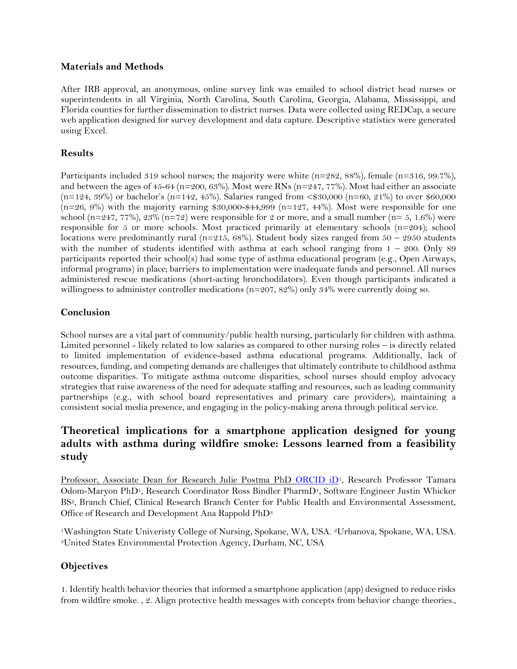#### **Materials and Methods**

After IRB approval, an anonymous, online survey link was emailed to school district head nurses or superintendents in all Virginia, North Carolina, South Carolina, Georgia, Alabama, Mississippi, and Florida counties for further dissemination to district nurses. Data were collected using REDCap, a secure web application designed for survey development and data capture. Descriptive statistics were generated using Excel.

#### **Results**

Participants included 319 school nurses; the majority were white  $(n=282, 88%)$ , female  $(n=316, 99.7%)$ , and between the ages of  $45-64$  (n=200, 63%). Most were RNs (n=247, 77%). Most had either an associate (n=124, 39%) or bachelor's (n=142, 45%). Salaries ranged from <\$30,000 (n=60, 21%) to over \$60,000  $(n=26, 9%)$  with the majority earning \$30,000-\$44,999 (n=127, 44%). Most were responsible for one school (n=247, 77%), 23% (n=72) were responsible for 2 or more, and a small number (n= 5, 1.6%) were responsible for 5 or more schools. Most practiced primarily at elementary schools  $(n=204)$ ; school locations were predominantly rural (n=215, 68%). Student body sizes ranged from  $50 - 2950$  students with the number of students identified with asthma at each school ranging from  $1 - 200$ . Only 89 participants reported their school(s) had some type of asthma educational program (e.g., Open Airways, informal programs) in place; barriers to implementation were inadequate funds and personnel. All nurses administered rescue medications (short-acting bronchodilators). Even though participants indicated a willingness to administer controller medications (n=207, 82%) only 34% were currently doing so.

#### **Conclusion**

School nurses are a vital part of community/public health nursing, particularly for children with asthma. Limited personnel - likely related to low salaries as compared to other nursing roles – is directly related to limited implementation of evidence-based asthma educational programs. Additionally, lack of resources, funding, and competing demands are challenges that ultimately contribute to childhood asthma outcome disparities. To mitigate asthma outcome disparities, school nurses should employ advocacy strategies that raise awareness of the need for adequate staffing and resources, such as leading community partnerships (e.g., with school board representatives and primary care providers), maintaining a consistent social media presence, and engaging in the policy-making arena through political service.

## <span id="page-44-0"></span>**Theoretical implications for a smartphone application designed for young adults with asthma during wildfire smoke: Lessons learned from a feasibility study**

Professor, Associate Dean for Research Julie Postma PhD [ORCID iD](https://orcid.org/0000-0001-9743-5526)1, Research Professor Tamara Odom-Maryon PhD1, Research Coordinator Ross Bindler PharmD1, Software Engineer Justin Whicker BS2, Branch Chief, Clinical Research Branch Center for Public Health and Environmental Assessment, Office of Research and Development Ana Rappold PhD<sup>3</sup>

<sup>1</sup>Washington State Univeristy College of Nursing, Spokane, WA, USA. 2Urbanova, Spokane, WA, USA. <sup>3</sup>United States Environmental Protection Agency, Durham, NC, USA

### **Objectives**

1. Identify health behavior theories that informed a smartphone application (app) designed to reduce risks from wildfire smoke. , 2. Align protective health messages with concepts from behavior change theories.,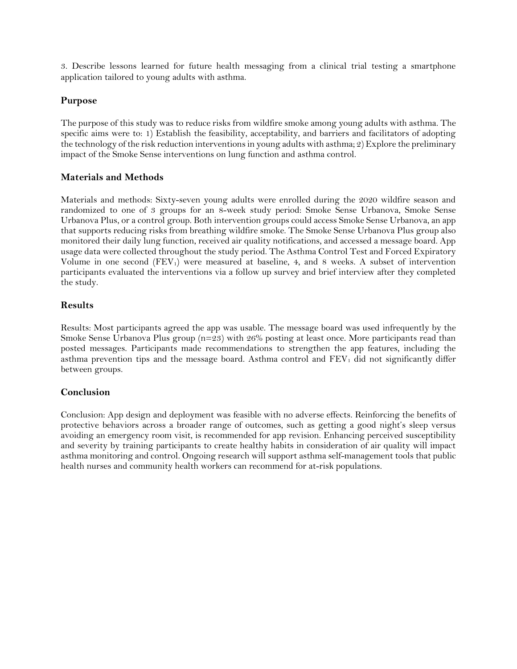3. Describe lessons learned for future health messaging from a clinical trial testing a smartphone application tailored to young adults with asthma.

#### **Purpose**

The purpose of this study was to reduce risks from wildfire smoke among young adults with asthma. The specific aims were to: 1) Establish the feasibility, acceptability, and barriers and facilitators of adopting the technology of the risk reduction interventions in young adults with asthma; 2) Explore the preliminary impact of the Smoke Sense interventions on lung function and asthma control.

#### **Materials and Methods**

Materials and methods: Sixty-seven young adults were enrolled during the 2020 wildfire season and randomized to one of 3 groups for an 8-week study period: Smoke Sense Urbanova, Smoke Sense Urbanova Plus, or a control group. Both intervention groups could access Smoke Sense Urbanova, an app that supports reducing risks from breathing wildfire smoke. The Smoke Sense Urbanova Plus group also monitored their daily lung function, received air quality notifications, and accessed a message board. App usage data were collected throughout the study period. The Asthma Control Test and Forced Expiratory Volume in one second  $(FEV_1)$  were measured at baseline, 4, and 8 weeks. A subset of intervention participants evaluated the interventions via a follow up survey and brief interview after they completed the study.

#### **Results**

Results: Most participants agreed the app was usable. The message board was used infrequently by the Smoke Sense Urbanova Plus group ( $n=23$ ) with 26% posting at least once. More participants read than posted messages. Participants made recommendations to strengthen the app features, including the asthma prevention tips and the message board. Asthma control and  $FEV<sub>1</sub>$  did not significantly differ between groups.

#### **Conclusion**

Conclusion: App design and deployment was feasible with no adverse effects. Reinforcing the benefits of protective behaviors across a broader range of outcomes, such as getting a good night's sleep versus avoiding an emergency room visit, is recommended for app revision. Enhancing perceived susceptibility and severity by training participants to create healthy habits in consideration of air quality will impact asthma monitoring and control. Ongoing research will support asthma self-management tools that public health nurses and community health workers can recommend for at-risk populations.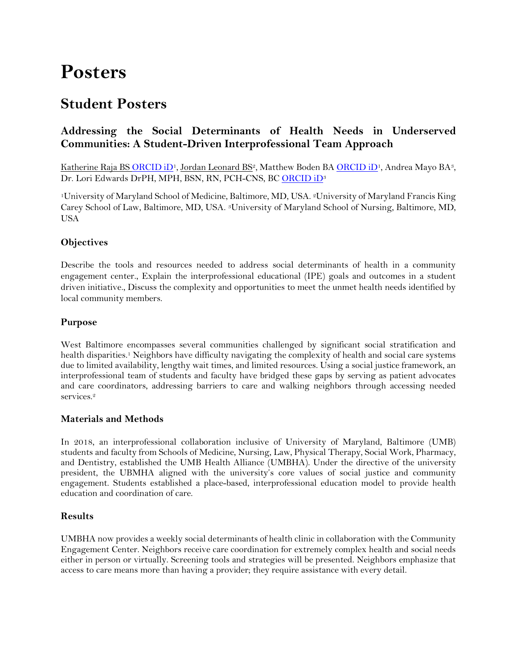# <span id="page-46-0"></span>**Posters**

## <span id="page-46-1"></span>**Student Posters**

## <span id="page-46-2"></span>**Addressing the Social Determinants of Health Needs in Underserved Communities: A Student-Driven Interprofessional Team Approach**

Katherine Raja BS [ORCID iD](https://orcid.org/0000-0001-8108-5904)<sup>1</sup>, Jordan Leonard BS<sup>2</sup>, Matthew Boden B[A ORCID iD](https://orcid.org/0000-0002-1769-7989)<sup>1</sup>, Andrea Mayo BA<sup>3</sup>, Dr. Lori Edwards DrPH, MPH, BSN, RN, PCH-CNS, B[C ORCID iD](https://orcid.org/0000-0002-5298-9418)<sup>3</sup>

<sup>1</sup>University of Maryland School of Medicine, Baltimore, MD, USA. <sup>2</sup>University of Maryland Francis King Carey School of Law, Baltimore, MD, USA. 3University of Maryland School of Nursing, Baltimore, MD, USA

#### **Objectives**

Describe the tools and resources needed to address social determinants of health in a community engagement center., Explain the interprofessional educational (IPE) goals and outcomes in a student driven initiative., Discuss the complexity and opportunities to meet the unmet health needs identified by local community members.

#### **Purpose**

West Baltimore encompasses several communities challenged by significant social stratification and health disparities.<sup>1</sup> Neighbors have difficulty navigating the complexity of health and social care systems due to limited availability, lengthy wait times, and limited resources. Using a social justice framework, an interprofessional team of students and faculty have bridged these gaps by serving as patient advocates and care coordinators, addressing barriers to care and walking neighbors through accessing needed services.<sup>2</sup>

#### **Materials and Methods**

In 2018, an interprofessional collaboration inclusive of University of Maryland, Baltimore (UMB) students and faculty from Schools of Medicine, Nursing, Law, Physical Therapy, Social Work, Pharmacy, and Dentistry, established the UMB Health Alliance (UMBHA). Under the directive of the university president, the UBMHA aligned with the university's core values of social justice and community engagement. Students established a place-based, interprofessional education model to provide health education and coordination of care.

#### **Results**

UMBHA now provides a weekly social determinants of health clinic in collaboration with the Community Engagement Center. Neighbors receive care coordination for extremely complex health and social needs either in person or virtually. Screening tools and strategies will be presented. Neighbors emphasize that access to care means more than having a provider; they require assistance with every detail.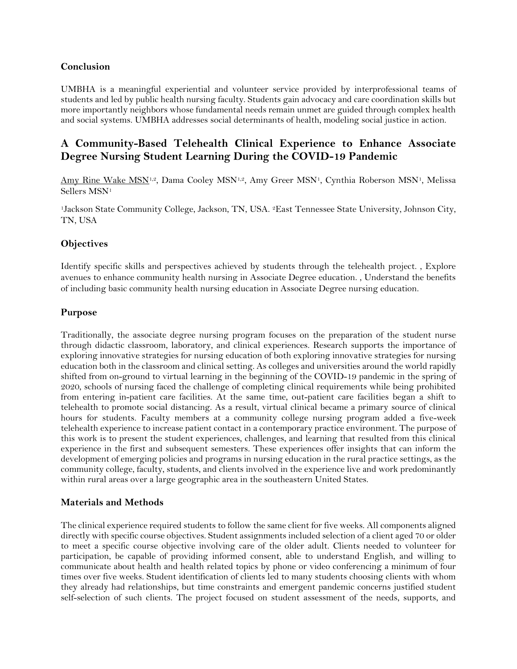#### **Conclusion**

UMBHA is a meaningful experiential and volunteer service provided by interprofessional teams of students and led by public health nursing faculty. Students gain advocacy and care coordination skills but more importantly neighbors whose fundamental needs remain unmet are guided through complex health and social systems. UMBHA addresses social determinants of health, modeling social justice in action.

## <span id="page-47-0"></span>**A Community-Based Telehealth Clinical Experience to Enhance Associate Degree Nursing Student Learning During the COVID-19 Pandemic**

Amy Rine Wake MSN<sup>1,2</sup>, Dama Cooley MSN<sup>1,2</sup>, Amy Greer MSN<sup>1</sup>, Cynthia Roberson MSN<sup>1</sup>, Melissa Sellers MSN<sup>1</sup>

<sup>1</sup>Jackson State Community College, Jackson, TN, USA. <sup>2</sup>East Tennessee State University, Johnson City, TN, USA

#### **Objectives**

Identify specific skills and perspectives achieved by students through the telehealth project. , Explore avenues to enhance community health nursing in Associate Degree education. , Understand the benefits of including basic community health nursing education in Associate Degree nursing education.

#### **Purpose**

Traditionally, the associate degree nursing program focuses on the preparation of the student nurse through didactic classroom, laboratory, and clinical experiences. Research supports the importance of exploring innovative strategies for nursing education of both exploring innovative strategies for nursing education both in the classroom and clinical setting. As colleges and universities around the world rapidly shifted from on-ground to virtual learning in the beginning of the COVID-19 pandemic in the spring of 2020, schools of nursing faced the challenge of completing clinical requirements while being prohibited from entering in-patient care facilities. At the same time, out-patient care facilities began a shift to telehealth to promote social distancing. As a result, virtual clinical became a primary source of clinical hours for students. Faculty members at a community college nursing program added a five-week telehealth experience to increase patient contact in a contemporary practice environment. The purpose of this work is to present the student experiences, challenges, and learning that resulted from this clinical experience in the first and subsequent semesters. These experiences offer insights that can inform the development of emerging policies and programs in nursing education in the rural practice settings, as the community college, faculty, students, and clients involved in the experience live and work predominantly within rural areas over a large geographic area in the southeastern United States.

#### **Materials and Methods**

The clinical experience required students to follow the same client for five weeks. All components aligned directly with specific course objectives. Student assignments included selection of a client aged 70 or older to meet a specific course objective involving care of the older adult. Clients needed to volunteer for participation, be capable of providing informed consent, able to understand English, and willing to communicate about health and health related topics by phone or video conferencing a minimum of four times over five weeks. Student identification of clients led to many students choosing clients with whom they already had relationships, but time constraints and emergent pandemic concerns justified student self-selection of such clients. The project focused on student assessment of the needs, supports, and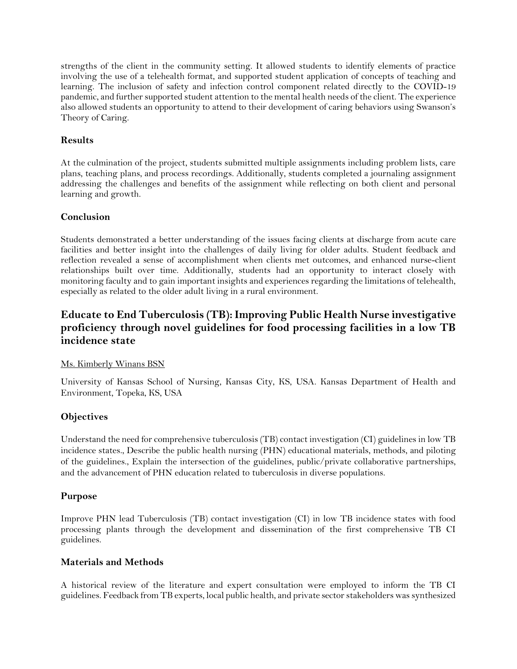strengths of the client in the community setting. It allowed students to identify elements of practice involving the use of a telehealth format, and supported student application of concepts of teaching and learning. The inclusion of safety and infection control component related directly to the COVID-19 pandemic, and further supported student attention to the mental health needs of the client. The experience also allowed students an opportunity to attend to their development of caring behaviors using Swanson's Theory of Caring.

#### **Results**

At the culmination of the project, students submitted multiple assignments including problem lists, care plans, teaching plans, and process recordings. Additionally, students completed a journaling assignment addressing the challenges and benefits of the assignment while reflecting on both client and personal learning and growth.

#### **Conclusion**

Students demonstrated a better understanding of the issues facing clients at discharge from acute care facilities and better insight into the challenges of daily living for older adults. Student feedback and reflection revealed a sense of accomplishment when clients met outcomes, and enhanced nurse-client relationships built over time. Additionally, students had an opportunity to interact closely with monitoring faculty and to gain important insights and experiences regarding the limitations of telehealth, especially as related to the older adult living in a rural environment.

## <span id="page-48-0"></span>**Educate to End Tuberculosis (TB): Improving Public Health Nurse investigative proficiency through novel guidelines for food processing facilities in a low TB incidence state**

#### Ms. Kimberly Winans BSN

University of Kansas School of Nursing, Kansas City, KS, USA. Kansas Department of Health and Environment, Topeka, KS, USA

#### **Objectives**

Understand the need for comprehensive tuberculosis (TB) contact investigation (CI) guidelines in low TB incidence states., Describe the public health nursing (PHN) educational materials, methods, and piloting of the guidelines., Explain the intersection of the guidelines, public/private collaborative partnerships, and the advancement of PHN education related to tuberculosis in diverse populations.

#### **Purpose**

Improve PHN lead Tuberculosis (TB) contact investigation (CI) in low TB incidence states with food processing plants through the development and dissemination of the first comprehensive TB CI guidelines.

#### **Materials and Methods**

A historical review of the literature and expert consultation were employed to inform the TB CI guidelines. Feedback from TB experts, local public health, and private sector stakeholders was synthesized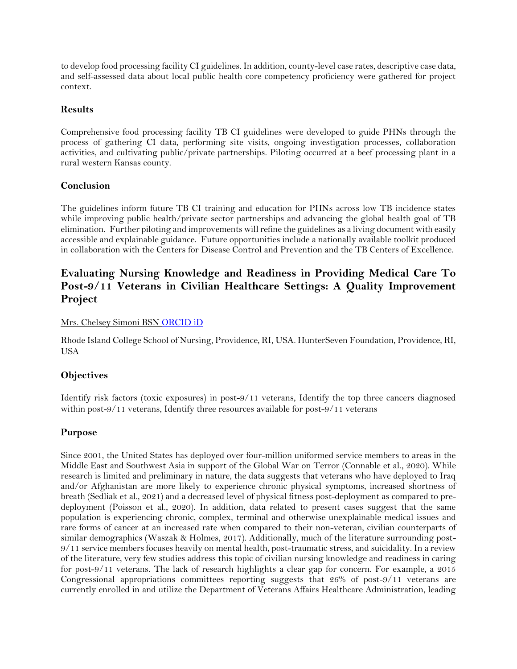to develop food processing facility CI guidelines. In addition, county-level case rates, descriptive case data, and self-assessed data about local public health core competency proficiency were gathered for project context.

#### **Results**

Comprehensive food processing facility TB CI guidelines were developed to guide PHNs through the process of gathering CI data, performing site visits, ongoing investigation processes, collaboration activities, and cultivating public/private partnerships. Piloting occurred at a beef processing plant in a rural western Kansas county.

#### **Conclusion**

The guidelines inform future TB CI training and education for PHNs across low TB incidence states while improving public health/private sector partnerships and advancing the global health goal of TB elimination. Further piloting and improvements will refine the guidelines as a living document with easily accessible and explainable guidance. Future opportunities include a nationally available toolkit produced in collaboration with the Centers for Disease Control and Prevention and the TB Centers of Excellence.

## <span id="page-49-0"></span>**Evaluating Nursing Knowledge and Readiness in Providing Medical Care To Post-9/11 Veterans in Civilian Healthcare Settings: A Quality Improvement Project**

#### Mrs. Chelsey Simoni BSN [ORCID iD](https://orcid.org/0000-0003-1492-8662)

Rhode Island College School of Nursing, Providence, RI, USA. HunterSeven Foundation, Providence, RI, USA

#### **Objectives**

Identify risk factors (toxic exposures) in post-9/11 veterans, Identify the top three cancers diagnosed within post-9/11 veterans, Identify three resources available for post-9/11 veterans

#### **Purpose**

Since 2001, the United States has deployed over four-million uniformed service members to areas in the Middle East and Southwest Asia in support of the Global War on Terror (Connable et al., 2020). While research is limited and preliminary in nature, the data suggests that veterans who have deployed to Iraq and/or Afghanistan are more likely to experience chronic physical symptoms, increased shortness of breath (Sedliak et al., 2021) and a decreased level of physical fitness post-deployment as compared to predeployment (Poisson et al., 2020). In addition, data related to present cases suggest that the same population is experiencing chronic, complex, terminal and otherwise unexplainable medical issues and rare forms of cancer at an increased rate when compared to their non-veteran, civilian counterparts of similar demographics (Waszak & Holmes, 2017). Additionally, much of the literature surrounding post-9/11 service members focuses heavily on mental health, post-traumatic stress, and suicidality. In a review of the literature, very few studies address this topic of civilian nursing knowledge and readiness in caring for post-9/11 veterans. The lack of research highlights a clear gap for concern. For example, a 2015 Congressional appropriations committees reporting suggests that 26% of post-9/11 veterans are currently enrolled in and utilize the Department of Veterans Affairs Healthcare Administration, leading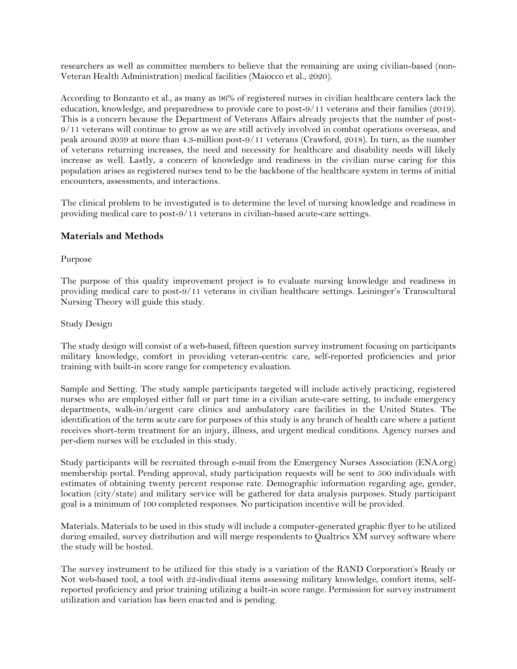researchers as well as committee members to believe that the remaining are using civilian-based (non-Veteran Health Administration) medical facilities (Maiocco et al., 2020).

According to Bonzanto et al., as many as 96% of registered nurses in civilian healthcare centers lack the education, knowledge, and preparedness to provide care to post-9/11 veterans and their families (2019). This is a concern because the Department of Veterans Affairs already projects that the number of post-9/11 veterans will continue to grow as we are still actively involved in combat operations overseas, and peak around 2039 at more than 4.3-million post-9/11 veterans (Crawford, 2018). In turn, as the number of veterans returning increases, the need and necessity for healthcare and disability needs will likely increase as well. Lastly, a concern of knowledge and readiness in the civilian nurse caring for this population arises as registered nurses tend to be the backbone of the healthcare system in terms of initial encounters, assessments, and interactions.

The clinical problem to be investigated is to determine the level of nursing knowledge and readiness in providing medical care to post-9/11 veterans in civilian-based acute-care settings.

#### **Materials and Methods**

Purpose

The purpose of this quality improvement project is to evaluate nursing knowledge and readiness in providing medical care to post-9/11 veterans in civilian healthcare settings. Leininger's Transcultural Nursing Theory will guide this study.

Study Design

The study design will consist of a web-based, fifteen question survey instrument focusing on participants military knowledge, comfort in providing veteran-centric care, self-reported proficiencies and prior training with built-in score range for competency evaluation.

Sample and Setting. The study sample participants targeted will include actively practicing, registered nurses who are employed either full or part time in a civilian acute-care setting, to include emergency departments, walk-in/urgent care clinics and ambulatory care facilities in the United States. The identification of the term acute care for purposes of this study is any branch of health care where a patient receives short-term treatment for an injury, illness, and urgent medical conditions. Agency nurses and per-diem nurses will be excluded in this study.

Study participants will be recruited through e-mail from the Emergency Nurses Association (ENA.org) membership portal. Pending approval, study participation requests will be sent to 500 individuals with estimates of obtaining twenty percent response rate. Demographic information regarding age, gender, location (city/state) and military service will be gathered for data analysis purposes. Study participant goal is a minimum of 100 completed responses. No participation incentive will be provided.

Materials. Materials to be used in this study will include a computer-generated graphic flyer to be utilized during emailed, survey distribution and will merge respondents to Qualtrics XM survey software where the study will be hosted.

The survey instrument to be utilized for this study is a variation of the RAND Corporation's Ready or Not web-based tool, a tool with 22-indivdiual items assessing military knowledge, comfort items, selfreported proficiency and prior training utilizing a built-in score range. Permission for survey instrument utilization and variation has been enacted and is pending.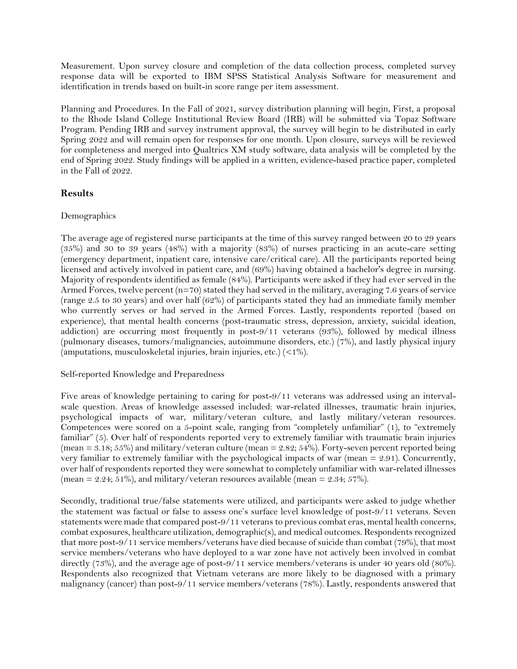Measurement. Upon survey closure and completion of the data collection process, completed survey response data will be exported to IBM SPSS Statistical Analysis Software for measurement and identification in trends based on built-in score range per item assessment.

Planning and Procedures. In the Fall of 2021, survey distribution planning will begin, First, a proposal to the Rhode Island College Institutional Review Board (IRB) will be submitted via Topaz Software Program. Pending IRB and survey instrument approval, the survey will begin to be distributed in early Spring 2022 and will remain open for responses for one month. Upon closure, surveys will be reviewed for completeness and merged into Qualtrics XM study software, data analysis will be completed by the end of Spring 2022. Study findings will be applied in a written, evidence-based practice paper, completed in the Fall of 2022.

#### **Results**

#### Demographics

The average age of registered nurse participants at the time of this survey ranged between 20 to 29 years (35%) and 30 to 39 years (48%) with a majority (83%) of nurses practicing in an acute-care setting (emergency department, inpatient care, intensive care/critical care). All the participants reported being licensed and actively involved in patient care, and (69%) having obtained a bachelor's degree in nursing. Majority of respondents identified as female (84%). Participants were asked if they had ever served in the Armed Forces, twelve percent  $(n=70)$  stated they had served in the military, averaging 7.6 years of service (range 2.5 to 30 years) and over half (62%) of participants stated they had an immediate family member who currently serves or had served in the Armed Forces. Lastly, respondents reported (based on experience), that mental health concerns (post-traumatic stress, depression, anxiety, suicidal ideation, addiction) are occurring most frequently in post-9/11 veterans (93%), followed by medical illness (pulmonary diseases, tumors/malignancies, autoimmune disorders, etc.) (7%), and lastly physical injury (amputations, musculoskeletal injuries, brain injuries, etc.) (<1%).

#### Self-reported Knowledge and Preparedness

Five areas of knowledge pertaining to caring for post-9/11 veterans was addressed using an intervalscale question. Areas of knowledge assessed included: war-related illnesses, traumatic brain injuries, psychological impacts of war, military/veteran culture, and lastly military/veteran resources. Competences were scored on a 5-point scale, ranging from "completely unfamiliar" (1), to "extremely familiar" (5). Over half of respondents reported very to extremely familiar with traumatic brain injuries (mean = 3.18; 55%) and military/veteran culture (mean = 2.82; 54%). Forty-seven percent reported being very familiar to extremely familiar with the psychological impacts of war (mean = 2.91). Concurrently, over half of respondents reported they were somewhat to completely unfamiliar with war-related illnesses (mean =  $2.24$ ;  $51\%$ ), and military/veteran resources available (mean =  $2.34$ ;  $57\%$ ).

Secondly, traditional true/false statements were utilized, and participants were asked to judge whether the statement was factual or false to assess one's surface level knowledge of post-9/11 veterans. Seven statements were made that compared post-9/11 veterans to previous combat eras, mental health concerns, combat exposures, healthcare utilization, demographic(s), and medical outcomes. Respondents recognized that more post-9/11 service members/veterans have died because of suicide than combat (79%), that most service members/veterans who have deployed to a war zone have not actively been involved in combat directly (73%), and the average age of post-9/11 service members/veterans is under 40 years old (80%). Respondents also recognized that Vietnam veterans are more likely to be diagnosed with a primary malignancy (cancer) than post-9/11 service members/veterans (78%). Lastly, respondents answered that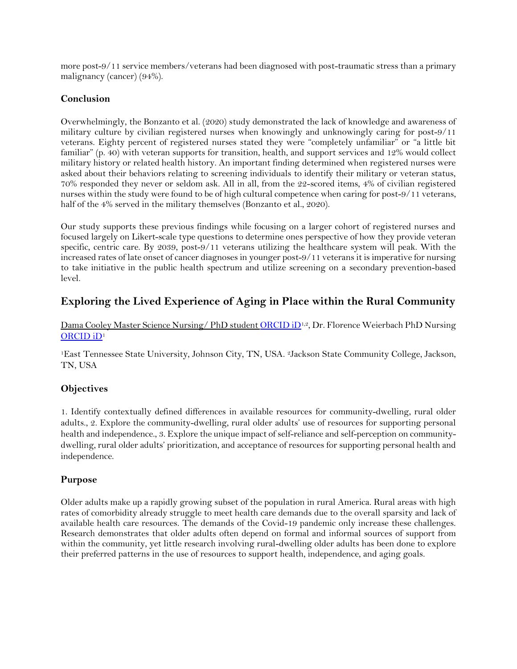more post-9/11 service members/veterans had been diagnosed with post-traumatic stress than a primary malignancy (cancer) (94%).

#### **Conclusion**

Overwhelmingly, the Bonzanto et al. (2020) study demonstrated the lack of knowledge and awareness of military culture by civilian registered nurses when knowingly and unknowingly caring for post-9/11 veterans. Eighty percent of registered nurses stated they were "completely unfamiliar" or "a little bit familiar" (p. 40) with veteran supports for transition, health, and support services and 12% would collect military history or related health history. An important finding determined when registered nurses were asked about their behaviors relating to screening individuals to identify their military or veteran status, 70% responded they never or seldom ask. All in all, from the 22-scored items, 4% of civilian registered nurses within the study were found to be of high cultural competence when caring for post-9/11 veterans, half of the 4% served in the military themselves (Bonzanto et al., 2020).

Our study supports these previous findings while focusing on a larger cohort of registered nurses and focused largely on Likert-scale type questions to determine ones perspective of how they provide veteran specific, centric care. By 2039, post-9/11 veterans utilizing the healthcare system will peak. With the increased rates of late onset of cancer diagnoses in younger post-9/11 veterans it is imperative for nursing to take initiative in the public health spectrum and utilize screening on a secondary prevention-based level.

## <span id="page-52-0"></span>**Exploring the Lived Experience of Aging in Place within the Rural Community**

Dama Cooley Master Science Nursing/ PhD student [ORCID iD](https://orcid.org/0000-0003-4133-152X)<sup>1,2</sup>, Dr. Florence Weierbach PhD Nursing [ORCID iD](https://orcid.org/0000-0002-3228-6264)<sup>1</sup>

<sup>1</sup>East Tennessee State University, Johnson City, TN, USA. 2Jackson State Community College, Jackson, TN, USA

#### **Objectives**

1. Identify contextually defined differences in available resources for community-dwelling, rural older adults., 2. Explore the community-dwelling, rural older adults' use of resources for supporting personal health and independence., 3. Explore the unique impact of self-reliance and self-perception on communitydwelling, rural older adults' prioritization, and acceptance of resources for supporting personal health and independence.

#### **Purpose**

Older adults make up a rapidly growing subset of the population in rural America. Rural areas with high rates of comorbidity already struggle to meet health care demands due to the overall sparsity and lack of available health care resources. The demands of the Covid-19 pandemic only increase these challenges. Research demonstrates that older adults often depend on formal and informal sources of support from within the community, yet little research involving rural-dwelling older adults has been done to explore their preferred patterns in the use of resources to support health, independence, and aging goals.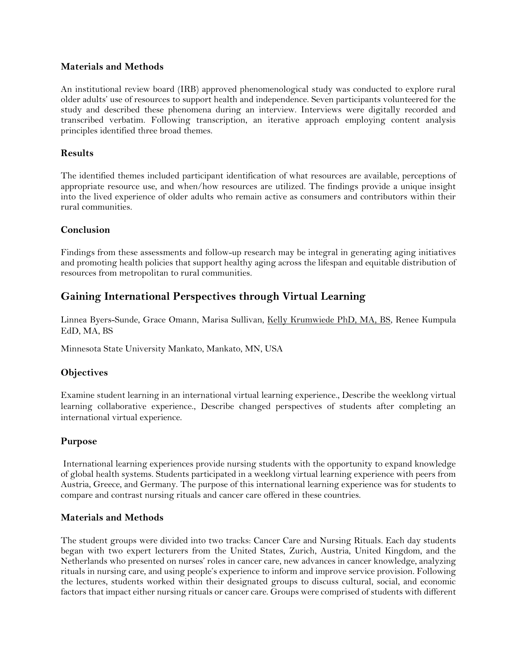#### **Materials and Methods**

An institutional review board (IRB) approved phenomenological study was conducted to explore rural older adults' use of resources to support health and independence. Seven participants volunteered for the study and described these phenomena during an interview. Interviews were digitally recorded and transcribed verbatim. Following transcription, an iterative approach employing content analysis principles identified three broad themes.

#### **Results**

The identified themes included participant identification of what resources are available, perceptions of appropriate resource use, and when/how resources are utilized. The findings provide a unique insight into the lived experience of older adults who remain active as consumers and contributors within their rural communities.

#### **Conclusion**

Findings from these assessments and follow-up research may be integral in generating aging initiatives and promoting health policies that support healthy aging across the lifespan and equitable distribution of resources from metropolitan to rural communities.

## <span id="page-53-0"></span>**Gaining International Perspectives through Virtual Learning**

Linnea Byers-Sunde, Grace Omann, Marisa Sullivan, Kelly Krumwiede PhD, MA, BS, Renee Kumpula EdD, MA, BS

Minnesota State University Mankato, Mankato, MN, USA

#### **Objectives**

Examine student learning in an international virtual learning experience., Describe the weeklong virtual learning collaborative experience., Describe changed perspectives of students after completing an international virtual experience.

#### **Purpose**

International learning experiences provide nursing students with the opportunity to expand knowledge of global health systems. Students participated in a weeklong virtual learning experience with peers from Austria, Greece, and Germany. The purpose of this international learning experience was for students to compare and contrast nursing rituals and cancer care offered in these countries.

#### **Materials and Methods**

The student groups were divided into two tracks: Cancer Care and Nursing Rituals. Each day students began with two expert lecturers from the United States, Zurich, Austria, United Kingdom, and the Netherlands who presented on nurses' roles in cancer care, new advances in cancer knowledge, analyzing rituals in nursing care, and using people's experience to inform and improve service provision. Following the lectures, students worked within their designated groups to discuss cultural, social, and economic factors that impact either nursing rituals or cancer care. Groups were comprised of students with different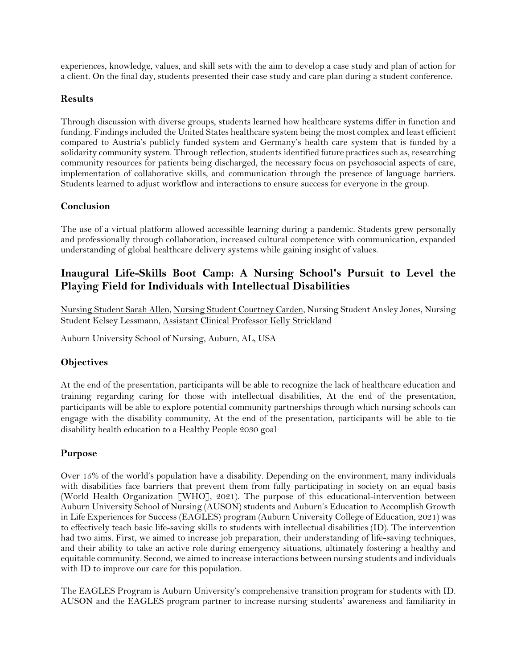experiences, knowledge, values, and skill sets with the aim to develop a case study and plan of action for a client. On the final day, students presented their case study and care plan during a student conference.

#### **Results**

Through discussion with diverse groups, students learned how healthcare systems differ in function and funding. Findings included the United States healthcare system being the most complex and least efficient compared to Austria's publicly funded system and Germany's health care system that is funded by a solidarity community system. Through reflection, students identified future practices such as, researching community resources for patients being discharged, the necessary focus on psychosocial aspects of care, implementation of collaborative skills, and communication through the presence of language barriers. Students learned to adjust workflow and interactions to ensure success for everyone in the group.

#### **Conclusion**

The use of a virtual platform allowed accessible learning during a pandemic. Students grew personally and professionally through collaboration, increased cultural competence with communication, expanded understanding of global healthcare delivery systems while gaining insight of values.

## <span id="page-54-0"></span>**Inaugural Life-Skills Boot Camp: A Nursing School's Pursuit to Level the Playing Field for Individuals with Intellectual Disabilities**

Nursing Student Sarah Allen, Nursing Student Courtney Carden, Nursing Student Ansley Jones, Nursing Student Kelsey Lessmann, Assistant Clinical Professor Kelly Strickland

Auburn University School of Nursing, Auburn, AL, USA

#### **Objectives**

At the end of the presentation, participants will be able to recognize the lack of healthcare education and training regarding caring for those with intellectual disabilities, At the end of the presentation, participants will be able to explore potential community partnerships through which nursing schools can engage with the disability community, At the end of the presentation, participants will be able to tie disability health education to a Healthy People 2030 goal

#### **Purpose**

Over 15% of the world's population have a disability. Depending on the environment, many individuals with disabilities face barriers that prevent them from fully participating in society on an equal basis (World Health Organization [WHO], 2021). The purpose of this educational-intervention between Auburn University School of Nursing (AUSON) students and Auburn's Education to Accomplish Growth in Life Experiences for Success (EAGLES) program (Auburn University College of Education, 2021) was to effectively teach basic life-saving skills to students with intellectual disabilities (ID). The intervention had two aims. First, we aimed to increase job preparation, their understanding of life-saving techniques, and their ability to take an active role during emergency situations, ultimately fostering a healthy and equitable community. Second, we aimed to increase interactions between nursing students and individuals with ID to improve our care for this population.

The EAGLES Program is Auburn University's comprehensive transition program for students with ID. AUSON and the EAGLES program partner to increase nursing students' awareness and familiarity in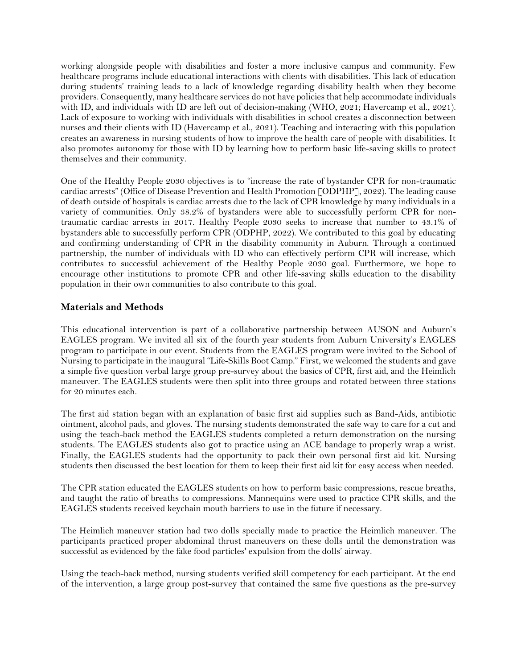working alongside people with disabilities and foster a more inclusive campus and community. Few healthcare programs include educational interactions with clients with disabilities. This lack of education during students' training leads to a lack of knowledge regarding disability health when they become providers. Consequently, many healthcare services do not have policies that help accommodate individuals with ID, and individuals with ID are left out of decision-making (WHO, 2021; Havercamp et al., 2021). Lack of exposure to working with individuals with disabilities in school creates a disconnection between nurses and their clients with ID (Havercamp et al., 2021). Teaching and interacting with this population creates an awareness in nursing students of how to improve the health care of people with disabilities. It also promotes autonomy for those with ID by learning how to perform basic life-saving skills to protect themselves and their community.

One of the Healthy People 2030 objectives is to "increase the rate of bystander CPR for non-traumatic cardiac arrests" (Office of Disease Prevention and Health Promotion [ODPHP], 2022). The leading cause of death outside of hospitals is cardiac arrests due to the lack of CPR knowledge by many individuals in a variety of communities. Only 38.2% of bystanders were able to successfully perform CPR for nontraumatic cardiac arrests in 2017. Healthy People 2030 seeks to increase that number to 43.1% of bystanders able to successfully perform CPR (ODPHP, 2022). We contributed to this goal by educating and confirming understanding of CPR in the disability community in Auburn. Through a continued partnership, the number of individuals with ID who can effectively perform CPR will increase, which contributes to successful achievement of the Healthy People 2030 goal. Furthermore, we hope to encourage other institutions to promote CPR and other life-saving skills education to the disability population in their own communities to also contribute to this goal.

#### **Materials and Methods**

This educational intervention is part of a collaborative partnership between AUSON and Auburn's EAGLES program. We invited all six of the fourth year students from Auburn University's EAGLES program to participate in our event. Students from the EAGLES program were invited to the School of Nursing to participate in the inaugural "Life-Skills Boot Camp." First, we welcomed the students and gave a simple five question verbal large group pre-survey about the basics of CPR, first aid, and the Heimlich maneuver. The EAGLES students were then split into three groups and rotated between three stations for 20 minutes each.

The first aid station began with an explanation of basic first aid supplies such as Band-Aids, antibiotic ointment, alcohol pads, and gloves. The nursing students demonstrated the safe way to care for a cut and using the teach-back method the EAGLES students completed a return demonstration on the nursing students. The EAGLES students also got to practice using an ACE bandage to properly wrap a wrist. Finally, the EAGLES students had the opportunity to pack their own personal first aid kit. Nursing students then discussed the best location for them to keep their first aid kit for easy access when needed.

The CPR station educated the EAGLES students on how to perform basic compressions, rescue breaths, and taught the ratio of breaths to compressions. Mannequins were used to practice CPR skills, and the EAGLES students received keychain mouth barriers to use in the future if necessary.

The Heimlich maneuver station had two dolls specially made to practice the Heimlich maneuver. The participants practiced proper abdominal thrust maneuvers on these dolls until the demonstration was successful as evidenced by the fake food particles' expulsion from the dolls' airway.

Using the teach-back method, nursing students verified skill competency for each participant. At the end of the intervention, a large group post-survey that contained the same five questions as the pre-survey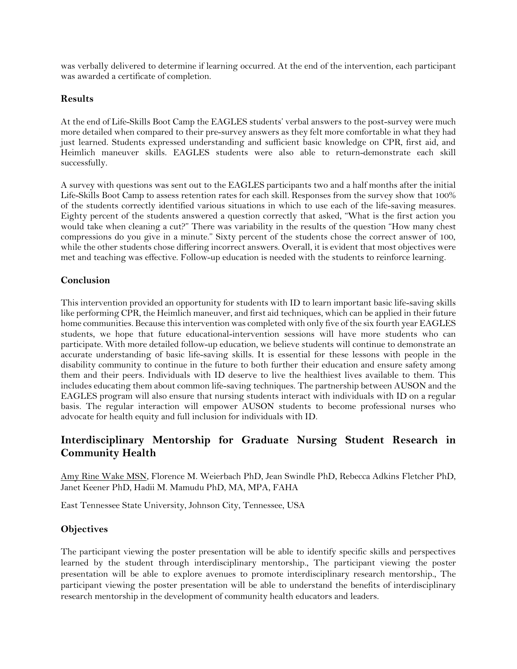was verbally delivered to determine if learning occurred. At the end of the intervention, each participant was awarded a certificate of completion.

#### **Results**

At the end of Life-Skills Boot Camp the EAGLES students' verbal answers to the post-survey were much more detailed when compared to their pre-survey answers as they felt more comfortable in what they had just learned. Students expressed understanding and sufficient basic knowledge on CPR, first aid, and Heimlich maneuver skills. EAGLES students were also able to return-demonstrate each skill successfully.

A survey with questions was sent out to the EAGLES participants two and a half months after the initial Life-Skills Boot Camp to assess retention rates for each skill. Responses from the survey show that 100% of the students correctly identified various situations in which to use each of the life-saving measures. Eighty percent of the students answered a question correctly that asked, "What is the first action you would take when cleaning a cut?" There was variability in the results of the question "How many chest" compressions do you give in a minute." Sixty percent of the students chose the correct answer of 100, while the other students chose differing incorrect answers. Overall, it is evident that most objectives were met and teaching was effective. Follow-up education is needed with the students to reinforce learning.

#### **Conclusion**

This intervention provided an opportunity for students with ID to learn important basic life-saving skills like performing CPR, the Heimlich maneuver, and first aid techniques, which can be applied in their future home communities. Because this intervention was completed with only five of the six fourth year EAGLES students, we hope that future educational-intervention sessions will have more students who can participate. With more detailed follow-up education, we believe students will continue to demonstrate an accurate understanding of basic life-saving skills. It is essential for these lessons with people in the disability community to continue in the future to both further their education and ensure safety among them and their peers. Individuals with ID deserve to live the healthiest lives available to them. This includes educating them about common life-saving techniques. The partnership between AUSON and the EAGLES program will also ensure that nursing students interact with individuals with ID on a regular basis. The regular interaction will empower AUSON students to become professional nurses who advocate for health equity and full inclusion for individuals with ID.

## <span id="page-56-0"></span>**Interdisciplinary Mentorship for Graduate Nursing Student Research in Community Health**

Amy Rine Wake MSN, Florence M. Weierbach PhD, Jean Swindle PhD, Rebecca Adkins Fletcher PhD, Janet Keener PhD, Hadii M. Mamudu PhD, MA, MPA, FAHA

East Tennessee State University, Johnson City, Tennessee, USA

#### **Objectives**

The participant viewing the poster presentation will be able to identify specific skills and perspectives learned by the student through interdisciplinary mentorship., The participant viewing the poster presentation will be able to explore avenues to promote interdisciplinary research mentorship., The participant viewing the poster presentation will be able to understand the benefits of interdisciplinary research mentorship in the development of community health educators and leaders.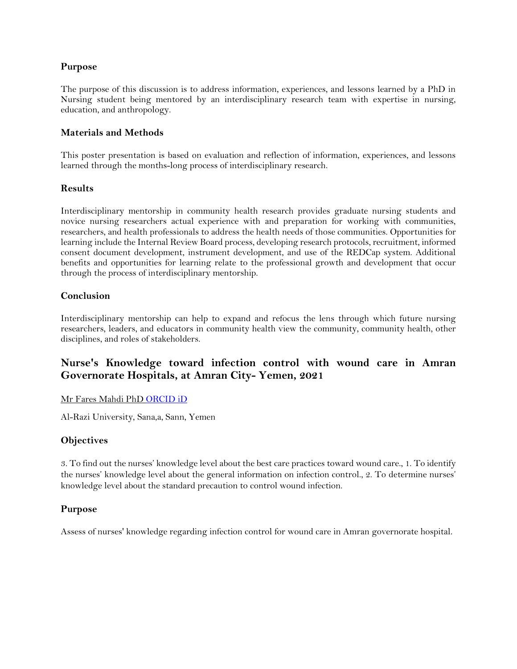#### **Purpose**

The purpose of this discussion is to address information, experiences, and lessons learned by a PhD in Nursing student being mentored by an interdisciplinary research team with expertise in nursing, education, and anthropology.

#### **Materials and Methods**

This poster presentation is based on evaluation and reflection of information, experiences, and lessons learned through the months-long process of interdisciplinary research.

#### **Results**

Interdisciplinary mentorship in community health research provides graduate nursing students and novice nursing researchers actual experience with and preparation for working with communities, researchers, and health professionals to address the health needs of those communities. Opportunities for learning include the Internal Review Board process, developing research protocols, recruitment, informed consent document development, instrument development, and use of the REDCap system. Additional benefits and opportunities for learning relate to the professional growth and development that occur through the process of interdisciplinary mentorship.

#### **Conclusion**

Interdisciplinary mentorship can help to expand and refocus the lens through which future nursing researchers, leaders, and educators in community health view the community, community health, other disciplines, and roles of stakeholders.

## <span id="page-57-0"></span>**Nurse's Knowledge toward infection control with wound care in Amran Governorate Hospitals, at Amran City- Yemen, 2021**

#### Mr Fares Mahdi Ph[D ORCID iD](https://orcid.org/0000-0002-3226-0822)

Al-Razi University, Sana,a, Sann, Yemen

#### **Objectives**

3. To find out the nurses' knowledge level about the best care practices toward wound care., 1. To identify the nurses' knowledge level about the general information on infection control., 2. To determine nurses' knowledge level about the standard precaution to control wound infection.

#### **Purpose**

Assess of nurses' knowledge regarding infection control for wound care in Amran governorate hospital.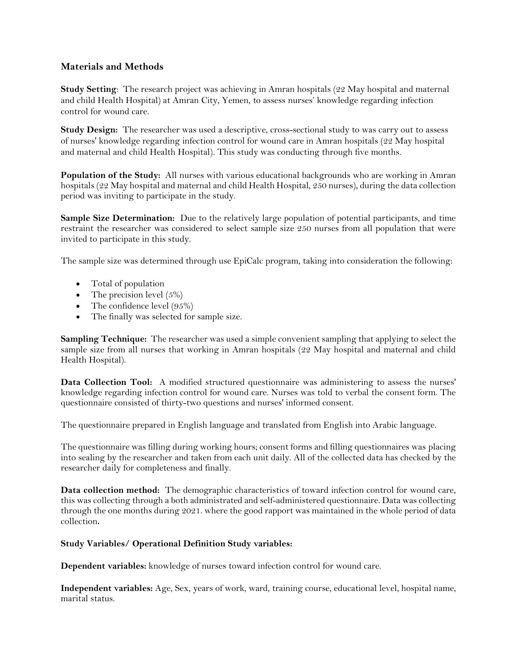#### **Materials and Methods**

**Study Setting**: The research project was achieving in Amran hospitals (22 May hospital and maternal and child Health Hospital) at Amran City, Yemen, to assess nurses' knowledge regarding infection control for wound care.

**Study Design:** The researcher was used a descriptive, cross-sectional study to was carry out to assess of nurses' knowledge regarding infection control for wound care in Amran hospitals (22 May hospital and maternal and child Health Hospital). This study was conducting through five months.

**Population of the Study:** All nurses with various educational backgrounds who are working in Amran hospitals (22 May hospital and maternal and child Health Hospital, 250 nurses), during the data collection period was inviting to participate in the study.

**Sample Size Determination:** Due to the relatively large population of potential participants, and time restraint the researcher was considered to select sample size 250 nurses from all population that were invited to participate in this study.

The sample size was determined through use EpiCalc program, taking into consideration the following:

- Total of population
- The precision level  $(5\%)$
- The confidence level (95%)
- The finally was selected for sample size.

**Sampling Technique:** The researcher was used a simple convenient sampling that applying to select the sample size from all nurses that working in Amran hospitals (22 May hospital and maternal and child Health Hospital).

**Data Collection Tool:** A modified structured questionnaire was administering to assess the nurses' knowledge regarding infection control for wound care. Nurses was told to verbal the consent form. The questionnaire consisted of thirty-two questions and nurses' informed consent.

The questionnaire prepared in English language and translated from English into Arabic language.

The questionnaire was filling during working hours; consent forms and filling questionnaires was placing into sealing by the researcher and taken from each unit daily. All of the collected data has checked by the researcher daily for completeness and finally.

**Data collection method:** The demographic characteristics of toward infection control for wound care, this was collecting through a both administrated and self-administered questionnaire. Data was collecting through the one months during 2021. where the good rapport was maintained in the whole period of data collection**.**

#### **Study Variables/ Operational Definition Study variables:**

**Dependent variables:** knowledge of nurses toward infection control for wound care.

**Independent variables:** Age, Sex, years of work, ward, training course, educational level, hospital name, marital status.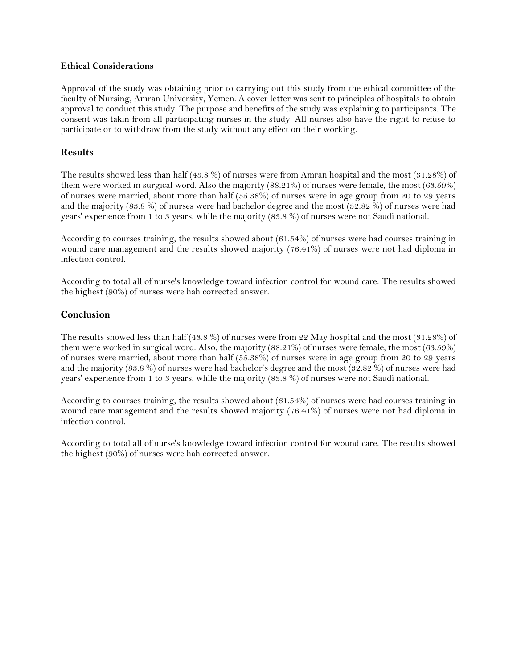#### **Ethical Considerations**

Approval of the study was obtaining prior to carrying out this study from the ethical committee of the faculty of Nursing, Amran University, Yemen. A cover letter was sent to principles of hospitals to obtain approval to conduct this study. The purpose and benefits of the study was explaining to participants. The consent was takin from all participating nurses in the study. All nurses also have the right to refuse to participate or to withdraw from the study without any effect on their working.

#### **Results**

The results showed less than half (43.8 %) of nurses were from Amran hospital and the most (31.28%) of them were worked in surgical word. Also the majority (88.21%) of nurses were female, the most (63.59%) of nurses were married, about more than half (55.38%) of nurses were in age group from 20 to 29 years and the majority (83.8 %) of nurses were had bachelor degree and the most (32.82 %) of nurses were had years' experience from 1 to 3 years. while the majority (83.8 %) of nurses were not Saudi national.

According to courses training, the results showed about (61.54%) of nurses were had courses training in wound care management and the results showed majority (76.41%) of nurses were not had diploma in infection control.

According to total all of nurse's knowledge toward infection control for wound care. The results showed the highest (90%) of nurses were hah corrected answer.

#### **Conclusion**

The results showed less than half (43.8 %) of nurses were from 22 May hospital and the most (31.28%) of them were worked in surgical word. Also, the majority (88.21%) of nurses were female, the most (63.59%) of nurses were married, about more than half (55.38%) of nurses were in age group from 20 to 29 years and the majority (83.8 %) of nurses were had bachelor's degree and the most (32.82 %) of nurses were had years' experience from 1 to 3 years. while the majority (83.8 %) of nurses were not Saudi national.

According to courses training, the results showed about (61.54%) of nurses were had courses training in wound care management and the results showed majority (76.41%) of nurses were not had diploma in infection control.

According to total all of nurse's knowledge toward infection control for wound care. The results showed the highest (90%) of nurses were hah corrected answer.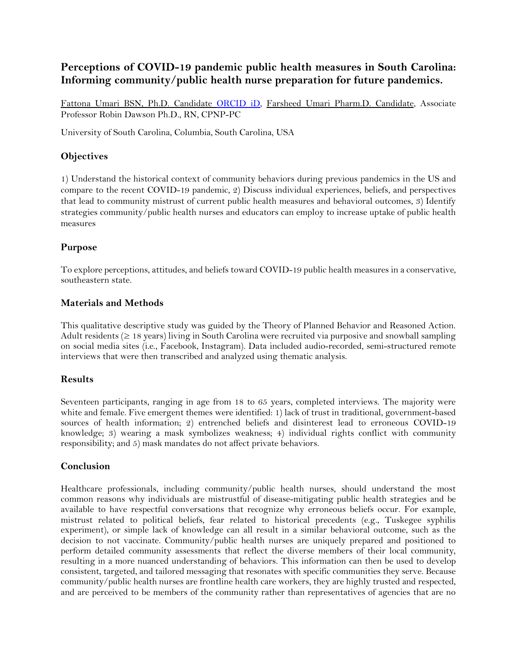## <span id="page-60-0"></span>**Perceptions of COVID-19 pandemic public health measures in South Carolina: Informing community/public health nurse preparation for future pandemics.**

Fattona Umari BSN, Ph.D. Candidate [ORCID iD,](https://orcid.org/0000-0002-0299-1931) Farsheed Umari Pharm.D. Candidate, Associate Professor Robin Dawson Ph.D., RN, CPNP-PC

University of South Carolina, Columbia, South Carolina, USA

#### **Objectives**

1) Understand the historical context of community behaviors during previous pandemics in the US and compare to the recent COVID-19 pandemic, 2) Discuss individual experiences, beliefs, and perspectives that lead to community mistrust of current public health measures and behavioral outcomes, 3) Identify strategies community/public health nurses and educators can employ to increase uptake of public health measures

#### **Purpose**

To explore perceptions, attitudes, and beliefs toward COVID-19 public health measures in a conservative, southeastern state.

#### **Materials and Methods**

This qualitative descriptive study was guided by the Theory of Planned Behavior and Reasoned Action. Adult residents  $(≥ 18 \text{ years})$  living in South Carolina were recruited via purposive and snowball sampling on social media sites (i.e., Facebook, Instagram). Data included audio-recorded, semi-structured remote interviews that were then transcribed and analyzed using thematic analysis.

#### **Results**

Seventeen participants, ranging in age from 18 to 65 years, completed interviews. The majority were white and female. Five emergent themes were identified: 1) lack of trust in traditional, government-based sources of health information; 2) entrenched beliefs and disinterest lead to erroneous COVID-19 knowledge; 3) wearing a mask symbolizes weakness; 4) individual rights conflict with community responsibility; and 5) mask mandates do not affect private behaviors.

#### **Conclusion**

Healthcare professionals, including community/public health nurses, should understand the most common reasons why individuals are mistrustful of disease-mitigating public health strategies and be available to have respectful conversations that recognize why erroneous beliefs occur. For example, mistrust related to political beliefs, fear related to historical precedents (e.g., Tuskegee syphilis experiment), or simple lack of knowledge can all result in a similar behavioral outcome, such as the decision to not vaccinate. Community/public health nurses are uniquely prepared and positioned to perform detailed community assessments that reflect the diverse members of their local community, resulting in a more nuanced understanding of behaviors. This information can then be used to develop consistent, targeted, and tailored messaging that resonates with specific communities they serve. Because community/public health nurses are frontline health care workers, they are highly trusted and respected, and are perceived to be members of the community rather than representatives of agencies that are no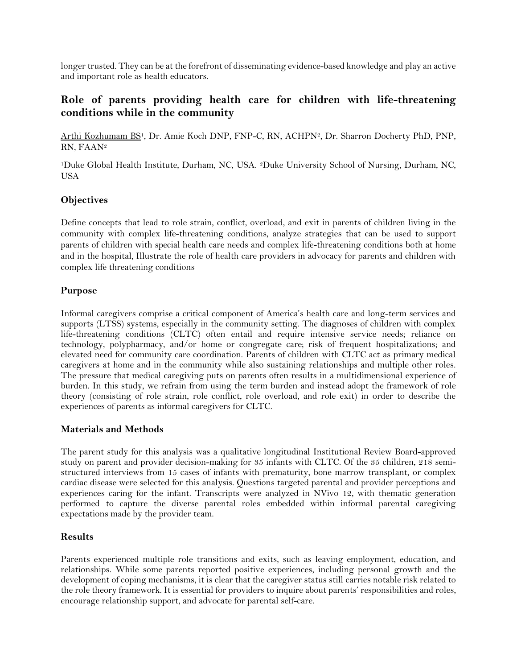longer trusted. They can be at the forefront of disseminating evidence-based knowledge and play an active and important role as health educators.

## <span id="page-61-0"></span>**Role of parents providing health care for children with life-threatening conditions while in the community**

Arthi Kozhumam BS<sup>1</sup>, Dr. Amie Koch DNP, FNP-C, RN, ACHPN<sup>2</sup>, Dr. Sharron Docherty PhD, PNP, RN, FAAN<sup>2</sup>

<sup>1</sup>Duke Global Health Institute, Durham, NC, USA. 2Duke University School of Nursing, Durham, NC, USA

#### **Objectives**

Define concepts that lead to role strain, conflict, overload, and exit in parents of children living in the community with complex life-threatening conditions, analyze strategies that can be used to support parents of children with special health care needs and complex life-threatening conditions both at home and in the hospital, Illustrate the role of health care providers in advocacy for parents and children with complex life threatening conditions

#### **Purpose**

Informal caregivers comprise a critical component of America's health care and long-term services and supports (LTSS) systems, especially in the community setting. The diagnoses of children with complex life-threatening conditions (CLTC) often entail and require intensive service needs; reliance on technology, polypharmacy, and/or home or congregate care; risk of frequent hospitalizations; and elevated need for community care coordination. Parents of children with CLTC act as primary medical caregivers at home and in the community while also sustaining relationships and multiple other roles. The pressure that medical caregiving puts on parents often results in a multidimensional experience of burden. In this study, we refrain from using the term burden and instead adopt the framework of role theory (consisting of role strain, role conflict, role overload, and role exit) in order to describe the experiences of parents as informal caregivers for CLTC.

#### **Materials and Methods**

The parent study for this analysis was a qualitative longitudinal Institutional Review Board-approved study on parent and provider decision-making for 35 infants with CLTC. Of the 35 children, 218 semistructured interviews from 15 cases of infants with prematurity, bone marrow transplant, or complex cardiac disease were selected for this analysis. Questions targeted parental and provider perceptions and experiences caring for the infant. Transcripts were analyzed in NVivo 12, with thematic generation performed to capture the diverse parental roles embedded within informal parental caregiving expectations made by the provider team.

#### **Results**

Parents experienced multiple role transitions and exits, such as leaving employment, education, and relationships. While some parents reported positive experiences, including personal growth and the development of coping mechanisms, it is clear that the caregiver status still carries notable risk related to the role theory framework. It is essential for providers to inquire about parents' responsibilities and roles, encourage relationship support, and advocate for parental self-care.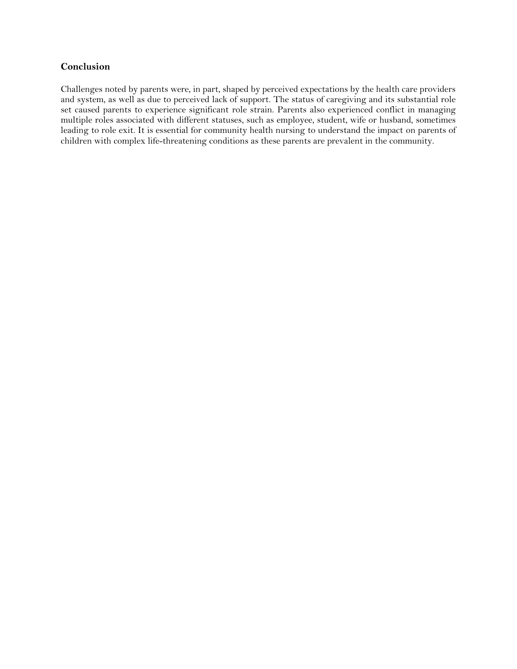#### **Conclusion**

Challenges noted by parents were, in part, shaped by perceived expectations by the health care providers and system, as well as due to perceived lack of support. The status of caregiving and its substantial role set caused parents to experience significant role strain. Parents also experienced conflict in managing multiple roles associated with different statuses, such as employee, student, wife or husband, sometimes leading to role exit. It is essential for community health nursing to understand the impact on parents of children with complex life-threatening conditions as these parents are prevalent in the community.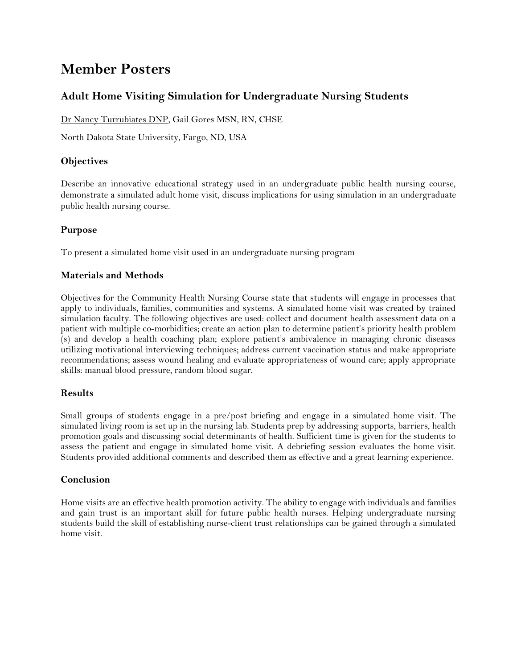## <span id="page-63-0"></span>**Member Posters**

## <span id="page-63-1"></span>**Adult Home Visiting Simulation for Undergraduate Nursing Students**

Dr Nancy Turrubiates DNP, Gail Gores MSN, RN, CHSE

North Dakota State University, Fargo, ND, USA

#### **Objectives**

Describe an innovative educational strategy used in an undergraduate public health nursing course, demonstrate a simulated adult home visit, discuss implications for using simulation in an undergraduate public health nursing course.

#### **Purpose**

To present a simulated home visit used in an undergraduate nursing program

#### **Materials and Methods**

Objectives for the Community Health Nursing Course state that students will engage in processes that apply to individuals, families, communities and systems. A simulated home visit was created by trained simulation faculty. The following objectives are used: collect and document health assessment data on a patient with multiple co-morbidities; create an action plan to determine patient's priority health problem (s) and develop a health coaching plan; explore patient's ambivalence in managing chronic diseases utilizing motivational interviewing techniques; address current vaccination status and make appropriate recommendations; assess wound healing and evaluate appropriateness of wound care; apply appropriate skills: manual blood pressure, random blood sugar.

#### **Results**

Small groups of students engage in a pre/post briefing and engage in a simulated home visit. The simulated living room is set up in the nursing lab. Students prep by addressing supports, barriers, health promotion goals and discussing social determinants of health. Sufficient time is given for the students to assess the patient and engage in simulated home visit. A debriefing session evaluates the home visit. Students provided additional comments and described them as effective and a great learning experience.

#### **Conclusion**

Home visits are an effective health promotion activity. The ability to engage with individuals and families and gain trust is an important skill for future public health nurses. Helping undergraduate nursing students build the skill of establishing nurse-client trust relationships can be gained through a simulated home visit.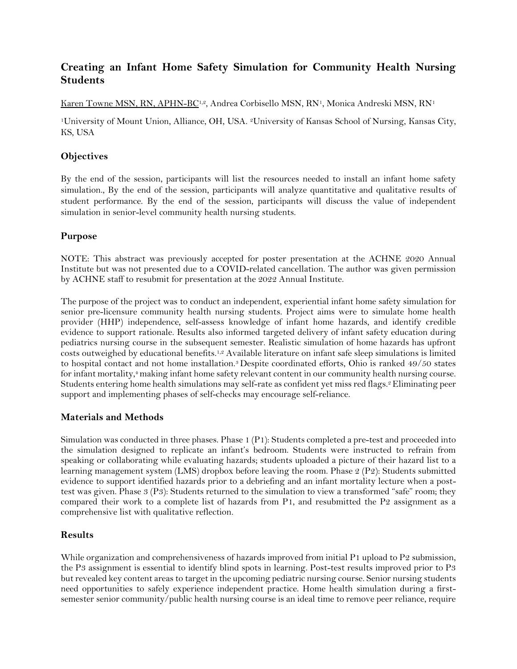## <span id="page-64-0"></span>**Creating an Infant Home Safety Simulation for Community Health Nursing Students**

Karen Towne MSN, RN, APHN-BC<sup>1,2</sup>, Andrea Corbisello MSN, RN<sup>1</sup>, Monica Andreski MSN, RN<sup>1</sup>

<sup>1</sup>University of Mount Union, Alliance, OH, USA. 2University of Kansas School of Nursing, Kansas City, KS, USA

#### **Objectives**

By the end of the session, participants will list the resources needed to install an infant home safety simulation., By the end of the session, participants will analyze quantitative and qualitative results of student performance. By the end of the session, participants will discuss the value of independent simulation in senior-level community health nursing students.

#### **Purpose**

NOTE: This abstract was previously accepted for poster presentation at the ACHNE 2020 Annual Institute but was not presented due to a COVID-related cancellation. The author was given permission by ACHNE staff to resubmit for presentation at the 2022 Annual Institute.

The purpose of the project was to conduct an independent, experiential infant home safety simulation for senior pre-licensure community health nursing students. Project aims were to simulate home health provider (HHP) independence, self-assess knowledge of infant home hazards, and identify credible evidence to support rationale. Results also informed targeted delivery of infant safety education during pediatrics nursing course in the subsequent semester. Realistic simulation of home hazards has upfront costs outweighed by educational benefits.1,2 Available literature on infant safe sleep simulations is limited to hospital contact and not home installation.<sup>3</sup> Despite coordinated efforts, Ohio is ranked 49/50 states for infant mortality,<sup>4</sup> making infant home safety relevant content in our community health nursing course. Students entering home health simulations may self-rate as confident yet miss red flags.<sup>2</sup> Eliminating peer support and implementing phases of self-checks may encourage self-reliance.

#### **Materials and Methods**

Simulation was conducted in three phases. Phase 1 (P1): Students completed a pre-test and proceeded into the simulation designed to replicate an infant's bedroom. Students were instructed to refrain from speaking or collaborating while evaluating hazards; students uploaded a picture of their hazard list to a learning management system (LMS) dropbox before leaving the room. Phase 2 (P2): Students submitted evidence to support identified hazards prior to a debriefing and an infant mortality lecture when a posttest was given. Phase 3 (P3): Students returned to the simulation to view a transformed "safe" room; they compared their work to a complete list of hazards from P1, and resubmitted the P2 assignment as a comprehensive list with qualitative reflection.

#### **Results**

While organization and comprehensiveness of hazards improved from initial P1 upload to P2 submission, the P3 assignment is essential to identify blind spots in learning. Post-test results improved prior to P3 but revealed key content areas to target in the upcoming pediatric nursing course. Senior nursing students need opportunities to safely experience independent practice. Home health simulation during a firstsemester senior community/public health nursing course is an ideal time to remove peer reliance, require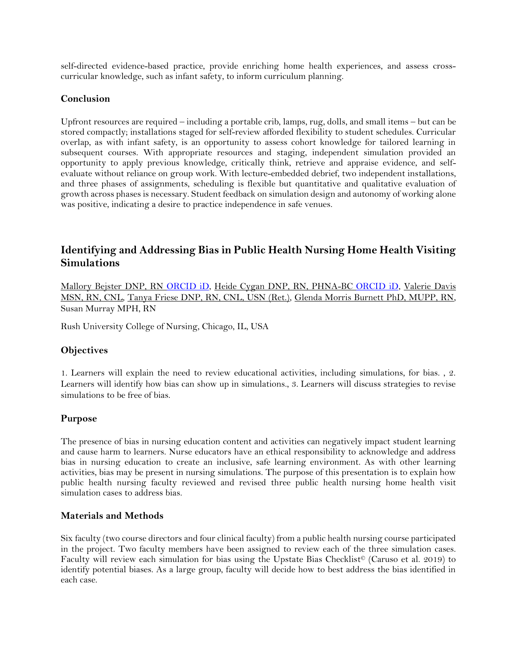self-directed evidence-based practice, provide enriching home health experiences, and assess crosscurricular knowledge, such as infant safety, to inform curriculum planning.

#### **Conclusion**

Upfront resources are required – including a portable crib, lamps, rug, dolls, and small items – but can be stored compactly; installations staged for self-review afforded flexibility to student schedules. Curricular overlap, as with infant safety, is an opportunity to assess cohort knowledge for tailored learning in subsequent courses. With appropriate resources and staging, independent simulation provided an opportunity to apply previous knowledge, critically think, retrieve and appraise evidence, and selfevaluate without reliance on group work. With lecture-embedded debrief, two independent installations, and three phases of assignments, scheduling is flexible but quantitative and qualitative evaluation of growth across phases is necessary. Student feedback on simulation design and autonomy of working alone was positive, indicating a desire to practice independence in safe venues.

## <span id="page-65-0"></span>**Identifying and Addressing Bias in Public Health Nursing Home Health Visiting Simulations**

Mallory Bejster DNP, RN [ORCID iD,](https://orcid.org/0000-0002-6313-495X) Heide Cygan DNP, RN, PHNA-BC [ORCID iD,](https://orcid.org/0000-0003-2811-2170) Valerie Davis MSN, RN, CNL, Tanya Friese DNP, RN, CNL, USN (Ret.), Glenda Morris Burnett PhD, MUPP, RN, Susan Murray MPH, RN

Rush University College of Nursing, Chicago, IL, USA

#### **Objectives**

1. Learners will explain the need to review educational activities, including simulations, for bias. , 2. Learners will identify how bias can show up in simulations., 3. Learners will discuss strategies to revise simulations to be free of bias.

#### **Purpose**

The presence of bias in nursing education content and activities can negatively impact student learning and cause harm to learners. Nurse educators have an ethical responsibility to acknowledge and address bias in nursing education to create an inclusive, safe learning environment. As with other learning activities, bias may be present in nursing simulations. The purpose of this presentation is to explain how public health nursing faculty reviewed and revised three public health nursing home health visit simulation cases to address bias.

#### **Materials and Methods**

Six faculty (two course directors and four clinical faculty) from a public health nursing course participated in the project. Two faculty members have been assigned to review each of the three simulation cases. Faculty will review each simulation for bias using the Upstate Bias Checklist© (Caruso et al. 2019) to identify potential biases. As a large group, faculty will decide how to best address the bias identified in each case.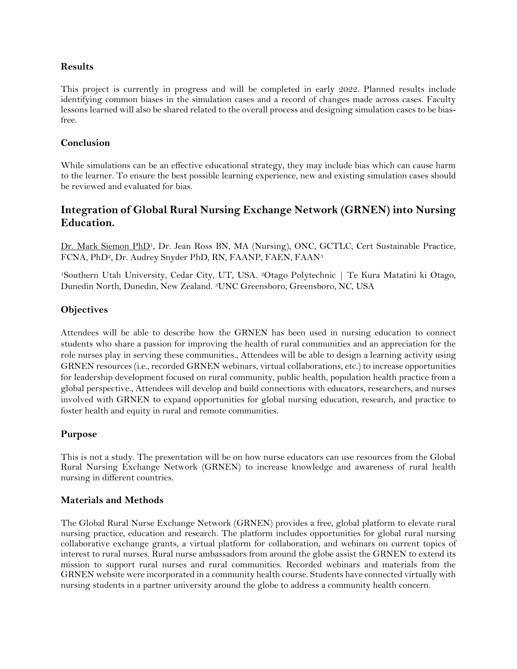#### **Results**

This project is currently in progress and will be completed in early 2022. Planned results include identifying common biases in the simulation cases and a record of changes made across cases. Faculty lessons learned will also be shared related to the overall process and designing simulation cases to be biasfree.

#### **Conclusion**

While simulations can be an effective educational strategy, they may include bias which can cause harm to the learner. To ensure the best possible learning experience, new and existing simulation cases should be reviewed and evaluated for bias.

## <span id="page-66-0"></span>**Integration of Global Rural Nursing Exchange Network (GRNEN) into Nursing Education.**

Dr. Mark Siemon PhD<sup>1</sup>, Dr. Jean Ross BN, MA (Nursing), ONC, GCTLC, Cert Sustainable Practice, FCNA, PhD2, Dr. Audrey Snyder PhD, RN, FAANP, FAEN, FAAN<sup>3</sup>

<sup>1</sup>Southern Utah University, Cedar City, UT, USA. 2Otago Polytechnic | Te Kura Matatini ki Otago, Dunedin North, Dunedin, New Zealand. 3UNC Greensboro, Greensboro, NC, USA

#### **Objectives**

Attendees will be able to describe how the GRNEN has been used in nursing education to connect students who share a passion for improving the health of rural communities and an appreciation for the role nurses play in serving these communities., Attendees will be able to design a learning activity using GRNEN resources (i.e., recorded GRNEN webinars, virtual collaborations, etc.) to increase opportunities for leadership development focused on rural community, public health, population health practice from a global perspective., Attendees will develop and build connections with educators, researchers, and nurses involved with GRNEN to expand opportunities for global nursing education, research, and practice to foster health and equity in rural and remote communities.

#### **Purpose**

This is not a study. The presentation will be on how nurse educators can use resources from the Global Rural Nursing Exchange Network (GRNEN) to increase knowledge and awareness of rural health nursing in different countries.

#### **Materials and Methods**

The Global Rural Nurse Exchange Network (GRNEN) provides a free, global platform to elevate rural nursing practice, education and research. The platform includes opportunities for global rural nursing collaborative exchange grants, a virtual platform for collaboration, and webinars on current topics of interest to rural nurses. Rural nurse ambassadors from around the globe assist the GRNEN to extend its mission to support rural nurses and rural communities. Recorded webinars and materials from the GRNEN website were incorporated in a community health course. Students have connected virtually with nursing students in a partner university around the globe to address a community health concern.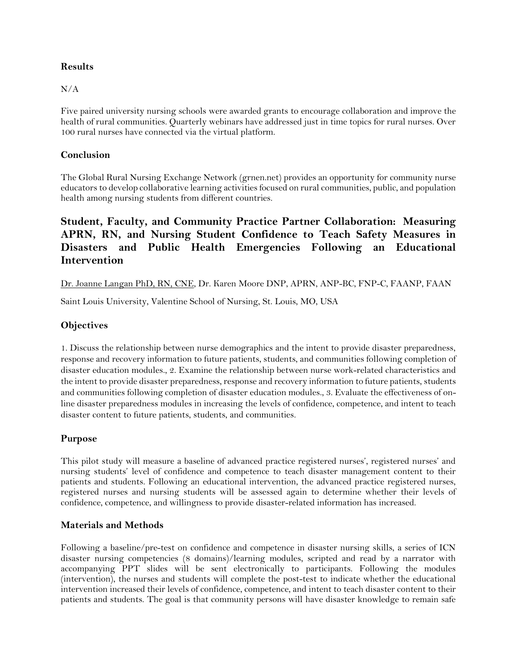#### **Results**

#### N/A

Five paired university nursing schools were awarded grants to encourage collaboration and improve the health of rural communities. Quarterly webinars have addressed just in time topics for rural nurses. Over 100 rural nurses have connected via the virtual platform.

#### **Conclusion**

The Global Rural Nursing Exchange Network (grnen.net) provides an opportunity for community nurse educators to develop collaborative learning activities focused on rural communities, public, and population health among nursing students from different countries.

## <span id="page-67-0"></span>**Student, Faculty, and Community Practice Partner Collaboration: Measuring APRN, RN, and Nursing Student Confidence to Teach Safety Measures in Disasters and Public Health Emergencies Following an Educational Intervention**

Dr. Joanne Langan PhD, RN, CNE, Dr. Karen Moore DNP, APRN, ANP-BC, FNP-C, FAANP, FAAN

Saint Louis University, Valentine School of Nursing, St. Louis, MO, USA

#### **Objectives**

1. Discuss the relationship between nurse demographics and the intent to provide disaster preparedness, response and recovery information to future patients, students, and communities following completion of disaster education modules., 2. Examine the relationship between nurse work-related characteristics and the intent to provide disaster preparedness, response and recovery information to future patients, students and communities following completion of disaster education modules., 3. Evaluate the effectiveness of online disaster preparedness modules in increasing the levels of confidence, competence, and intent to teach disaster content to future patients, students, and communities.

#### **Purpose**

This pilot study will measure a baseline of advanced practice registered nurses', registered nurses' and nursing students' level of confidence and competence to teach disaster management content to their patients and students. Following an educational intervention, the advanced practice registered nurses, registered nurses and nursing students will be assessed again to determine whether their levels of confidence, competence, and willingness to provide disaster-related information has increased.

#### **Materials and Methods**

Following a baseline/pre-test on confidence and competence in disaster nursing skills, a series of ICN disaster nursing competencies (8 domains)/learning modules, scripted and read by a narrator with accompanying PPT slides will be sent electronically to participants. Following the modules (intervention), the nurses and students will complete the post-test to indicate whether the educational intervention increased their levels of confidence, competence, and intent to teach disaster content to their patients and students. The goal is that community persons will have disaster knowledge to remain safe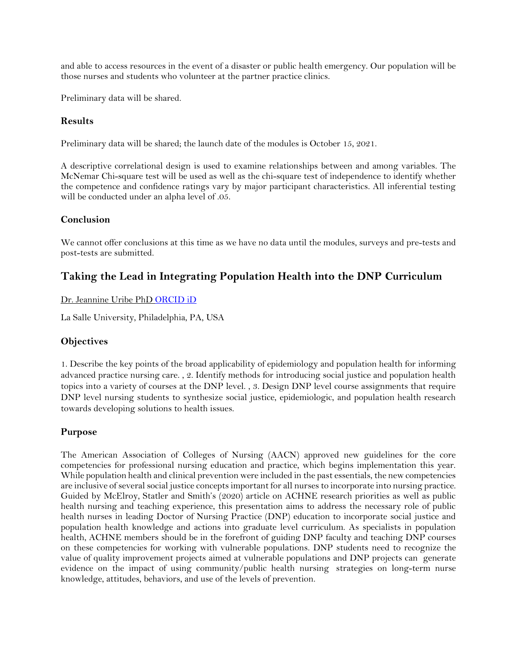and able to access resources in the event of a disaster or public health emergency. Our population will be those nurses and students who volunteer at the partner practice clinics.

Preliminary data will be shared.

#### **Results**

Preliminary data will be shared; the launch date of the modules is October 15, 2021.

A descriptive correlational design is used to examine relationships between and among variables. The McNemar Chi-square test will be used as well as the chi-square test of independence to identify whether the competence and confidence ratings vary by major participant characteristics. All inferential testing will be conducted under an alpha level of .05.

#### **Conclusion**

We cannot offer conclusions at this time as we have no data until the modules, surveys and pre-tests and post-tests are submitted.

## <span id="page-68-0"></span>**Taking the Lead in Integrating Population Health into the DNP Curriculum**

#### Dr. Jeannine Uribe PhD ORCID iD

La Salle University, Philadelphia, PA, USA

#### **Objectives**

1. Describe the key points of the broad applicability of epidemiology and population health for informing advanced practice nursing care. , 2. Identify methods for introducing social justice and population health topics into a variety of courses at the DNP level. , 3. Design DNP level course assignments that require DNP level nursing students to synthesize social justice, epidemiologic, and population health research towards developing solutions to health issues.

#### **Purpose**

The American Association of Colleges of Nursing (AACN) approved new guidelines for the core competencies for professional nursing education and practice, which begins implementation this year. While population health and clinical prevention were included in the past essentials, the new competencies are inclusive of several social justice concepts important for all nurses to incorporate into nursing practice. Guided by McElroy, Statler and Smith's (2020) article on ACHNE research priorities as well as public health nursing and teaching experience, this presentation aims to address the necessary role of public health nurses in leading Doctor of Nursing Practice (DNP) education to incorporate social justice and population health knowledge and actions into graduate level curriculum. As specialists in population health, ACHNE members should be in the forefront of guiding DNP faculty and teaching DNP courses on these competencies for working with vulnerable populations. DNP students need to recognize the value of quality improvement projects aimed at vulnerable populations and DNP projects can generate evidence on the impact of using community/public health nursing strategies on long-term nurse knowledge, attitudes, behaviors, and use of the levels of prevention.